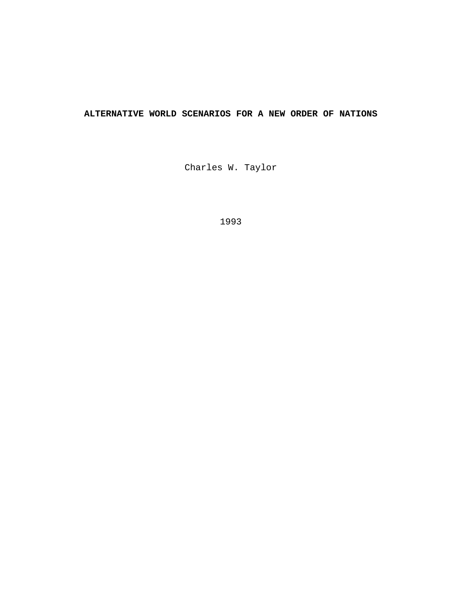# **ALTERNATIVE WORLD SCENARIOS FOR A NEW ORDER OF NATIONS**

Charles W. Taylor

1993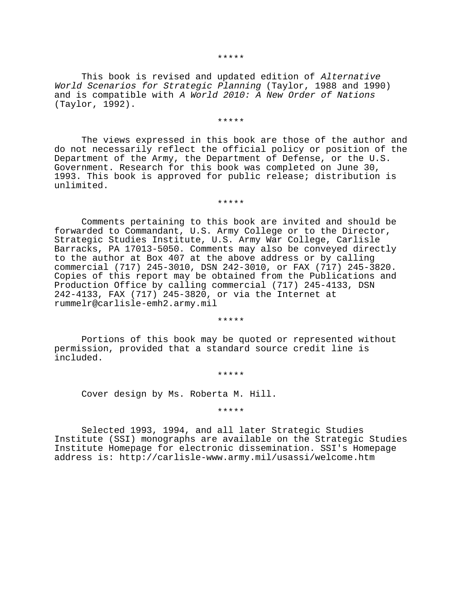#### \*\*\*\*\*

This book is revised and updated edition of Alternative World Scenarios for Strategic Planning (Taylor, 1988 and 1990) and is compatible with A World 2010: A New Order of Nations (Taylor, 1992).

#### \*\*\*\*\*

The views expressed in this book are those of the author and do not necessarily reflect the official policy or position of the Department of the Army, the Department of Defense, or the U.S. Government. Research for this book was completed on June 30, 1993. This book is approved for public release; distribution is unlimited.

\*\*\*\*\*

Comments pertaining to this book are invited and should be forwarded to Commandant, U.S. Army College or to the Director, Strategic Studies Institute, U.S. Army War College, Carlisle Barracks, PA 17013-5050. Comments may also be conveyed directly to the author at Box 407 at the above address or by calling commercial (717) 245-3010, DSN 242-3010, or FAX (717) 245-3820. Copies of this report may be obtained from the Publications and Production Office by calling commercial (717) 245-4133, DSN 242-4133, FAX (717) 245-3820, or via the Internet at rummelr@carlisle-emh2.army.mil

\*\*\*\*\*

Portions of this book may be quoted or represented without permission, provided that a standard source credit line is included.

\*\*\*\*\*

Cover design by Ms. Roberta M. Hill.

\*\*\*\*\*

Selected 1993, 1994, and all later Strategic Studies Institute (SSI) monographs are available on the Strategic Studies Institute Homepage for electronic dissemination. SSI's Homepage address is: http://carlisle-www.army.mil/usassi/welcome.htm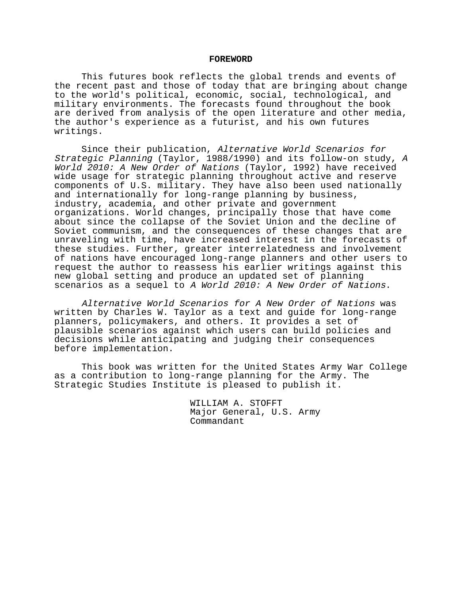#### **FOREWORD**

This futures book reflects the global trends and events of the recent past and those of today that are bringing about change to the world's political, economic, social, technological, and military environments. The forecasts found throughout the book are derived from analysis of the open literature and other media, the author's experience as a futurist, and his own futures writings.

Since their publication, Alternative World Scenarios for Strategic Planning (Taylor, 1988/1990) and its follow-on study, <sup>A</sup> World 2010: A New Order of Nations (Taylor, 1992) have received wide usage for strategic planning throughout active and reserve components of U.S. military. They have also been used nationally and internationally for long-range planning by business, industry, academia, and other private and government organizations. World changes, principally those that have come about since the collapse of the Soviet Union and the decline of Soviet communism, and the consequences of these changes that are unraveling with time, have increased interest in the forecasts of these studies. Further, greater interrelatedness and involvement of nations have encouraged long-range planners and other users to request the author to reassess his earlier writings against this new global setting and produce an updated set of planning scenarios as a sequel to A World 2010: A New Order of Nations.

Alternative World Scenarios for A New Order of Nations was written by Charles W. Taylor as a text and guide for long-range planners, policymakers, and others. It provides a set of plausible scenarios against which users can build policies and decisions while anticipating and judging their consequences before implementation.

This book was written for the United States Army War College as a contribution to long-range planning for the Army. The Strategic Studies Institute is pleased to publish it.

> WILLIAM A. STOFFT Major General, U.S. Army Commandant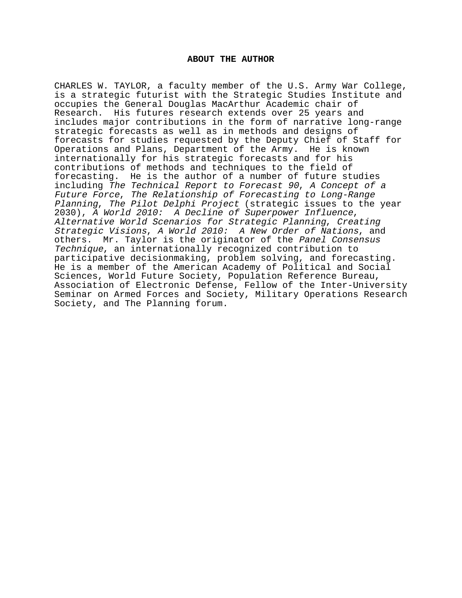#### **ABOUT THE AUTHOR**

CHARLES W. TAYLOR, a faculty member of the U.S. Army War College, is a strategic futurist with the Strategic Studies Institute and occupies the General Douglas MacArthur Academic chair of Research. His futures research extends over 25 years and includes major contributions in the form of narrative long-range strategic forecasts as well as in methods and designs of forecasts for studies requested by the Deputy Chief of Staff for Operations and Plans, Department of the Army. He is known internationally for his strategic forecasts and for his contributions of methods and techniques to the field of forecasting. He is the author of a number of future studies including The Technical Report to Forecast 90, A Concept of a Future Force, The Relationship of Forecasting to Long-Range Planning, The Pilot Delphi Project (strategic issues to the year 2030), A World 2010: A Decline of Superpower Influence, Alternative World Scenarios for Strategic Planning, Creating Strategic Visions, A World 2010: A New Order of Nations, and others. Mr. Taylor is the originator of the Panel Consensus Technique, an internationally recognized contribution to participative decisionmaking, problem solving, and forecasting. He is a member of the American Academy of Political and Social Sciences, World Future Society, Population Reference Bureau, Association of Electronic Defense, Fellow of the Inter-University Seminar on Armed Forces and Society, Military Operations Research Society, and The Planning forum.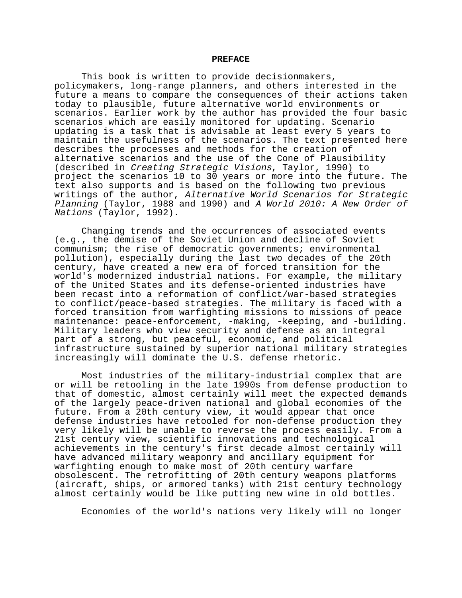#### **PREFACE**

This book is written to provide decisionmakers, policymakers, long-range planners, and others interested in the future a means to compare the consequences of their actions taken today to plausible, future alternative world environments or scenarios. Earlier work by the author has provided the four basic scenarios which are easily monitored for updating. Scenario updating is a task that is advisable at least every 5 years to maintain the usefulness of the scenarios. The text presented here describes the processes and methods for the creation of alternative scenarios and the use of the Cone of Plausibility (described in Creating Strategic Visions, Taylor, 1990) to project the scenarios 10 to 30 years or more into the future. The text also supports and is based on the following two previous writings of the author, Alternative World Scenarios for Strategic Planning (Taylor, 1988 and 1990) and A World 2010: A New Order of Nations (Taylor, 1992).

Changing trends and the occurrences of associated events (e.g., the demise of the Soviet Union and decline of Soviet communism; the rise of democratic governments; environmental pollution), especially during the last two decades of the 20th century, have created a new era of forced transition for the world's modernized industrial nations. For example, the military of the United States and its defense-oriented industries have been recast into a reformation of conflict/war-based strategies to conflict/peace-based strategies. The military is faced with a forced transition from warfighting missions to missions of peace maintenance: peace-enforcement, -making, -keeping, and -building. Military leaders who view security and defense as an integral part of a strong, but peaceful, economic, and political infrastructure sustained by superior national military strategies increasingly will dominate the U.S. defense rhetoric.

Most industries of the military-industrial complex that are or will be retooling in the late 1990s from defense production to that of domestic, almost certainly will meet the expected demands of the largely peace-driven national and global economies of the future. From a 20th century view, it would appear that once defense industries have retooled for non-defense production they very likely will be unable to reverse the process easily. From a 21st century view, scientific innovations and technological achievements in the century's first decade almost certainly will have advanced military weaponry and ancillary equipment for warfighting enough to make most of 20th century warfare obsolescent. The retrofitting of 20th century weapons platforms (aircraft, ships, or armored tanks) with 21st century technology almost certainly would be like putting new wine in old bottles.

Economies of the world's nations very likely will no longer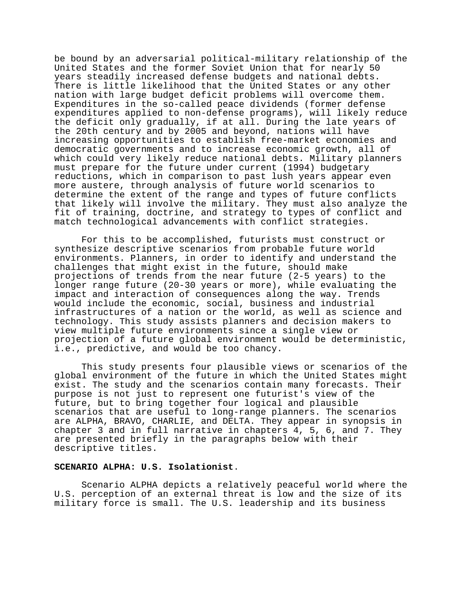be bound by an adversarial political-military relationship of the United States and the former Soviet Union that for nearly 50 years steadily increased defense budgets and national debts. There is little likelihood that the United States or any other nation with large budget deficit problems will overcome them. Expenditures in the so-called peace dividends (former defense expenditures applied to non-defense programs), will likely reduce the deficit only gradually, if at all. During the late years of the 20th century and by 2005 and beyond, nations will have increasing opportunities to establish free-market economies and democratic governments and to increase economic growth, all of which could very likely reduce national debts. Military planners must prepare for the future under current (1994) budgetary reductions, which in comparison to past lush years appear even more austere, through analysis of future world scenarios to determine the extent of the range and types of future conflicts that likely will involve the military. They must also analyze the fit of training, doctrine, and strategy to types of conflict and match technological advancements with conflict strategies.

For this to be accomplished, futurists must construct or synthesize descriptive scenarios from probable future world environments. Planners, in order to identify and understand the challenges that might exist in the future, should make projections of trends from the near future (2-5 years) to the longer range future (20-30 years or more), while evaluating the impact and interaction of consequences along the way. Trends would include the economic, social, business and industrial infrastructures of a nation or the world, as well as science and technology. This study assists planners and decision makers to view multiple future environments since a single view or projection of a future global environment would be deterministic, i.e., predictive, and would be too chancy.

This study presents four plausible views or scenarios of the global environment of the future in which the United States might exist. The study and the scenarios contain many forecasts. Their purpose is not just to represent one futurist's view of the future, but to bring together four logical and plausible scenarios that are useful to long-range planners. The scenarios are ALPHA, BRAVO, CHARLIE, and DELTA. They appear in synopsis in chapter 3 and in full narrative in chapters 4, 5, 6, and 7. They are presented briefly in the paragraphs below with their descriptive titles.

#### **SCENARIO ALPHA: U.S. Isolationist**.

Scenario ALPHA depicts a relatively peaceful world where the U.S. perception of an external threat is low and the size of its military force is small. The U.S. leadership and its business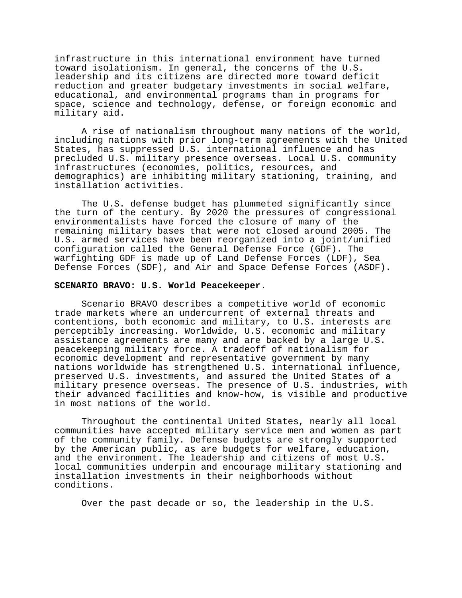infrastructure in this international environment have turned toward isolationism. In general, the concerns of the U.S. leadership and its citizens are directed more toward deficit reduction and greater budgetary investments in social welfare, educational, and environmental programs than in programs for space, science and technology, defense, or foreign economic and military aid.

A rise of nationalism throughout many nations of the world, including nations with prior long-term agreements with the United States, has suppressed U.S. international influence and has precluded U.S. military presence overseas. Local U.S. community infrastructures (economies, politics, resources, and demographics) are inhibiting military stationing, training, and installation activities.

The U.S. defense budget has plummeted significantly since the turn of the century. By 2020 the pressures of congressional environmentalists have forced the closure of many of the remaining military bases that were not closed around 2005. The U.S. armed services have been reorganized into a joint/unified configuration called the General Defense Force (GDF). The warfighting GDF is made up of Land Defense Forces (LDF), Sea Defense Forces (SDF), and Air and Space Defense Forces (ASDF).

# **SCENARIO BRAVO: U.S. World Peacekeeper**.

Scenario BRAVO describes a competitive world of economic trade markets where an undercurrent of external threats and contentions, both economic and military, to U.S. interests are perceptibly increasing. Worldwide, U.S. economic and military assistance agreements are many and are backed by a large U.S. peacekeeping military force. A tradeoff of nationalism for economic development and representative government by many nations worldwide has strengthened U.S. international influence, preserved U.S. investments, and assured the United States of a military presence overseas. The presence of U.S. industries, with their advanced facilities and know-how, is visible and productive in most nations of the world.

Throughout the continental United States, nearly all local communities have accepted military service men and women as part of the community family. Defense budgets are strongly supported by the American public, as are budgets for welfare, education, and the environment. The leadership and citizens of most U.S. local communities underpin and encourage military stationing and installation investments in their neighborhoods without conditions.

Over the past decade or so, the leadership in the U.S.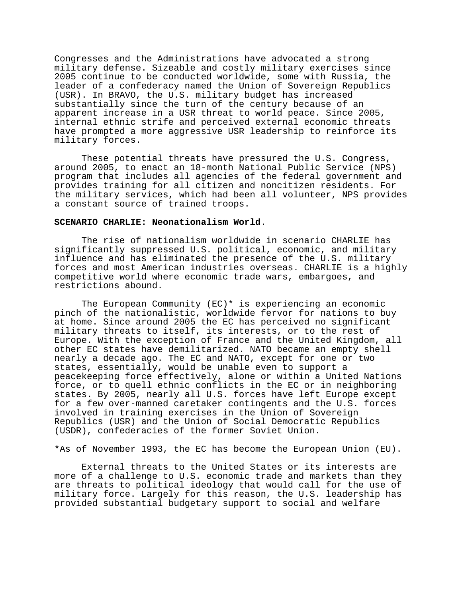Congresses and the Administrations have advocated a strong military defense. Sizeable and costly military exercises since 2005 continue to be conducted worldwide, some with Russia, the leader of a confederacy named the Union of Sovereign Republics (USR). In BRAVO, the U.S. military budget has increased substantially since the turn of the century because of an apparent increase in a USR threat to world peace. Since 2005, internal ethnic strife and perceived external economic threats have prompted a more aggressive USR leadership to reinforce its military forces.

These potential threats have pressured the U.S. Congress, around 2005, to enact an 18-month National Public Service (NPS) program that includes all agencies of the federal government and provides training for all citizen and noncitizen residents. For the military services, which had been all volunteer, NPS provides a constant source of trained troops.

#### **SCENARIO CHARLIE: Neonationalism World**.

The rise of nationalism worldwide in scenario CHARLIE has significantly suppressed U.S. political, economic, and military influence and has eliminated the presence of the U.S. military forces and most American industries overseas. CHARLIE is a highly competitive world where economic trade wars, embargoes, and restrictions abound.

The European Community  $(EC)^*$  is experiencing an economic pinch of the nationalistic, worldwide fervor for nations to buy at home. Since around 2005 the EC has perceived no significant military threats to itself, its interests, or to the rest of Europe. With the exception of France and the United Kingdom, all other EC states have demilitarized. NATO became an empty shell nearly a decade ago. The EC and NATO, except for one or two states, essentially, would be unable even to support a peacekeeping force effectively, alone or within a United Nations force, or to quell ethnic conflicts in the EC or in neighboring states. By 2005, nearly all U.S. forces have left Europe except for a few over-manned caretaker contingents and the U.S. forces involved in training exercises in the Union of Sovereign Republics (USR) and the Union of Social Democratic Republics (USDR), confederacies of the former Soviet Union.

\*As of November 1993, the EC has become the European Union (EU).

External threats to the United States or its interests are more of a challenge to U.S. economic trade and markets than they are threats to political ideology that would call for the use of military force. Largely for this reason, the U.S. leadership has provided substantial budgetary support to social and welfare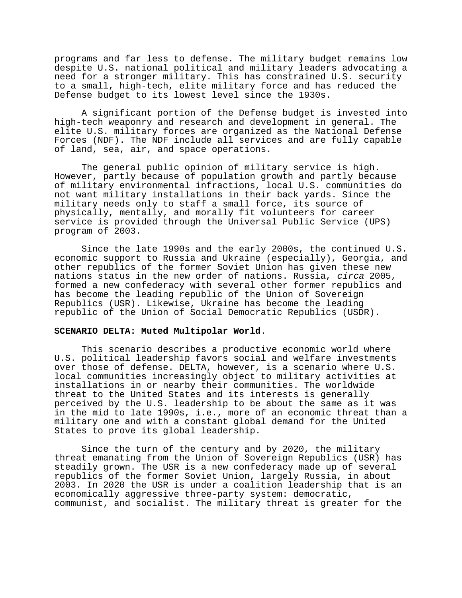programs and far less to defense. The military budget remains low despite U.S. national political and military leaders advocating a need for a stronger military. This has constrained U.S. security to a small, high-tech, elite military force and has reduced the Defense budget to its lowest level since the 1930s.

A significant portion of the Defense budget is invested into high-tech weaponry and research and development in general. The elite U.S. military forces are organized as the National Defense Forces (NDF). The NDF include all services and are fully capable of land, sea, air, and space operations.

The general public opinion of military service is high. However, partly because of population growth and partly because of military environmental infractions, local U.S. communities do not want military installations in their back yards. Since the military needs only to staff a small force, its source of physically, mentally, and morally fit volunteers for career service is provided through the Universal Public Service (UPS) program of 2003.

Since the late 1990s and the early 2000s, the continued U.S. economic support to Russia and Ukraine (especially), Georgia, and other republics of the former Soviet Union has given these new nations status in the new order of nations. Russia, circa 2005, formed a new confederacy with several other former republics and has become the leading republic of the Union of Sovereign Republics (USR). Likewise, Ukraine has become the leading republic of the Union of Social Democratic Republics (USDR).

## **SCENARIO DELTA: Muted Multipolar World**.

This scenario describes a productive economic world where U.S. political leadership favors social and welfare investments over those of defense. DELTA, however, is a scenario where U.S. local communities increasingly object to military activities at installations in or nearby their communities. The worldwide threat to the United States and its interests is generally perceived by the U.S. leadership to be about the same as it was in the mid to late 1990s, i.e., more of an economic threat than a military one and with a constant global demand for the United States to prove its global leadership.

Since the turn of the century and by 2020, the military threat emanating from the Union of Sovereign Republics (USR) has steadily grown. The USR is a new confederacy made up of several republics of the former Soviet Union, largely Russia, in about 2003. In 2020 the USR is under a coalition leadership that is an economically aggressive three-party system: democratic, communist, and socialist. The military threat is greater for the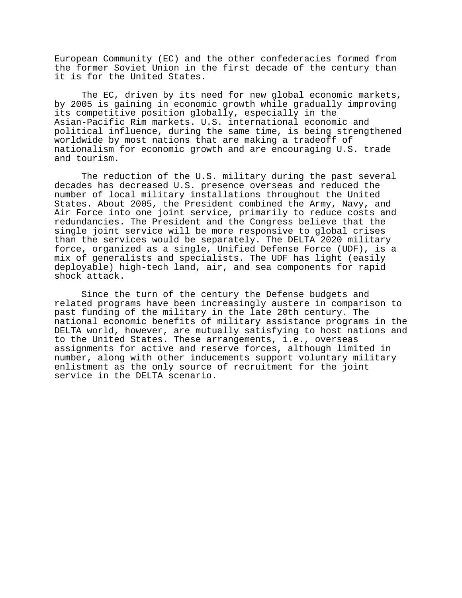European Community (EC) and the other confederacies formed from the former Soviet Union in the first decade of the century than it is for the United States.

The EC, driven by its need for new global economic markets, by 2005 is gaining in economic growth while gradually improving its competitive position globally, especially in the Asian-Pacific Rim markets. U.S. international economic and political influence, during the same time, is being strengthened worldwide by most nations that are making a tradeoff of nationalism for economic growth and are encouraging U.S. trade and tourism.

The reduction of the U.S. military during the past several decades has decreased U.S. presence overseas and reduced the number of local military installations throughout the United States. About 2005, the President combined the Army, Navy, and Air Force into one joint service, primarily to reduce costs and redundancies. The President and the Congress believe that the single joint service will be more responsive to global crises than the services would be separately. The DELTA 2020 military force, organized as a single, Unified Defense Force (UDF), is a mix of generalists and specialists. The UDF has light (easily deployable) high-tech land, air, and sea components for rapid shock attack.

Since the turn of the century the Defense budgets and related programs have been increasingly austere in comparison to past funding of the military in the late 20th century. The national economic benefits of military assistance programs in the DELTA world, however, are mutually satisfying to host nations and to the United States. These arrangements, i.e., overseas assignments for active and reserve forces, although limited in number, along with other inducements support voluntary military enlistment as the only source of recruitment for the joint service in the DELTA scenario.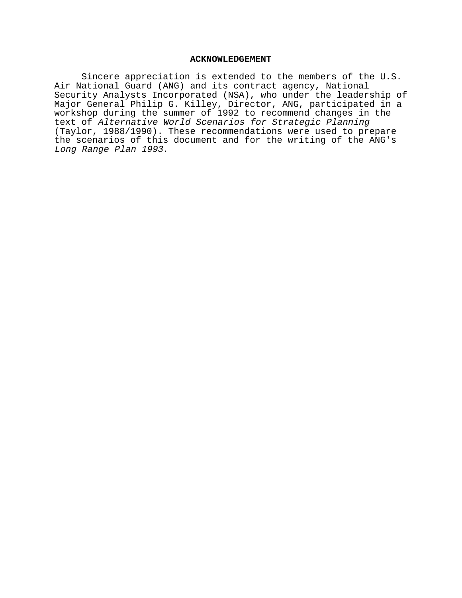#### **ACKNOWLEDGEMENT**

Sincere appreciation is extended to the members of the U.S. Air National Guard (ANG) and its contract agency, National Security Analysts Incorporated (NSA), who under the leadership of Major General Philip G. Killey, Director, ANG, participated in a workshop during the summer of 1992 to recommend changes in the text of Alternative World Scenarios for Strategic Planning (Taylor, 1988/1990). These recommendations were used to prepare the scenarios of this document and for the writing of the ANG's Long Range Plan 1993.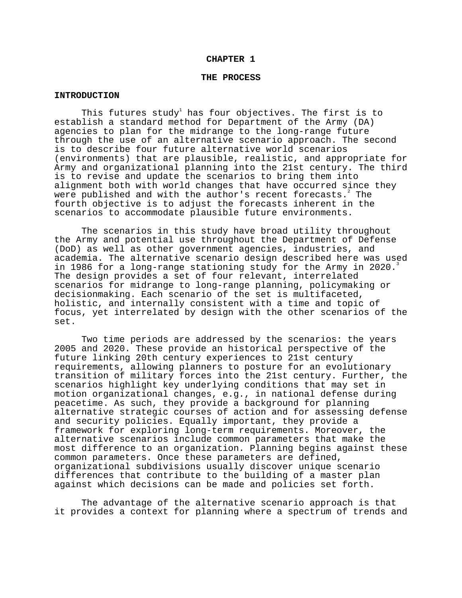#### **CHAPTER 1**

#### **THE PROCESS**

#### **INTRODUCTION**

This futures study $^{\rm l}$  has four objectives. The first is to establish a standard method for Department of the Army (DA) agencies to plan for the midrange to the long-range future through the use of an alternative scenario approach. The second is to describe four future alternative world scenarios (environments) that are plausible, realistic, and appropriate for Army and organizational planning into the 21st century. The third is to revise and update the scenarios to bring them into alignment both with world changes that have occurred since they were published and with the author's recent forecasts. The fourth objective is to adjust the forecasts inherent in the scenarios to accommodate plausible future environments.

The scenarios in this study have broad utility throughout the Army and potential use throughout the Department of Defense (DoD) as well as other government agencies, industries, and academia. The alternative scenario design described here was used in 1986 for a long-range stationing study for the Army in 2020. The design provides a set of four relevant, interrelated scenarios for midrange to long-range planning, policymaking or decisionmaking. Each scenario of the set is multifaceted, holistic, and internally consistent with a time and topic of focus, yet interrelated by design with the other scenarios of the set.

Two time periods are addressed by the scenarios: the years 2005 and 2020. These provide an historical perspective of the future linking 20th century experiences to 21st century requirements, allowing planners to posture for an evolutionary transition of military forces into the 21st century. Further, the scenarios highlight key underlying conditions that may set in motion organizational changes, e.g., in national defense during peacetime. As such, they provide a background for planning alternative strategic courses of action and for assessing defense and security policies. Equally important, they provide a framework for exploring long-term requirements. Moreover, the alternative scenarios include common parameters that make the most difference to an organization. Planning begins against these common parameters. Once these parameters are defined, organizational subdivisions usually discover unique scenario differences that contribute to the building of a master plan against which decisions can be made and policies set forth.

The advantage of the alternative scenario approach is that it provides a context for planning where a spectrum of trends and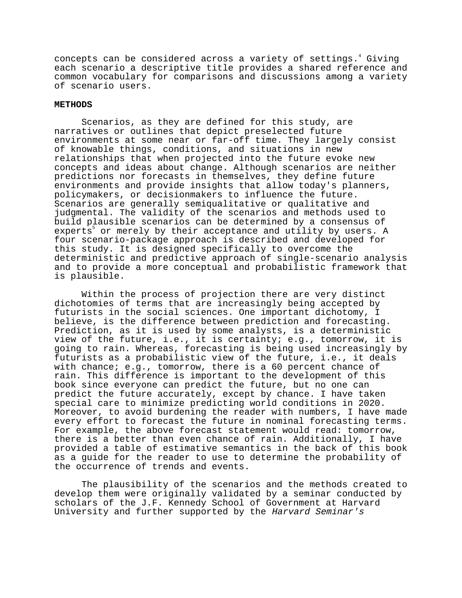concepts can be considered across a variety of settings.<sup>4</sup> Giving each scenario a descriptive title provides a shared reference and common vocabulary for comparisons and discussions among a variety of scenario users.

## **METHODS**

Scenarios, as they are defined for this study, are narratives or outlines that depict preselected future environments at some near or far-off time. They largely consist of knowable things, conditions, and situations in new relationships that when projected into the future evoke new concepts and ideas about change. Although scenarios are neither predictions nor forecasts in themselves, they define future environments and provide insights that allow today's planners, policymakers, or decisionmakers to influence the future. Scenarios are generally semiqualitative or qualitative and judgmental. The validity of the scenarios and methods used to build plausible scenarios can be determined by a consensus of experts<sup>5</sup> or merely by their acceptance and utility by users. A four scenario-package approach is described and developed for this study. It is designed specifically to overcome the deterministic and predictive approach of single-scenario analysis and to provide a more conceptual and probabilistic framework that is plausible.

Within the process of projection there are very distinct dichotomies of terms that are increasingly being accepted by futurists in the social sciences. One important dichotomy, I believe, is the difference between prediction and forecasting. Prediction, as it is used by some analysts, is a deterministic view of the future, i.e., it is certainty; e.g., tomorrow, it is going to rain. Whereas, forecasting is being used increasingly by futurists as a probabilistic view of the future, i.e., it deals with chance; e.g., tomorrow, there is a 60 percent chance of rain. This difference is important to the development of this book since everyone can predict the future, but no one can predict the future accurately, except by chance. I have taken special care to minimize predicting world conditions in 2020. Moreover, to avoid burdening the reader with numbers, I have made every effort to forecast the future in nominal forecasting terms. For example, the above forecast statement would read: tomorrow, there is a better than even chance of rain. Additionally, I have provided a table of estimative semantics in the back of this book as a guide for the reader to use to determine the probability of the occurrence of trends and events.

The plausibility of the scenarios and the methods created to develop them were originally validated by a seminar conducted by scholars of the J.F. Kennedy School of Government at Harvard University and further supported by the Harvard Seminar's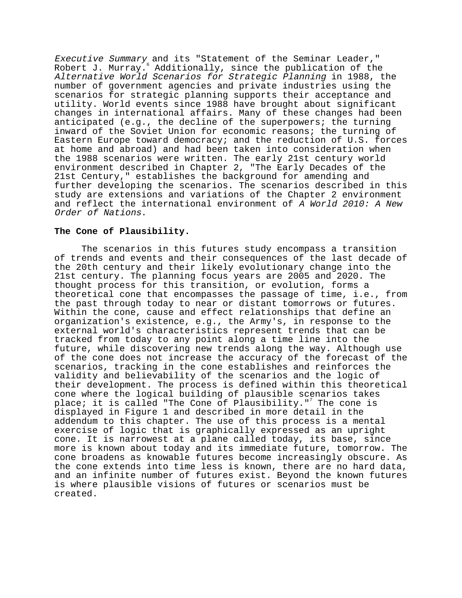Executive Summary and its "Statement of the Seminar Leader," Robert J. Murray. $^{\circ}$  Additionally, since the publication of the Alternative World Scenarios for Strategic Planning in 1988, the number of government agencies and private industries using the scenarios for strategic planning supports their acceptance and utility. World events since 1988 have brought about significant changes in international affairs. Many of these changes had been anticipated (e.g., the decline of the superpowers; the turning inward of the Soviet Union for economic reasons; the turning of Eastern Europe toward democracy; and the reduction of U.S. forces at home and abroad) and had been taken into consideration when the 1988 scenarios were written. The early 21st century world environment described in Chapter 2, "The Early Decades of the 21st Century," establishes the background for amending and further developing the scenarios. The scenarios described in this study are extensions and variations of the Chapter 2 environment and reflect the international environment of A World 2010: A New Order of Nations.

## **The Cone of Plausibility.**

The scenarios in this futures study encompass a transition of trends and events and their consequences of the last decade of the 20th century and their likely evolutionary change into the 21st century. The planning focus years are 2005 and 2020. The thought process for this transition, or evolution, forms a theoretical cone that encompasses the passage of time, i.e., from the past through today to near or distant tomorrows or futures. Within the cone, cause and effect relationships that define an organization's existence, e.g., the Army's, in response to the external world's characteristics represent trends that can be tracked from today to any point along a time line into the future, while discovering new trends along the way. Although use of the cone does not increase the accuracy of the forecast of the scenarios, tracking in the cone establishes and reinforces the validity and believability of the scenarios and the logic of their development. The process is defined within this theoretical cone where the logical building of plausible scenarios takes place; it is called "The Cone of Plausibility." $^7$  The cone is displayed in Figure 1 and described in more detail in the addendum to this chapter. The use of this process is a mental exercise of logic that is graphically expressed as an upright cone. It is narrowest at a plane called today, its base, since more is known about today and its immediate future, tomorrow. The cone broadens as knowable futures become increasingly obscure. As the cone extends into time less is known, there are no hard data, and an infinite number of futures exist. Beyond the known futures is where plausible visions of futures or scenarios must be created.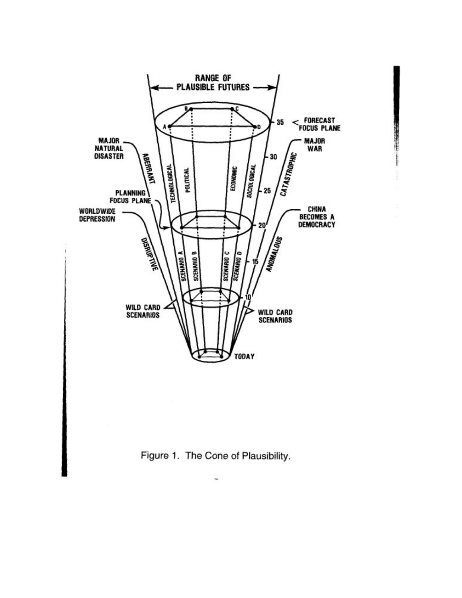

Figure 1. The Cone of Plausibility.

÷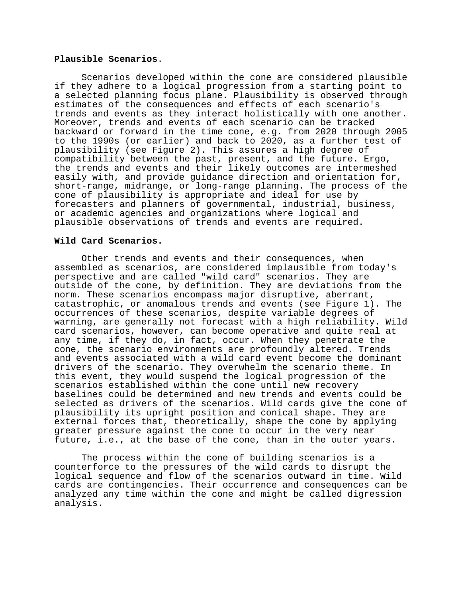### **Plausible Scenarios**.

Scenarios developed within the cone are considered plausible if they adhere to a logical progression from a starting point to a selected planning focus plane. Plausibility is observed through estimates of the consequences and effects of each scenario's trends and events as they interact holistically with one another. Moreover, trends and events of each scenario can be tracked backward or forward in the time cone, e.g. from 2020 through 2005 to the 1990s (or earlier) and back to 2020, as a further test of plausibility (see Figure 2). This assures a high degree of compatibility between the past, present, and the future. Ergo, the trends and events and their likely outcomes are intermeshed easily with, and provide guidance direction and orientation for, short-range, midrange, or long-range planning. The process of the cone of plausibility is appropriate and ideal for use by forecasters and planners of governmental, industrial, business, or academic agencies and organizations where logical and plausible observations of trends and events are required.

# **Wild Card Scenarios.**

Other trends and events and their consequences, when assembled as scenarios, are considered implausible from today's perspective and are called "wild card" scenarios. They are outside of the cone, by definition. They are deviations from the norm. These scenarios encompass major disruptive, aberrant, catastrophic, or anomalous trends and events (see Figure 1). The occurrences of these scenarios, despite variable degrees of warning, are generally not forecast with a high reliability. Wild card scenarios, however, can become operative and quite real at any time, if they do, in fact, occur. When they penetrate the cone, the scenario environments are profoundly altered. Trends and events associated with a wild card event become the dominant drivers of the scenario. They overwhelm the scenario theme. In this event, they would suspend the logical progression of the scenarios established within the cone until new recovery baselines could be determined and new trends and events could be selected as drivers of the scenarios. Wild cards give the cone of plausibility its upright position and conical shape. They are external forces that, theoretically, shape the cone by applying greater pressure against the cone to occur in the very near future, i.e., at the base of the cone, than in the outer years.

The process within the cone of building scenarios is a counterforce to the pressures of the wild cards to disrupt the logical sequence and flow of the scenarios outward in time. Wild cards are contingencies. Their occurrence and consequences can be analyzed any time within the cone and might be called digression analysis.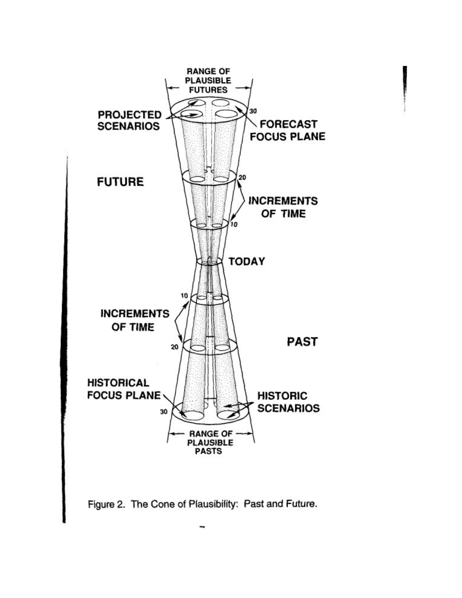

Figure 2. The Cone of Plausibility: Past and Future.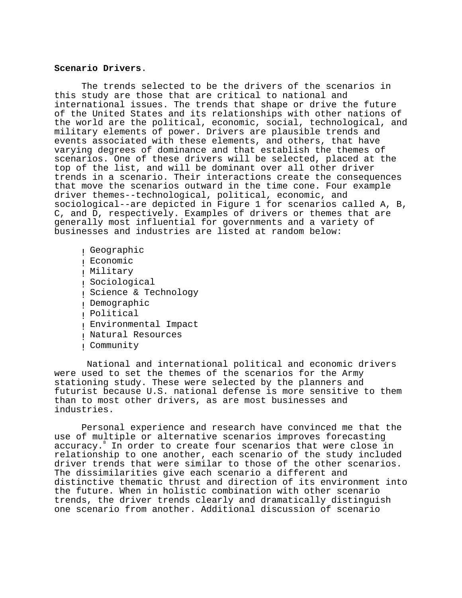#### **Scenario Drivers**.

The trends selected to be the drivers of the scenarios in this study are those that are critical to national and international issues. The trends that shape or drive the future of the United States and its relationships with other nations of the world are the political, economic, social, technological, and military elements of power. Drivers are plausible trends and events associated with these elements, and others, that have varying degrees of dominance and that establish the themes of scenarios. One of these drivers will be selected, placed at the top of the list, and will be dominant over all other driver trends in a scenario. Their interactions create the consequences that move the scenarios outward in the time cone. Four example driver themes--technological, political, economic, and sociological--are depicted in Figure 1 for scenarios called A, B, C, and D, respectively. Examples of drivers or themes that are generally most influential for governments and a variety of businesses and industries are listed at random below:

! Geographic ! Economic ! Military ! Sociological ! Science & Technology ! Demographic ! Political ! Environmental Impact ! Natural Resources ! Community

 National and international political and economic drivers were used to set the themes of the scenarios for the Army stationing study. These were selected by the planners and futurist because U.S. national defense is more sensitive to them than to most other drivers, as are most businesses and industries.

Personal experience and research have convinced me that the use of multiple or alternative scenarios improves forecasting accuracy.<sup>8</sup> In order to create four scenarios that were close in relationship to one another, each scenario of the study included driver trends that were similar to those of the other scenarios. The dissimilarities give each scenario a different and distinctive thematic thrust and direction of its environment into the future. When in holistic combination with other scenario trends, the driver trends clearly and dramatically distinguish one scenario from another. Additional discussion of scenario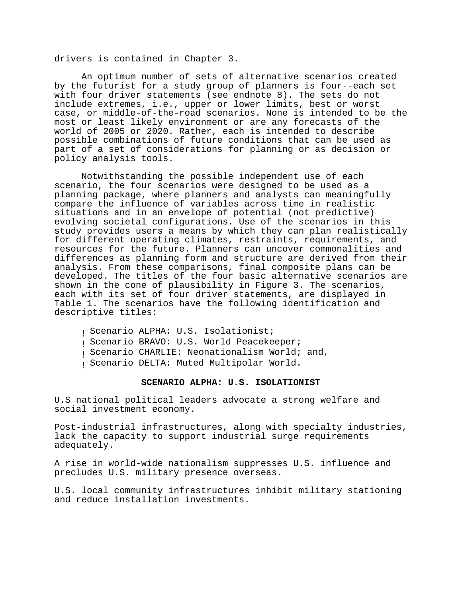drivers is contained in Chapter 3.

An optimum number of sets of alternative scenarios created by the futurist for a study group of planners is four--each set with four driver statements (see endnote 8). The sets do not include extremes, i.e., upper or lower limits, best or worst case, or middle-of-the-road scenarios. None is intended to be the most or least likely environment or are any forecasts of the world of 2005 or 2020. Rather, each is intended to describe possible combinations of future conditions that can be used as part of a set of considerations for planning or as decision or policy analysis tools.

Notwithstanding the possible independent use of each scenario, the four scenarios were designed to be used as a planning package, where planners and analysts can meaningfully compare the influence of variables across time in realistic situations and in an envelope of potential (not predictive) evolving societal configurations. Use of the scenarios in this study provides users a means by which they can plan realistically for different operating climates, restraints, requirements, and resources for the future. Planners can uncover commonalities and differences as planning form and structure are derived from their analysis. From these comparisons, final composite plans can be developed. The titles of the four basic alternative scenarios are shown in the cone of plausibility in Figure 3. The scenarios, each with its set of four driver statements, are displayed in Table 1. The scenarios have the following identification and descriptive titles:

- ! Scenario ALPHA: U.S. Isolationist;
- ! Scenario BRAVO: U.S. World Peacekeeper;
- ! Scenario CHARLIE: Neonationalism World; and,
- ! Scenario DELTA: Muted Multipolar World.

#### **SCENARIO ALPHA: U.S. ISOLATIONIST**

U.S national political leaders advocate a strong welfare and social investment economy.

Post-industrial infrastructures, along with specialty industries, lack the capacity to support industrial surge requirements adequately.

A rise in world-wide nationalism suppresses U.S. influence and precludes U.S. military presence overseas.

U.S. local community infrastructures inhibit military stationing and reduce installation investments.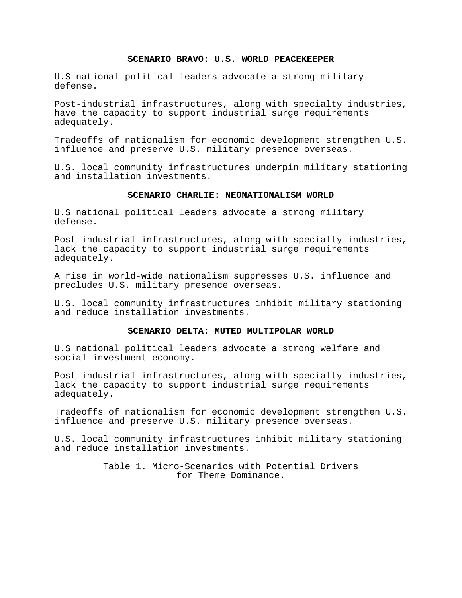## **SCENARIO BRAVO: U.S. WORLD PEACEKEEPER**

U.S national political leaders advocate a strong military defense.

Post-industrial infrastructures, along with specialty industries, have the capacity to support industrial surge requirements adequately.

Tradeoffs of nationalism for economic development strengthen U.S. influence and preserve U.S. military presence overseas.

U.S. local community infrastructures underpin military stationing and installation investments.

## **SCENARIO CHARLIE: NEONATIONALISM WORLD**

U.S national political leaders advocate a strong military defense.

Post-industrial infrastructures, along with specialty industries, lack the capacity to support industrial surge requirements adequately.

A rise in world-wide nationalism suppresses U.S. influence and precludes U.S. military presence overseas.

U.S. local community infrastructures inhibit military stationing and reduce installation investments.

#### **SCENARIO DELTA: MUTED MULTIPOLAR WORLD**

U.S national political leaders advocate a strong welfare and social investment economy.

Post-industrial infrastructures, along with specialty industries, lack the capacity to support industrial surge requirements adequately.

Tradeoffs of nationalism for economic development strengthen U.S. influence and preserve U.S. military presence overseas.

U.S. local community infrastructures inhibit military stationing and reduce installation investments.

> Table 1. Micro-Scenarios with Potential Drivers for Theme Dominance.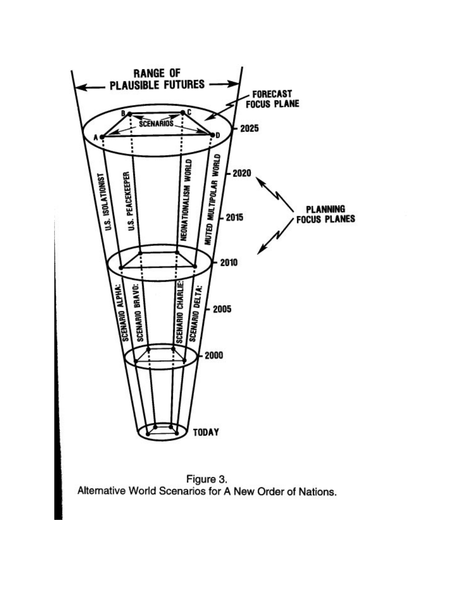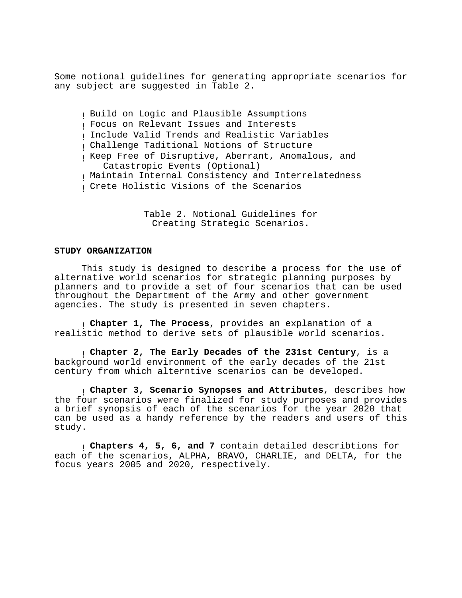Some notional guidelines for generating appropriate scenarios for any subject are suggested in Table 2.

! Build on Logic and Plausible Assumptions ! Focus on Relevant Issues and Interests ! Include Valid Trends and Realistic Variables ! Challenge Taditional Notions of Structure ! Keep Free of Disruptive, Aberrant, Anomalous, and Catastropic Events (Optional) ! Maintain Internal Consistency and Interrelatedness ! Crete Holistic Visions of the Scenarios

> Table 2. Notional Guidelines for Creating Strategic Scenarios.

# **STUDY ORGANIZATION**

This study is designed to describe a process for the use of alternative world scenarios for strategic planning purposes by planners and to provide a set of four scenarios that can be used throughout the Department of the Army and other government agencies. The study is presented in seven chapters.

! **Chapter 1, The Process**, provides an explanation of a realistic method to derive sets of plausible world scenarios.

! **Chapter 2, The Early Decades of the 231st Century**, is a background world environment of the early decades of the 21st century from which alterntive scenarios can be developed.

! **Chapter 3, Scenario Synopses and Attributes**, describes how the four scenarios were finalized for study purposes and provides a brief synopsis of each of the scenarios for the year 2020 that can be used as a handy reference by the readers and users of this study.

! **Chapters 4, 5, 6, and 7** contain detailed describtions for each of the scenarios, ALPHA, BRAVO, CHARLIE, and DELTA, for the focus years 2005 and 2020, respectively.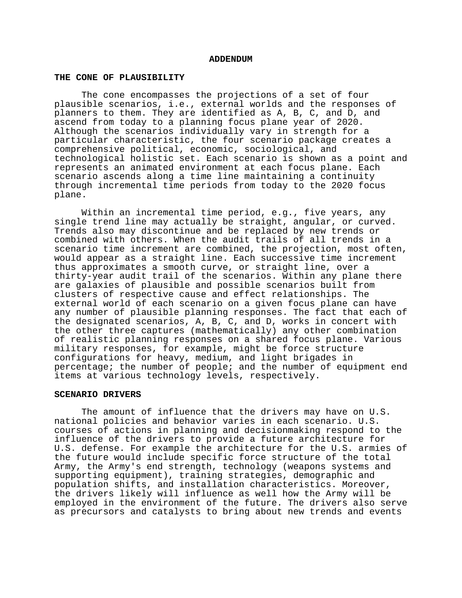#### **ADDENDUM**

#### **THE CONE OF PLAUSIBILITY**

The cone encompasses the projections of a set of four plausible scenarios, i.e., external worlds and the responses of planners to them. They are identified as A, B, C, and D, and ascend from today to a planning focus plane year of 2020. Although the scenarios individually vary in strength for a particular characteristic, the four scenario package creates a comprehensive political, economic, sociological, and technological holistic set. Each scenario is shown as a point and represents an animated environment at each focus plane. Each scenario ascends along a time line maintaining a continuity through incremental time periods from today to the 2020 focus plane.

Within an incremental time period, e.g., five years, any single trend line may actually be straight, angular, or curved. Trends also may discontinue and be replaced by new trends or combined with others. When the audit trails of all trends in a scenario time increment are combined, the projection, most often, would appear as a straight line. Each successive time increment thus approximates a smooth curve, or straight line, over a thirty-year audit trail of the scenarios. Within any plane there are galaxies of plausible and possible scenarios built from clusters of respective cause and effect relationships. The external world of each scenario on a given focus plane can have any number of plausible planning responses. The fact that each of the designated scenarios, A, B, C, and D, works in concert with the other three captures (mathematically) any other combination of realistic planning responses on a shared focus plane. Various military responses, for example, might be force structure configurations for heavy, medium, and light brigades in percentage; the number of people; and the number of equipment end items at various technology levels, respectively.

#### **SCENARIO DRIVERS**

The amount of influence that the drivers may have on U.S. national policies and behavior varies in each scenario. U.S. courses of actions in planning and decisionmaking respond to the influence of the drivers to provide a future architecture for U.S. defense. For example the architecture for the U.S. armies of the future would include specific force structure of the total Army, the Army's end strength, technology (weapons systems and supporting equipment), training strategies, demographic and population shifts, and installation characteristics. Moreover, the drivers likely will influence as well how the Army will be employed in the environment of the future. The drivers also serve as precursors and catalysts to bring about new trends and events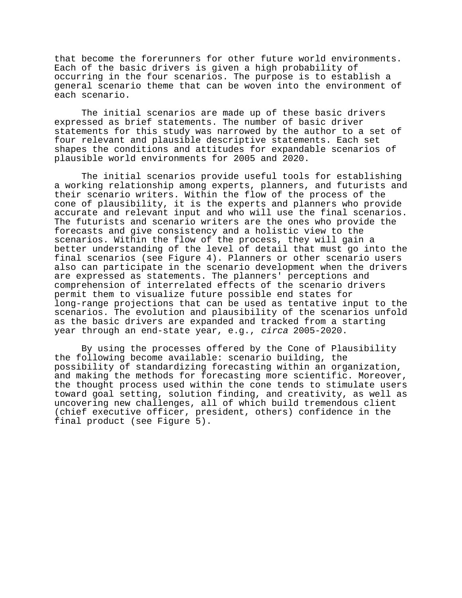that become the forerunners for other future world environments. Each of the basic drivers is given a high probability of occurring in the four scenarios. The purpose is to establish a general scenario theme that can be woven into the environment of each scenario.

The initial scenarios are made up of these basic drivers expressed as brief statements. The number of basic driver statements for this study was narrowed by the author to a set of four relevant and plausible descriptive statements. Each set shapes the conditions and attitudes for expandable scenarios of plausible world environments for 2005 and 2020.

The initial scenarios provide useful tools for establishing a working relationship among experts, planners, and futurists and their scenario writers. Within the flow of the process of the cone of plausibility, it is the experts and planners who provide accurate and relevant input and who will use the final scenarios. The futurists and scenario writers are the ones who provide the forecasts and give consistency and a holistic view to the scenarios. Within the flow of the process, they will gain a better understanding of the level of detail that must go into the final scenarios (see Figure 4). Planners or other scenario users also can participate in the scenario development when the drivers are expressed as statements. The planners' perceptions and comprehension of interrelated effects of the scenario drivers permit them to visualize future possible end states for long-range projections that can be used as tentative input to the scenarios. The evolution and plausibility of the scenarios unfold as the basic drivers are expanded and tracked from a starting year through an end-state year, e.g., circa 2005-2020.

By using the processes offered by the Cone of Plausibility the following become available: scenario building, the possibility of standardizing forecasting within an organization, and making the methods for forecasting more scientific. Moreover, the thought process used within the cone tends to stimulate users toward goal setting, solution finding, and creativity, as well as uncovering new challenges, all of which build tremendous client (chief executive officer, president, others) confidence in the final product (see Figure 5).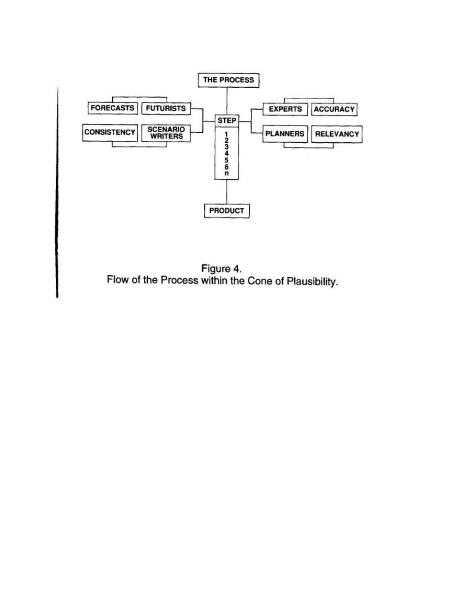

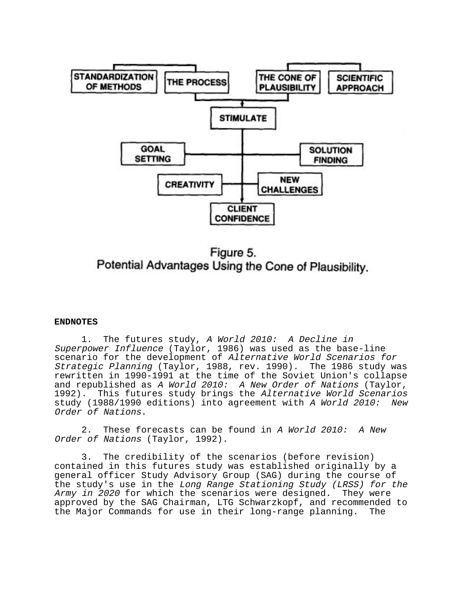

Figure 5. Potential Advantages Using the Cone of Plausibility.

### **ENDNOTES**

1. The futures study, A World 2010: A Decline in Superpower Influence (Taylor, 1986) was used as the base-line scenario for the development of Alternative World Scenarios for Strategic Planning (Taylor, 1988, rev. 1990). The 1986 study was rewritten in 1990-1991 at the time of the Soviet Union's collapse and republished as A World 2010: A New Order of Nations (Taylor,<br>1992). This futures study brings the Alternative World Scenarios This futures study brings the Alternative World Scenarios study (1988/1990 editions) into agreement with A World 2010: New Order of Nations.

2. These forecasts can be found in A World 2010: A New Order of Nations (Taylor, 1992).

3. The credibility of the scenarios (before revision) contained in this futures study was established originally by a general officer Study Advisory Group (SAG) during the course of the study's use in the Long Range Stationing Study (LRSS) for the Army in 2020 for which the scenarios were designed. They were approved by the SAG Chairman, LTG Schwarzkopf, and recommended to the Major Commands for use in their long-range planning. The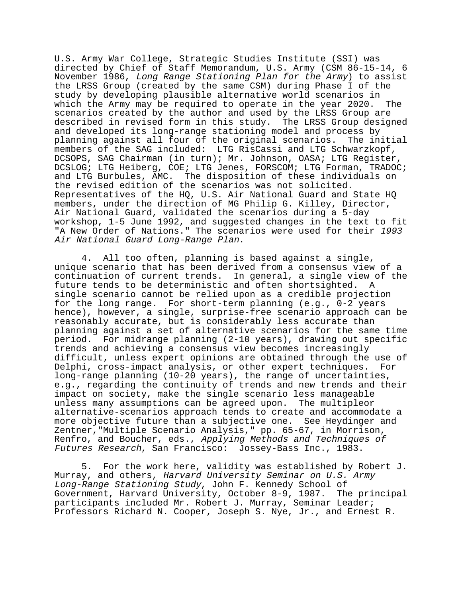U.S. Army War College, Strategic Studies Institute (SSI) was directed by Chief of Staff Memorandum, U.S. Army (CSM 86-15-14, 6 November 1986, Long Range Stationing Plan for the Army) to assist the LRSS Group (created by the same CSM) during Phase I of the study by developing plausible alternative world scenarios in which the Army may be required to operate in the year 2020. The scenarios created by the author and used by the LRSS Group are described in revised form in this study. The LRSS Group designed and developed its long-range stationing model and process by planning against all four of the original scenarios. The initial members of the SAG included: LTG RisCassi and LTG Schwarzkopf, DCSOPS, SAG Chairman (in turn); Mr. Johnson, OASA; LTG Register, DCSLOG; LTG Heiberg, COE; LTG Jenes, FORSCOM; LTG Forman, TRADOC; and LTG Burbules, AMC. The disposition of these individuals on the revised edition of the scenarios was not solicited. Representatives of the HQ, U.S. Air National Guard and State HQ members, under the direction of MG Philip G. Killey, Director, Air National Guard, validated the scenarios during a 5-day workshop, 1-5 June 1992, and suggested changes in the text to fit "A New Order of Nations." The scenarios were used for their 1993 Air National Guard Long-Range Plan.

4. All too often, planning is based against a single, unique scenario that has been derived from a consensus view of a continuation of current trends. In general, a single view of the future tends to be deterministic and often shortsighted. A single scenario cannot be relied upon as a credible projection for the long range. For short-term planning (e.g., 0-2 years hence), however, a single, surprise-free scenario approach can be reasonably accurate, but is considerably less accurate than planning against a set of alternative scenarios for the same time period. For midrange planning (2-10 years), drawing out specific trends and achieving a consensus view becomes increasingly difficult, unless expert opinions are obtained through the use of Delphi, cross-impact analysis, or other expert techniques. For long-range planning (10-20 years), the range of uncertainties, e.g., regarding the continuity of trends and new trends and their impact on society, make the single scenario less manageable unless many assumptions can be agreed upon. The multipleor alternative-scenarios approach tends to create and accommodate a more objective future than a subjective one. See Heydinger and Zentner,"Multiple Scenario Analysis," pp. 65-67, in Morrison, Renfro, and Boucher, eds., Applying Methods and Techniques of Futures Research, San Francisco: Jossey-Bass Inc., 1983.

5. For the work here, validity was established by Robert J. Murray, and others, Harvard University Seminar on U.S. Army Long-Range Stationing Study, John F. Kennedy School of Government, Harvard University, October 8-9, 1987. The principal participants included Mr. Robert J. Murray, Seminar Leader; Professors Richard N. Cooper, Joseph S. Nye, Jr., and Ernest R.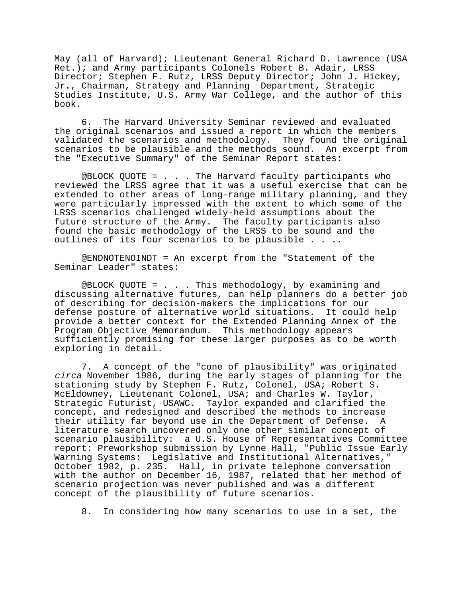May (all of Harvard); Lieutenant General Richard D. Lawrence (USA Ret.); and Army participants Colonels Robert B. Adair, LRSS Director; Stephen F. Rutz, LRSS Deputy Director; John J. Hickey, Jr., Chairman, Strategy and Planning Department, Strategic Studies Institute, U.S. Army War College, and the author of this book.

6. The Harvard University Seminar reviewed and evaluated the original scenarios and issued a report in which the members validated the scenarios and methodology. They found the original scenarios to be plausible and the methods sound. An excerpt from the "Executive Summary" of the Seminar Report states:

@BLOCK QUOTE = . . . The Harvard faculty participants who reviewed the LRSS agree that it was a useful exercise that can be extended to other areas of long-range military planning, and they were particularly impressed with the extent to which some of the LRSS scenarios challenged widely-held assumptions about the future structure of the Army. The faculty participants also found the basic methodology of the LRSS to be sound and the outlines of its four scenarios to be plausible . . ..

@ENDNOTENOINDT = An excerpt from the "Statement of the Seminar Leader" states:

@BLOCK QUOTE = . . . This methodology, by examining and discussing alternative futures, can help planners do a better job of describing for decision-makers the implications for our defense posture of alternative world situations. It could help provide a better context for the Extended Planning Annex of the Program Objective Memorandum. This methodology appears sufficiently promising for these larger purposes as to be worth exploring in detail.

7. A concept of the "cone of plausibility" was originated circa November 1986, during the early stages of planning for the stationing study by Stephen F. Rutz, Colonel, USA; Robert S. McEldowney, Lieutenant Colonel, USA; and Charles W. Taylor, Strategic Futurist, USAWC. Taylor expanded and clarified the concept, and redesigned and described the methods to increase their utility far beyond use in the Department of Defense. A literature search uncovered only one other similar concept of scenario plausibility: a U.S. House of Representatives Committee report: Preworkshop submission by Lynne Hall, "Public Issue Early Warning Systems: Legislative and Institutional Alternatives," October 1982, p. 235. Hall, in private telephone conversation with the author on December 16, 1987, related that her method of scenario projection was never published and was a different concept of the plausibility of future scenarios.

8. In considering how many scenarios to use in a set, the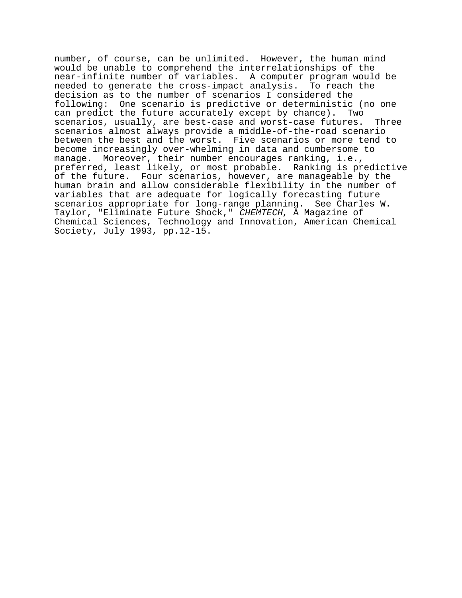number, of course, can be unlimited. However, the human mind would be unable to comprehend the interrelationships of the near-infinite number of variables. A computer program would be needed to generate the cross-impact analysis. To reach the decision as to the number of scenarios I considered the following: One scenario is predictive or deterministic (no one can predict the future accurately except by chance). Two scenarios, usually, are best-case and worst-case futures. Three scenarios almost always provide a middle-of-the-road scenario between the best and the worst. Five scenarios or more tend to become increasingly over-whelming in data and cumbersome to manage. Moreover, their number encourages ranking, i.e., preferred, least likely, or most probable. Ranking is predictive of the future. Four scenarios, however, are manageable by the human brain and allow considerable flexibility in the number of variables that are adequate for logically forecasting future scenarios appropriate for long-range planning. See Charles W. Taylor, "Eliminate Future Shock," CHEMTECH, A Magazine of Chemical Sciences, Technology and Innovation, American Chemical Society, July 1993, pp.12-15.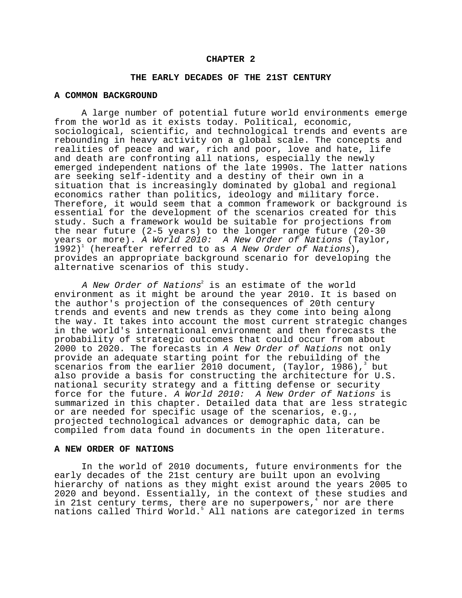#### **CHAPTER 2**

#### **THE EARLY DECADES OF THE 21ST CENTURY**

#### **A COMMON BACKGROUND**

A large number of potential future world environments emerge from the world as it exists today. Political, economic, sociological, scientific, and technological trends and events are rebounding in heavy activity on a global scale. The concepts and realities of peace and war, rich and poor, love and hate, life and death are confronting all nations, especially the newly emerged independent nations of the late 1990s. The latter nations are seeking self-identity and a destiny of their own in a situation that is increasingly dominated by global and regional economics rather than politics, ideology and military force. Therefore, it would seem that a common framework or background is essential for the development of the scenarios created for this study. Such a framework would be suitable for projections from the near future (2-5 years) to the longer range future (20-30 years or more). A World 2010: A New Order of Nations (Taylor,  $\overline{1}$ 992)<sup>1</sup> (hereafter referred to as A New Order of Nations), provides an appropriate background scenario for developing the alternative scenarios of this study.

A New Order of Nations $^2$  is an estimate of the world environment as it might be around the year 2010. It is based on the author's projection of the consequences of 20th century trends and events and new trends as they come into being along the way. It takes into account the most current strategic changes in the world's international environment and then forecasts the probability of strategic outcomes that could occur from about 2000 to 2020. The forecasts in A New Order of Nations not only provide an adequate starting point for the rebuilding of the scenarios from the earlier 2010 document, (Taylor, 1986),<sup>3</sup> but also provide a basis for constructing the architecture for U.S. national security strategy and a fitting defense or security force for the future. A World 2010: A New Order of Nations is summarized in this chapter. Detailed data that are less strategic or are needed for specific usage of the scenarios, e.g., projected technological advances or demographic data, can be compiled from data found in documents in the open literature.

## **A NEW ORDER OF NATIONS**

In the world of 2010 documents, future environments for the early decades of the 21st century are built upon an evolving hierarchy of nations as they might exist around the years 2005 to 2020 and beyond. Essentially, in the context of these studies and in 21st century terms, there are no superpowers,<sup>4</sup> nor are there nations called Third World.<sup>5</sup> All nations are categorized in terms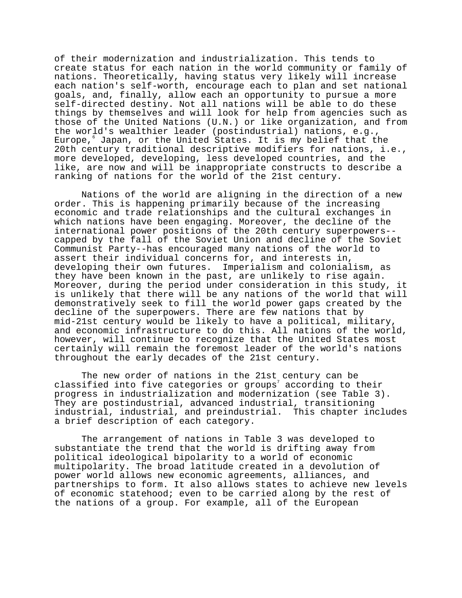of their modernization and industrialization. This tends to create status for each nation in the world community or family of nations. Theoretically, having status very likely will increase each nation's self-worth, encourage each to plan and set national goals, and, finally, allow each an opportunity to pursue a more self-directed destiny. Not all nations will be able to do these things by themselves and will look for help from agencies such as those of the United Nations (U.N.) or like organization, and from the world's wealthier leader (postindustrial) nations, e.g., Europe, Japan, or the United States. It is my belief that the 20th century traditional descriptive modifiers for nations, i.e., more developed, developing, less developed countries, and the like, are now and will be inappropriate constructs to describe a ranking of nations for the world of the 21st century.

Nations of the world are aligning in the direction of a new order. This is happening primarily because of the increasing economic and trade relationships and the cultural exchanges in which nations have been engaging. Moreover, the decline of the international power positions of the 20th century superpowers- capped by the fall of the Soviet Union and decline of the Soviet Communist Party--has encouraged many nations of the world to assert their individual concerns for, and interests in, developing their own futures. Imperialism and colonialism, as they have been known in the past, are unlikely to rise again. Moreover, during the period under consideration in this study, it is unlikely that there will be any nations of the world that will demonstratively seek to fill the world power gaps created by the decline of the superpowers. There are few nations that by mid-21st century would be likely to have a political, military, and economic infrastructure to do this. All nations of the world, however, will continue to recognize that the United States most certainly will remain the foremost leader of the world's nations throughout the early decades of the 21st century.

The new order of nations in the 21st century can be classified into five categories or groups $^{7}$  according to their progress in industrialization and modernization (see Table 3). They are postindustrial, advanced industrial, transitioning industrial, industrial, and preindustrial. This chapter includes a brief description of each category.

The arrangement of nations in Table 3 was developed to substantiate the trend that the world is drifting away from political ideological bipolarity to a world of economic multipolarity. The broad latitude created in a devolution of power world allows new economic agreements, alliances, and partnerships to form. It also allows states to achieve new levels of economic statehood; even to be carried along by the rest of the nations of a group. For example, all of the European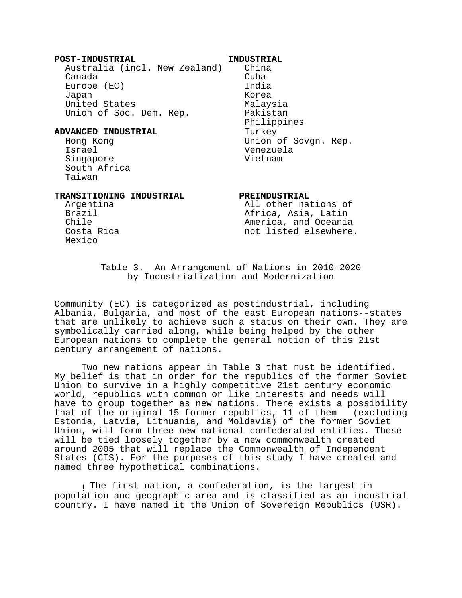#### **POST-INDUSTRIAL INDUSTRIAL**

 Australia (incl. New Zealand) China Canada Cuba Europe (EC) and India Japan Korea United States Malaysia Union of Soc. Dem. Rep. Pakistan

# **ADVANCED INDUSTRIAL** Turkey

 Israel Venezuela Singapore Vietnam South Africa Taiwan

Philippines Hong Kong Union of Sovgn. Rep.

# **TRANSITIONING INDUSTRIAL PREINDUSTRIAL**

Mexico

 Argentina All other nations of Brazil **Brazil Africa, Asia, Latin** Chile **America**, and Oceania Costa Rica not listed elsewhere.

> Table 3. An Arrangement of Nations in 2010-2020 by Industrialization and Modernization

Community (EC) is categorized as postindustrial, including Albania, Bulgaria, and most of the east European nations--states that are unlikely to achieve such a status on their own. They are symbolically carried along, while being helped by the other European nations to complete the general notion of this 21st century arrangement of nations.

Two new nations appear in Table 3 that must be identified. My belief is that in order for the republics of the former Soviet Union to survive in a highly competitive 21st century economic world, republics with common or like interests and needs will have to group together as new nations. There exists a possibility that of the original 15 former republics, 11 of them (excluding Estonia, Latvia, Lithuania, and Moldavia) of the former Soviet Union, will form three new national confederated entities. These will be tied loosely together by a new commonwealth created around 2005 that will replace the Commonwealth of Independent States (CIS). For the purposes of this study I have created and named three hypothetical combinations.

! The first nation, a confederation, is the largest in population and geographic area and is classified as an industrial country. I have named it the Union of Sovereign Republics (USR).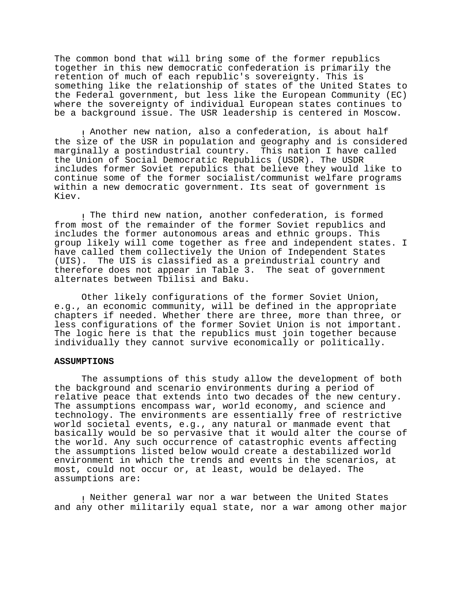The common bond that will bring some of the former republics together in this new democratic confederation is primarily the retention of much of each republic's sovereignty. This is something like the relationship of states of the United States to the Federal government, but less like the European Community (EC) where the sovereignty of individual European states continues to be a background issue. The USR leadership is centered in Moscow.

! Another new nation, also a confederation, is about half the size of the USR in population and geography and is considered marginally a postindustrial country. This nation I have called the Union of Social Democratic Republics (USDR). The USDR includes former Soviet republics that believe they would like to continue some of the former socialist/communist welfare programs within a new democratic government. Its seat of government is Kiev.

! The third new nation, another confederation, is formed from most of the remainder of the former Soviet republics and includes the former autonomous areas and ethnic groups. This group likely will come together as free and independent states. I have called them collectively the Union of Independent States (UIS). The UIS is classified as a preindustrial country and therefore does not appear in Table 3. The seat of government alternates between Tbilisi and Baku.

Other likely configurations of the former Soviet Union, e.g., an economic community, will be defined in the appropriate chapters if needed. Whether there are three, more than three, or less configurations of the former Soviet Union is not important. The logic here is that the republics must join together because individually they cannot survive economically or politically.

## **ASSUMPTIONS**

The assumptions of this study allow the development of both the background and scenario environments during a period of relative peace that extends into two decades of the new century. The assumptions encompass war, world economy, and science and technology. The environments are essentially free of restrictive world societal events, e.g., any natural or manmade event that basically would be so pervasive that it would alter the course of the world. Any such occurrence of catastrophic events affecting the assumptions listed below would create a destabilized world environment in which the trends and events in the scenarios, at most, could not occur or, at least, would be delayed. The assumptions are:

! Neither general war nor a war between the United States and any other militarily equal state, nor a war among other major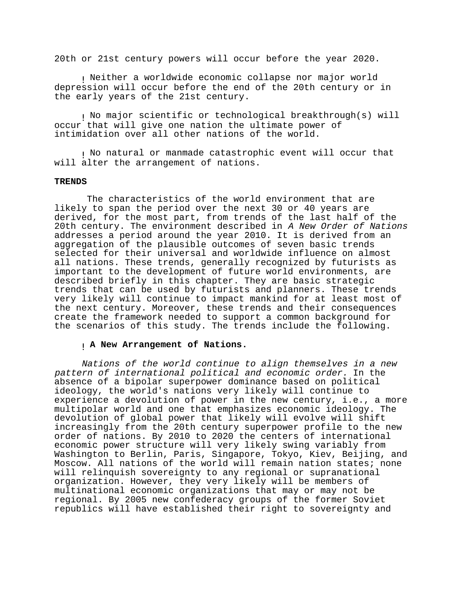20th or 21st century powers will occur before the year 2020.

! Neither a worldwide economic collapse nor major world depression will occur before the end of the 20th century or in the early years of the 21st century.

! No major scientific or technological breakthrough(s) will occur that will give one nation the ultimate power of intimidation over all other nations of the world.

! No natural or manmade catastrophic event will occur that will alter the arrangement of nations.

#### **TRENDS**

 The characteristics of the world environment that are likely to span the period over the next 30 or 40 years are derived, for the most part, from trends of the last half of the 20th century. The environment described in A New Order of Nations addresses a period around the year 2010. It is derived from an aggregation of the plausible outcomes of seven basic trends selected for their universal and worldwide influence on almost all nations. These trends, generally recognized by futurists as important to the development of future world environments, are described briefly in this chapter. They are basic strategic trends that can be used by futurists and planners. These trends very likely will continue to impact mankind for at least most of the next century. Moreover, these trends and their consequences create the framework needed to support a common background for the scenarios of this study. The trends include the following.

## ! **A New Arrangement of Nations.**

Nations of the world continue to align themselves in a new pattern of international political and economic order. In the absence of a bipolar superpower dominance based on political ideology, the world's nations very likely will continue to experience a devolution of power in the new century, i.e., a more multipolar world and one that emphasizes economic ideology. The devolution of global power that likely will evolve will shift increasingly from the 20th century superpower profile to the new order of nations. By 2010 to 2020 the centers of international economic power structure will very likely swing variably from Washington to Berlin, Paris, Singapore, Tokyo, Kiev, Beijing, and Moscow. All nations of the world will remain nation states; none will relinquish sovereignty to any regional or supranational organization. However, they very likely will be members of multinational economic organizations that may or may not be regional. By 2005 new confederacy groups of the former Soviet republics will have established their right to sovereignty and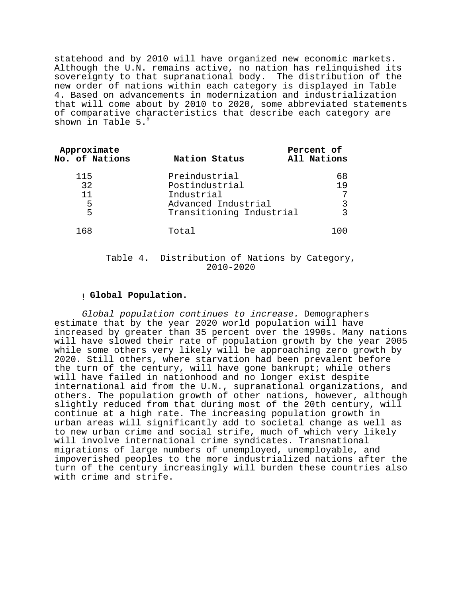statehood and by 2010 will have organized new economic markets. Although the U.N. remains active, no nation has relinquished its sovereignty to that supranational body. The distribution of the new order of nations within each category is displayed in Table 4. Based on advancements in modernization and industrialization that will come about by 2010 to 2020, some abbreviated statements of comparative characteristics that describe each category are shown in Table 5.

| Approximate<br>No. of Nations | Nation Status                                                                                    | Percent of<br>All Nations |
|-------------------------------|--------------------------------------------------------------------------------------------------|---------------------------|
| 115<br>32<br>11<br>5<br>5     | Preindustrial<br>Postindustrial<br>Industrial<br>Advanced Industrial<br>Transitioning Industrial | 68<br>19<br>7<br>२        |
| 168                           | Total                                                                                            | 100                       |

Table 4. Distribution of Nations by Category, 2010-2020

## ! **Global Population.**

Global population continues to increase. Demographers estimate that by the year 2020 world population will have increased by greater than 35 percent over the 1990s. Many nations will have slowed their rate of population growth by the year 2005 while some others very likely will be approaching zero growth by 2020. Still others, where starvation had been prevalent before the turn of the century, will have gone bankrupt; while others will have failed in nationhood and no longer exist despite international aid from the U.N., supranational organizations, and others. The population growth of other nations, however, although slightly reduced from that during most of the 20th century, will continue at a high rate. The increasing population growth in urban areas will significantly add to societal change as well as to new urban crime and social strife, much of which very likely will involve international crime syndicates. Transnational migrations of large numbers of unemployed, unemployable, and impoverished peoples to the more industrialized nations after the turn of the century increasingly will burden these countries also with crime and strife.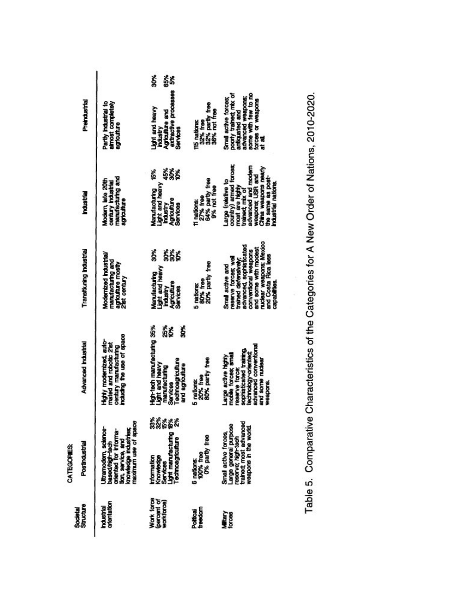Table 5. Comparative Characteristics of the Categories for A New Order of Nations, 2010-2020.

 $\ddot{\psi}$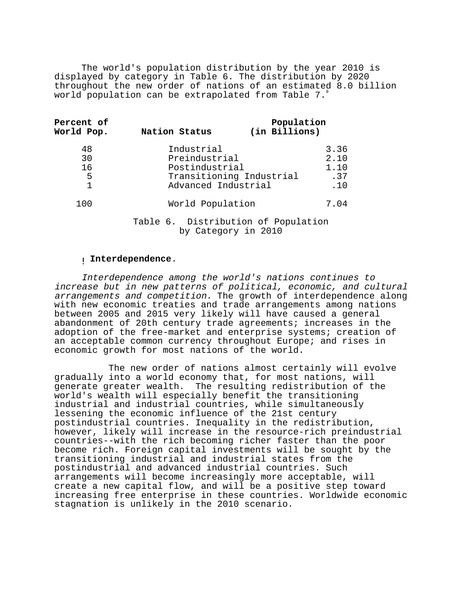The world's population distribution by the year 2010 is displayed by category in Table 6. The distribution by 2020 throughout the new order of nations of an estimated 8.0 billion world population can be extrapolated from Table 7.

| <b>Percent of</b><br>World Pop. | Nation Status                                                        | Population<br>(in Billions) |                                    |
|---------------------------------|----------------------------------------------------------------------|-----------------------------|------------------------------------|
| 48<br>30<br>16<br>5<br>1        | Industrial<br>Preindustrial<br>Postindustrial<br>Advanced Industrial | Transitioning Industrial    | 3.36<br>2.10<br>1.10<br>.37<br>.10 |
| 100                             | World Population                                                     |                             | 7.04                               |
|                                 | Table 6. Distribution of Population                                  |                             |                                    |

by Category in 2010

# ! **Interdependence**.

Interdependence among the world's nations continues to increase but in new patterns of political, economic, and cultural arrangements and competition. The growth of interdependence along with new economic treaties and trade arrangements among nations between 2005 and 2015 very likely will have caused a general abandonment of 20th century trade agreements; increases in the adoption of the free-market and enterprise systems; creation of an acceptable common currency throughout Europe; and rises in economic growth for most nations of the world.

 The new order of nations almost certainly will evolve gradually into a world economy that, for most nations, will generate greater wealth. The resulting redistribution of the world's wealth will especially benefit the transitioning industrial and industrial countries, while simultaneously lessening the economic influence of the 21st century postindustrial countries. Inequality in the redistribution, however, likely will increase in the resource-rich preindustrial countries--with the rich becoming richer faster than the poor become rich. Foreign capital investments will be sought by the transitioning industrial and industrial states from the postindustrial and advanced industrial countries. Such arrangements will become increasingly more acceptable, will create a new capital flow, and will be a positive step toward increasing free enterprise in these countries. Worldwide economic stagnation is unlikely in the 2010 scenario.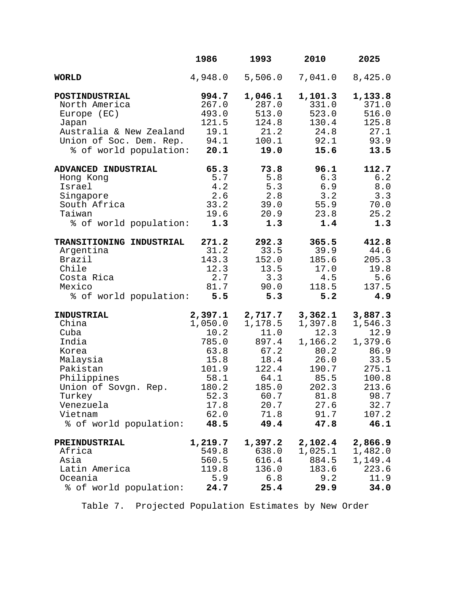|                          | 1986           | 1993           | 2010           | 2025             |
|--------------------------|----------------|----------------|----------------|------------------|
| <b>WORLD</b>             | 4,948.0        | 5,506.0        | 7,041.0        | 8,425.0          |
| POSTINDUSTRIAL           | 994.7          | 1,046.1        | 1,101.3        | 1,133.8          |
| North America            | 267.0          | 287.0          | 331.0          | 371.0            |
| Europe (EC)              | 493.0          | 513.0          | 523.0          | 516.0            |
| Japan                    | 121.5          | 124.8          | 130.4          | 125.8            |
| Australia & New Zealand  | 19.1           | 21.2           | 24.8           | 27.1             |
| Union of Soc. Dem. Rep.  | 94.1           | 100.1          | 92.1           | 93.9             |
| % of world population:   | 20.1           | 19.0           | 15.6           | 13.5             |
| ADVANCED INDUSTRIAL      | 65.3           | 73.8           | 96.1           | 112.7            |
| Hong Kong                | 5.7            | 5.8            | 6.3            | 6.2              |
| Israel                   | 4.2            | 5.3            | 6.9            | 8.0              |
| Singapore                | 2.6            | 2.8            | 3.2            | 3.3              |
| South Africa             | 33.2           | 39.0           | 55.9           | 70.0             |
| Taiwan                   | 19.6           | 20.9           | 23.8           | 25.2             |
| % of world population:   | 1.3            | 1.3            | 1.4            | 1.3              |
| TRANSITIONING INDUSTRIAL | 271.2          | 292.3          | 365.5          | 412.8            |
| Argentina                | 31.2           | 33.5           | 39.9           | 44.6             |
| Brazil                   | 143.3          | 152.0          | 185.6          | 205.3            |
| Chile                    | 12.3           | 13.5           | 17.0           | 19.8             |
| Costa Rica               | 2.7            | 3.3            | 4.5            | 5.6              |
| Mexico                   | 81.7           | 90.0           | 118.5          | 137.5            |
| % of world population:   | 5.5            | 5.3            | 5.2            | 4.9              |
| <b>INDUSTRIAL</b>        | 2,397.1        | 2,717.7        | 3,362.1        | 3,887.3          |
| China                    | 1,050.0        | 1,178.5        | 1,397.8        | 1,546.3          |
| Cuba                     | 10.2           | 11.0           | 12.3           | 12.9             |
| India                    | 785.0          | 897.4          | 1,166.2        | 1,379.6          |
| Korea                    | 63.8           | 67.2           | 80.2           | 86.9             |
| Malaysia                 | 15.8           | 18.4           | 26.0           | 33.5             |
| Pakistan                 | 101.9          | 122.4          | 190.7          | 275.1            |
| Philippines              | 58.1           | 64.1           | 85.5           | 100.8            |
| Union of Sovgn. Rep.     | 180.2          | 185.0          | 202.3          | 213.6            |
| Turkey                   | 52.3           | 60.7           | 81.8           | 98.7             |
| Venezuela<br>Vietnam     | 17.8<br>62.0   | 20.7<br>71.8   | 27.6<br>91.7   | 32.7<br>107.2    |
|                          |                |                |                |                  |
| % of world population:   | 48.5           | 49.4           | 47.8           | 46.1             |
| PREINDUSTRIAL            | 1,219.7        | 1,397.2        | 2,102.4        | 2,866.9          |
| Africa<br>Asia           | 549.8          | 638.0          | 1,025.1        | 1,482.0          |
| Latin America            | 560.5<br>119.8 | 616.4<br>136.0 | 884.5<br>183.6 | 1,149.4<br>223.6 |
| Oceania                  | 5.9            | 6.8            | 9.2            | 11.9             |
| % of world population:   | 24.7           | 25.4           | 29.9           | 34.0             |
|                          |                |                |                |                  |

Table 7. Projected Population Estimates by New Order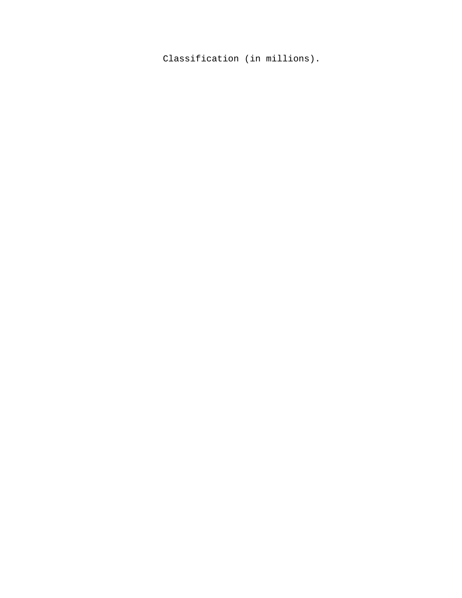Classification (in millions).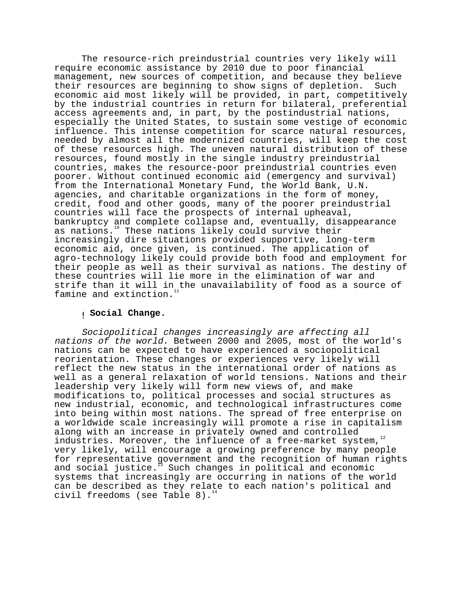The resource-rich preindustrial countries very likely will require economic assistance by 2010 due to poor financial management, new sources of competition, and because they believe their resources are beginning to show signs of depletion. Such economic aid most likely will be provided, in part, competitively by the industrial countries in return for bilateral, preferential access agreements and, in part, by the postindustrial nations, especially the United States, to sustain some vestige of economic influence. This intense competition for scarce natural resources, needed by almost all the modernized countries, will keep the cost of these resources high. The uneven natural distribution of these resources, found mostly in the single industry preindustrial countries, makes the resource-poor preindustrial countries even poorer. Without continued economic aid (emergency and survival) from the International Monetary Fund, the World Bank, U.N. agencies, and charitable organizations in the form of money, credit, food and other goods, many of the poorer preindustrial countries will face the prospects of internal upheaval, bankruptcy and complete collapse and, eventually, disappearance as nations.<sup>10</sup> These nations likely could survive their increasingly dire situations provided supportive, long-term economic aid, once given, is continued. The application of agro-technology likely could provide both food and employment for their people as well as their survival as nations. The destiny of these countries will lie more in the elimination of war and strife than it will in the unavailability of food as a source of famine and extinction.

# ! **Social Change.**

Sociopolitical changes increasingly are affecting all nations of the world. Between 2000 and 2005, most of the world's nations can be expected to have experienced a sociopolitical reorientation. These changes or experiences very likely will reflect the new status in the international order of nations as well as a general relaxation of world tensions. Nations and their leadership very likely will form new views of, and make modifications to, political processes and social structures as new industrial, economic, and technological infrastructures come into being within most nations. The spread of free enterprise on a worldwide scale increasingly will promote a rise in capitalism along with an increase in privately owned and controlled industries. Moreover, the influence of a free-market system, $12$ very likely, will encourage a growing preference by many people for representative government and the recognition of human rights<br>and social justice.<sup>13</sup> Such changes in political and economic  $^{\circ}$  Such changes in political and economic systems that increasingly are occurring in nations of the world can be described as they relate to each nation's political and civil freedoms (see Table 8).<sup>14</sup>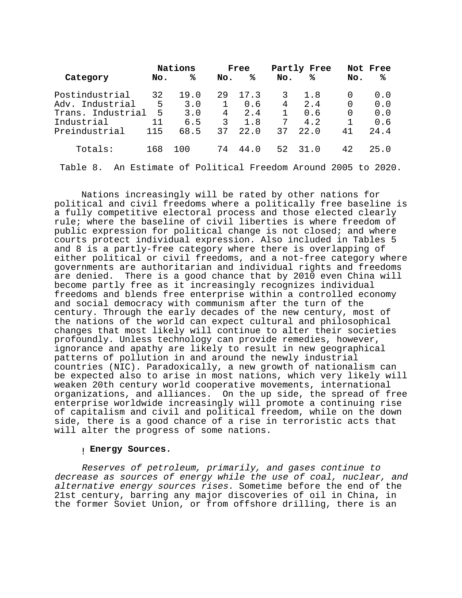|                   |     | Nations |              | Free |              | Partly Free |          | Not Free                                              |
|-------------------|-----|---------|--------------|------|--------------|-------------|----------|-------------------------------------------------------|
| Category          | No. | ℁       | No.          | ℁    | No.          | ℁           | No.      | ℁                                                     |
| Postindustrial    | 32  | 19.0    | 29           | 17.3 | 3            | 1.8         | $\Omega$ | 0.0                                                   |
| Adv. Industrial   | 5   | 3.0     | $\mathbf{1}$ | 0.6  | 4            | 2.4         | $\Omega$ | 0.0                                                   |
| Trans. Industrial | 5   | 3.0     | 4            | 2.4  | $\mathbf{1}$ | 0.6         | $\Omega$ | 0.0                                                   |
| Industrial        | 11  | 6.5     | २            | 1.8  | 7            | 4.2         | 1        | 0.6                                                   |
| Preindustrial     | 115 | 68.5    | 37           | 22.0 | 37           | 22.0        | 41       | 24.4                                                  |
| Totals:           | 168 | 100     | 74           | 44.0 | 52           | 31.0        | 42       | 25.0                                                  |
| Table 8.          |     |         |              |      |              |             |          | An Estimate of Political Freedom Around 2005 to 2020. |

Nations increasingly will be rated by other nations for political and civil freedoms where a politically free baseline is a fully competitive electoral process and those elected clearly rule; where the baseline of civil liberties is where freedom of public expression for political change is not closed; and where courts protect individual expression. Also included in Tables 5 and 8 is a partly-free category where there is overlapping of either political or civil freedoms, and a not-free category where governments are authoritarian and individual rights and freedoms are denied. There is a good chance that by 2010 even China will become partly free as it increasingly recognizes individual freedoms and blends free enterprise within a controlled economy and social democracy with communism after the turn of the century. Through the early decades of the new century, most of the nations of the world can expect cultural and philosophical changes that most likely will continue to alter their societies profoundly. Unless technology can provide remedies, however, ignorance and apathy are likely to result in new geographical patterns of pollution in and around the newly industrial countries (NIC). Paradoxically, a new growth of nationalism can be expected also to arise in most nations, which very likely will weaken 20th century world cooperative movements, international organizations, and alliances. On the up side, the spread of free enterprise worldwide increasingly will promote a continuing rise of capitalism and civil and political freedom, while on the down side, there is a good chance of a rise in terroristic acts that will alter the progress of some nations.

# ! **Energy Sources.**

Reserves of petroleum, primarily, and gases continue to decrease as sources of energy while the use of coal, nuclear, and alternative energy sources rises. Sometime before the end of the 21st century, barring any major discoveries of oil in China, in the former Soviet Union, or from offshore drilling, there is an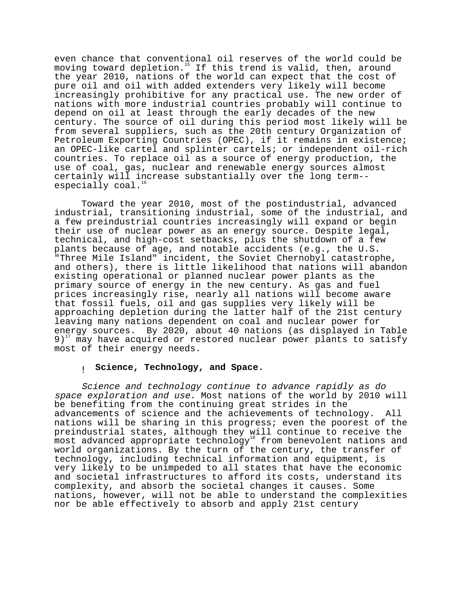even chance that conventional oil reserves of the world could be moving toward depletion.<sup>15</sup> If this trend is valid, then, around the year 2010, nations of the world can expect that the cost of pure oil and oil with added extenders very likely will become increasingly prohibitive for any practical use. The new order of nations with more industrial countries probably will continue to depend on oil at least through the early decades of the new century. The source of oil during this period most likely will be from several suppliers, such as the 20th century Organization of Petroleum Exporting Countries (OPEC), if it remains in existence; an OPEC-like cartel and splinter cartels; or independent oil-rich countries. To replace oil as a source of energy production, the use of coal, gas, nuclear and renewable energy sources almost certainly will increase substantially over the long term- especially  $\cosh^{-16}$ 

Toward the year 2010, most of the postindustrial, advanced industrial, transitioning industrial, some of the industrial, and a few preindustrial countries increasingly will expand or begin their use of nuclear power as an energy source. Despite legal, technical, and high-cost setbacks, plus the shutdown of a few plants because of age, and notable accidents (e.g., the U.S. "Three Mile Island" incident, the Soviet Chernobyl catastrophe, and others), there is little likelihood that nations will abandon existing operational or planned nuclear power plants as the primary source of energy in the new century. As gas and fuel prices increasingly rise, nearly all nations will become aware that fossil fuels, oil and gas supplies very likely will be approaching depletion during the latter half of the 21st century leaving many nations dependent on coal and nuclear power for energy sources. By 2020, about 40 nations (as displayed in Table  $9)^{17}$  may have acquired or restored nuclear power plants to satisfy most of their energy needs.

## ! **Science, Technology, and Space.**

Science and technology continue to advance rapidly as do space exploration and use. Most nations of the world by 2010 will be benefiting from the continuing great strides in the advancements of science and the achievements of technology. All nations will be sharing in this progress; even the poorest of the preindustrial states, although they will continue to receive the most advanced appropriate technology<sup>18</sup> from benevolent nations and world organizations. By the turn of the century, the transfer of technology, including technical information and equipment, is very likely to be unimpeded to all states that have the economic and societal infrastructures to afford its costs, understand its complexity, and absorb the societal changes it causes. Some nations, however, will not be able to understand the complexities nor be able effectively to absorb and apply 21st century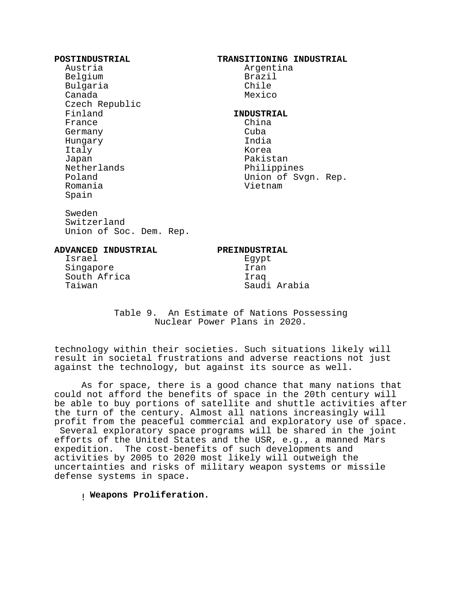| POSTINDUSTRIAL<br>Austria<br>Belgium<br>Bulgaria<br>Canada<br>Czech Republic                           | <b>TRANSITIONING INDUSTRIAL</b><br>Argentina<br>Brazil<br>Chile<br>Mexico                                         |
|--------------------------------------------------------------------------------------------------------|-------------------------------------------------------------------------------------------------------------------|
| Finland<br>France<br>Germany<br>Hungary<br>Italy<br>Japan<br>Netherlands<br>Poland<br>Romania<br>Spain | <b>INDUSTRIAL</b><br>China<br>Cuba<br>India<br>Korea<br>Pakistan<br>Philippines<br>Union of Svgn. Rep.<br>Vietnam |
| Sweden<br>Switzerland<br>Union of Soc. Dem. Rep.                                                       |                                                                                                                   |
| <b>ADVANCED INDUSTRIAL</b><br>Israel                                                                   | PREINDUSTRIAL<br>Egypt                                                                                            |

 Singapore Iran South Africa Iraq

Saudi Arabia

Table 9. An Estimate of Nations Possessing Nuclear Power Plans in 2020.

technology within their societies. Such situations likely will result in societal frustrations and adverse reactions not just against the technology, but against its source as well.

As for space, there is a good chance that many nations that could not afford the benefits of space in the 20th century will be able to buy portions of satellite and shuttle activities after the turn of the century. Almost all nations increasingly will profit from the peaceful commercial and exploratory use of space. Several exploratory space programs will be shared in the joint efforts of the United States and the USR, e.g., a manned Mars expedition. The cost-benefits of such developments and activities by 2005 to 2020 most likely will outweigh the uncertainties and risks of military weapon systems or missile defense systems in space.

! **Weapons Proliferation.**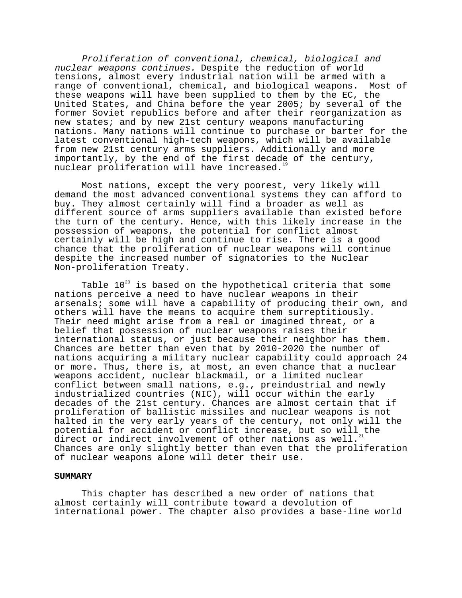Proliferation of conventional, chemical, biological and nuclear weapons continues. Despite the reduction of world tensions, almost every industrial nation will be armed with a range of conventional, chemical, and biological weapons. Most of these weapons will have been supplied to them by the EC, the United States, and China before the year 2005; by several of the former Soviet republics before and after their reorganization as new states; and by new 21st century weapons manufacturing nations. Many nations will continue to purchase or barter for the latest conventional high-tech weapons, which will be available from new 21st century arms suppliers. Additionally and more importantly, by the end of the first decade of the century, nuclear proliferation will have increased.<sup>19</sup>

Most nations, except the very poorest, very likely will demand the most advanced conventional systems they can afford to buy. They almost certainly will find a broader as well as different source of arms suppliers available than existed before the turn of the century. Hence, with this likely increase in the possession of weapons, the potential for conflict almost certainly will be high and continue to rise. There is a good chance that the proliferation of nuclear weapons will continue despite the increased number of signatories to the Nuclear Non-proliferation Treaty.

Table  $10^{20}$  is based on the hypothetical criteria that some nations perceive a need to have nuclear weapons in their arsenals; some will have a capability of producing their own, and others will have the means to acquire them surreptitiously. Their need might arise from a real or imagined threat, or a belief that possession of nuclear weapons raises their international status, or just because their neighbor has them. Chances are better than even that by 2010-2020 the number of nations acquiring a military nuclear capability could approach 24 or more. Thus, there is, at most, an even chance that a nuclear weapons accident, nuclear blackmail, or a limited nuclear conflict between small nations, e.g., preindustrial and newly industrialized countries (NIC), will occur within the early decades of the 21st century. Chances are almost certain that if proliferation of ballistic missiles and nuclear weapons is not halted in the very early years of the century, not only will the potential for accident or conflict increase, but so will the direct or indirect involvement of other nations as well. Chances are only slightly better than even that the proliferation of nuclear weapons alone will deter their use.

#### **SUMMARY**

This chapter has described a new order of nations that almost certainly will contribute toward a devolution of international power. The chapter also provides a base-line world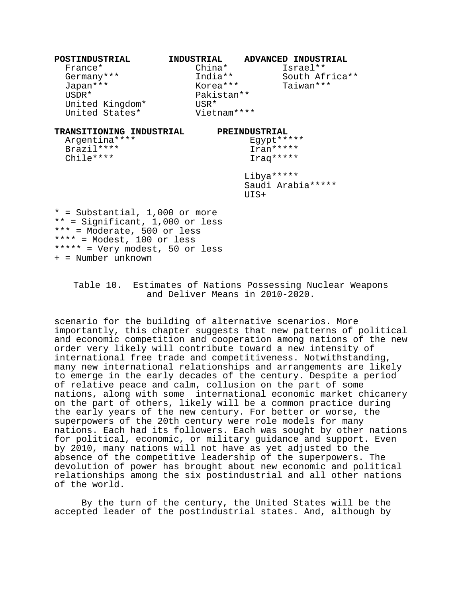| POSTINDUSTRIAL                                                                                                                                                                             | INDUSTRIAL  | ADVANCED INDUSTRIAL |
|--------------------------------------------------------------------------------------------------------------------------------------------------------------------------------------------|-------------|---------------------|
| France*                                                                                                                                                                                    | China*      | Israel**            |
| Germany***                                                                                                                                                                                 | India**     | South Africa**      |
| Japan ***                                                                                                                                                                                  | Korea***    | Taiwan ***          |
| $USDR*$                                                                                                                                                                                    | Pakistan**  |                     |
| United Kingdom*                                                                                                                                                                            | USR*        |                     |
| United States*                                                                                                                                                                             | Vietnam**** |                     |
| TRANSITIONING INDUSTRIAL                                                                                                                                                                   |             | PREINDUSTRIAL       |
| Argentina ****                                                                                                                                                                             |             | Egypt *****         |
| Brazil ****                                                                                                                                                                                |             | Iran*****           |
| Chile****                                                                                                                                                                                  |             | Iraq *****          |
|                                                                                                                                                                                            |             | Libya *****         |
|                                                                                                                                                                                            |             | Saudi Arabia *****  |
|                                                                                                                                                                                            |             | UIS+                |
| $*$ = Substantial, 1,000 or more<br>** = Significant, 1,000 or less<br>*** = Moderate, 500 or less<br>**** = $Model, 100$ or less<br>***** = Very modest, 50 or less<br>+ = Number unknown |             |                     |

# Table 10. Estimates of Nations Possessing Nuclear Weapons and Deliver Means in 2010-2020.

scenario for the building of alternative scenarios. More importantly, this chapter suggests that new patterns of political and economic competition and cooperation among nations of the new order very likely will contribute toward a new intensity of international free trade and competitiveness. Notwithstanding, many new international relationships and arrangements are likely to emerge in the early decades of the century. Despite a period of relative peace and calm, collusion on the part of some nations, along with some international economic market chicanery on the part of others, likely will be a common practice during the early years of the new century. For better or worse, the superpowers of the 20th century were role models for many nations. Each had its followers. Each was sought by other nations for political, economic, or military guidance and support. Even by 2010, many nations will not have as yet adjusted to the absence of the competitive leadership of the superpowers. The devolution of power has brought about new economic and political relationships among the six postindustrial and all other nations of the world.

By the turn of the century, the United States will be the accepted leader of the postindustrial states. And, although by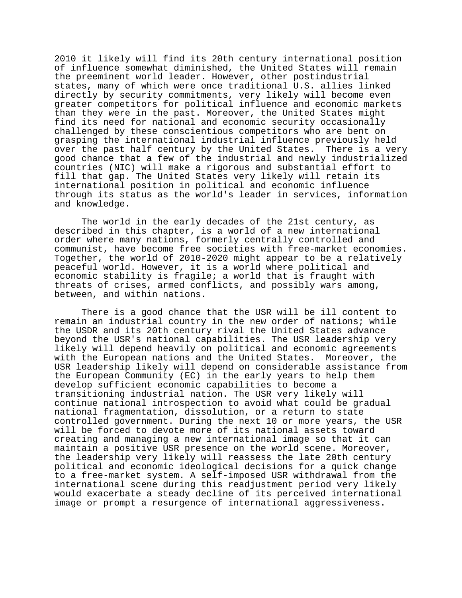2010 it likely will find its 20th century international position of influence somewhat diminished, the United States will remain the preeminent world leader. However, other postindustrial states, many of which were once traditional U.S. allies linked directly by security commitments, very likely will become even greater competitors for political influence and economic markets than they were in the past. Moreover, the United States might find its need for national and economic security occasionally challenged by these conscientious competitors who are bent on grasping the international industrial influence previously held over the past half century by the United States. There is a very good chance that a few of the industrial and newly industrialized countries (NIC) will make a rigorous and substantial effort to fill that gap. The United States very likely will retain its international position in political and economic influence through its status as the world's leader in services, information and knowledge.

The world in the early decades of the 21st century, as described in this chapter, is a world of a new international order where many nations, formerly centrally controlled and communist, have become free societies with free-market economies. Together, the world of 2010-2020 might appear to be a relatively peaceful world. However, it is a world where political and economic stability is fragile; a world that is fraught with threats of crises, armed conflicts, and possibly wars among, between, and within nations.

There is a good chance that the USR will be ill content to remain an industrial country in the new order of nations; while the USDR and its 20th century rival the United States advance beyond the USR's national capabilities. The USR leadership very likely will depend heavily on political and economic agreements with the European nations and the United States. Moreover, the USR leadership likely will depend on considerable assistance from the European Community (EC) in the early years to help them develop sufficient economic capabilities to become a transitioning industrial nation. The USR very likely will continue national introspection to avoid what could be gradual national fragmentation, dissolution, or a return to state controlled government. During the next 10 or more years, the USR will be forced to devote more of its national assets toward creating and managing a new international image so that it can maintain a positive USR presence on the world scene. Moreover, the leadership very likely will reassess the late 20th century political and economic ideological decisions for a quick change to a free-market system. A self-imposed USR withdrawal from the international scene during this readjustment period very likely would exacerbate a steady decline of its perceived international image or prompt a resurgence of international aggressiveness.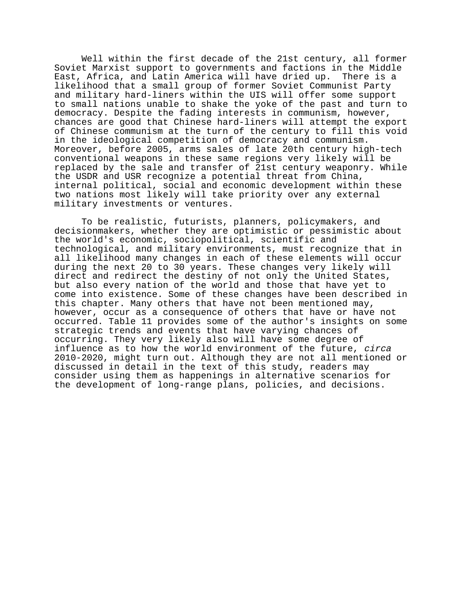Well within the first decade of the 21st century, all former Soviet Marxist support to governments and factions in the Middle East, Africa, and Latin America will have dried up. There is a likelihood that a small group of former Soviet Communist Party and military hard-liners within the UIS will offer some support to small nations unable to shake the yoke of the past and turn to democracy. Despite the fading interests in communism, however, chances are good that Chinese hard-liners will attempt the export of Chinese communism at the turn of the century to fill this void in the ideological competition of democracy and communism. Moreover, before 2005, arms sales of late 20th century high-tech conventional weapons in these same regions very likely will be replaced by the sale and transfer of 21st century weaponry. While the USDR and USR recognize a potential threat from China, internal political, social and economic development within these two nations most likely will take priority over any external military investments or ventures.

To be realistic, futurists, planners, policymakers, and decisionmakers, whether they are optimistic or pessimistic about the world's economic, sociopolitical, scientific and technological, and military environments, must recognize that in all likelihood many changes in each of these elements will occur during the next 20 to 30 years. These changes very likely will direct and redirect the destiny of not only the United States, but also every nation of the world and those that have yet to come into existence. Some of these changes have been described in this chapter. Many others that have not been mentioned may, however, occur as a consequence of others that have or have not occurred. Table 11 provides some of the author's insights on some strategic trends and events that have varying chances of occurring. They very likely also will have some degree of influence as to how the world environment of the future, circa 2010-2020, might turn out. Although they are not all mentioned or discussed in detail in the text of this study, readers may consider using them as happenings in alternative scenarios for the development of long-range plans, policies, and decisions.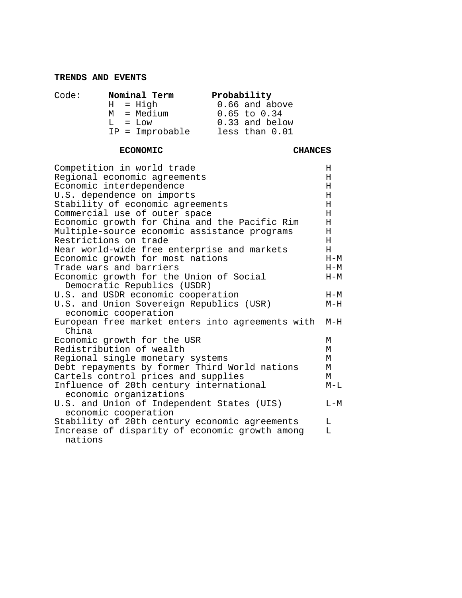# **TRENDS AND EVENTS**

| Code: |  | Nominal Term       |  | Probability      |
|-------|--|--------------------|--|------------------|
|       |  | $H = Hiqh$         |  | 0.66 and above   |
|       |  | M = Medium         |  | $0.65$ to $0.34$ |
|       |  | $T_1 = T_1 \cap W$ |  | 0.33 and below   |
|       |  | $IP = Improbable$  |  | less than 0.01   |

# **ECONOMIC CHANCES**

| Competition in world trade                                | Η       |
|-----------------------------------------------------------|---------|
| Regional economic agreements                              | Н       |
| Economic interdependence                                  | H       |
| U.S. dependence on imports                                | н       |
| Stability of economic agreements                          | H       |
| Commercial use of outer space                             | H       |
| Economic growth for China and the Pacific Rim             | н       |
| Multiple-source economic assistance programs              | Η       |
| Restrictions on trade                                     | H       |
| Near world-wide free enterprise and markets               | H       |
| Economic growth for most nations                          | $H-M$   |
| Trade wars and barriers                                   | $H-M$   |
| Economic growth for the Union of Social                   | $H-M$   |
| Democratic Republics (USDR)                               |         |
| U.S. and USDR economic cooperation                        | $H-M$   |
| U.S. and Union Sovereign Republics (USR)                  | $M-H$   |
| economic cooperation                                      |         |
| European free market enters into agreements with<br>China | $M-H$   |
| Economic growth for the USR                               | М       |
| Redistribution of wealth                                  | M       |
| Regional single monetary systems                          | М       |
| Debt repayments by former Third World nations             | М       |
| Cartels control prices and supplies                       | M       |
| Influence of 20th century international                   | $M-L$   |
| economic organizations                                    |         |
| U.S. and Union of Independent States (UIS)                | $L - M$ |
| economic cooperation                                      |         |
| Stability of 20th century economic agreements             | L       |
| Increase of disparity of economic growth among            | L       |
| nations                                                   |         |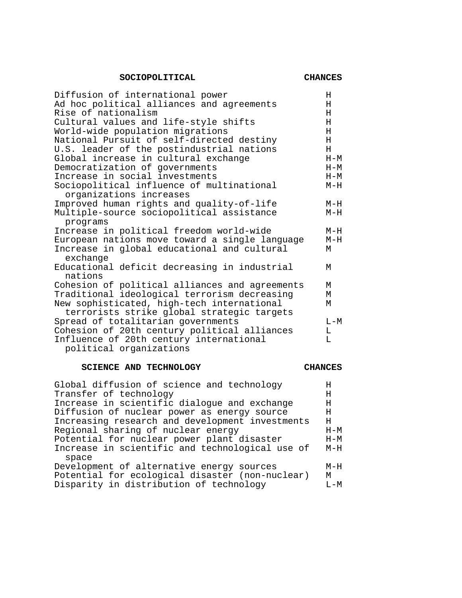# SOCIOPOLITICAL CHANCES

| Diffusion of international power                                                         | Н     |
|------------------------------------------------------------------------------------------|-------|
| Ad hoc political alliances and agreements                                                | Н     |
| Rise of nationalism                                                                      | Н     |
| Cultural values and life-style shifts                                                    | H     |
| World-wide population migrations                                                         | H     |
| National Pursuit of self-directed destiny                                                | H     |
| U.S. leader of the postindustrial nations                                                | H     |
| Global increase in cultural exchange                                                     | $H-M$ |
| Democratization of governments                                                           | $H-M$ |
| Increase in social investments                                                           | $H-M$ |
| Sociopolitical influence of multinational<br>organizations increases                     | $M-H$ |
| Improved human rights and quality-of-life                                                | $M-H$ |
| Multiple-source sociopolitical assistance<br>programs                                    | $M-H$ |
| Increase in political freedom world-wide                                                 | $M-H$ |
| European nations move toward a single language                                           | $M-H$ |
| Increase in global educational and cultural<br>exchange                                  | М     |
| Educational deficit decreasing in industrial<br>nations                                  | М     |
| Cohesion of political alliances and agreements                                           | M     |
| Traditional ideological terrorism decreasing                                             | M     |
| New sophisticated, high-tech international<br>terrorists strike global strategic targets | М     |
| Spread of totalitarian governments                                                       | $L-M$ |
| Cohesion of 20th century political alliances                                             | L     |
| Influence of 20th century international                                                  | T.    |
| political organizations                                                                  |       |
|                                                                                          |       |

# **SCIENCE AND TECHNOLOGY CHANCES**

| Global diffusion of science and technology      | Η       |
|-------------------------------------------------|---------|
| Transfer of technology                          | Η       |
| Increase in scientific dialogue and exchange    | Н       |
| Diffusion of nuclear power as energy source     | H.      |
| Increasing research and development investments | н       |
| Regional sharing of nuclear energy              | $H-M$   |
| Potential for nuclear power plant disaster      | $H-M$   |
| Increase in scientific and technological use of | $M-H$   |
| space                                           |         |
| Development of alternative energy sources       | $M-H$   |
| Potential for ecological disaster (non-nuclear) | M       |
| Disparity in distribution of technology         | $T - M$ |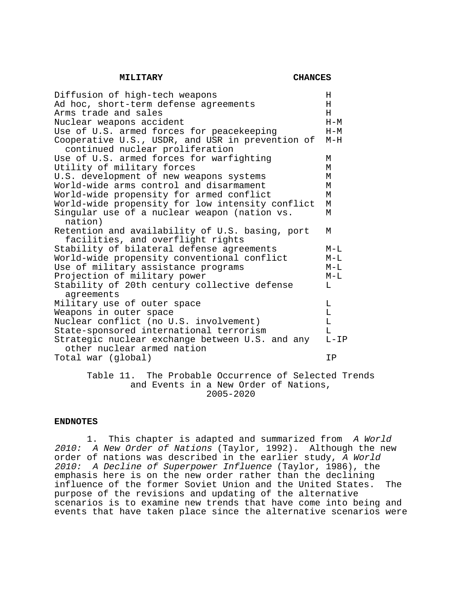**MILITARY CHANCES**

| Diffusion of high-tech weapons                   | Н      |
|--------------------------------------------------|--------|
| Ad hoc, short-term defense agreements            | H      |
| Arms trade and sales                             | H      |
| Nuclear weapons accident                         | $H-M$  |
| Use of U.S. armed forces for peacekeeping        | $H-M$  |
| Cooperative U.S., USDR, and USR in prevention of | $M-H$  |
| continued nuclear proliferation                  |        |
| Use of U.S. armed forces for warfighting         | М      |
| Utility of military forces                       | M      |
| U.S. development of new weapons systems          | M      |
| World-wide arms control and disarmament          | М      |
| World-wide propensity for armed conflict         | М      |
| World-wide propensity for low intensity conflict | М      |
| Singular use of a nuclear weapon (nation vs.     | М      |
| nation)                                          |        |
| Retention and availability of U.S. basing, port  | M      |
| facilities, and overflight rights                |        |
| Stability of bilateral defense agreements        | $M-L$  |
| World-wide propensity conventional conflict      | $M-L$  |
| Use of military assistance programs              | $M-L$  |
| Projection of military power                     | $M-L$  |
| Stability of 20th century collective defense     | L      |
| agreements                                       |        |
| Military use of outer space                      | L      |
| Weapons in outer space                           | Г      |
| Nuclear conflict (no U.S. involvement)           | Г      |
| State-sponsored international terrorism          | T.     |
| Strategic nuclear exchange between U.S. and any  | $L-LP$ |
| other nuclear armed nation                       |        |
| Total war (global)                               | ΙP     |
|                                                  |        |

# Table 11. The Probable Occurrence of Selected Trends and Events in a New Order of Nations, 2005-2020

## **ENDNOTES**

 1. This chapter is adapted and summarized from A World 2010: A New Order of Nations (Taylor, 1992). Although the new order of nations was described in the earlier study, A World 2010: A Decline of Superpower Influence (Taylor, 1986), the emphasis here is on the new order rather than the declining influence of the former Soviet Union and the United States. The purpose of the revisions and updating of the alternative scenarios is to examine new trends that have come into being and events that have taken place since the alternative scenarios were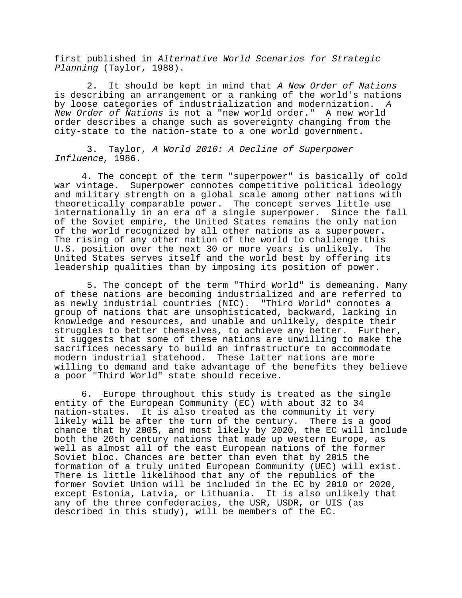first published in Alternative World Scenarios for Strategic Planning (Taylor, 1988).

2. It should be kept in mind that A New Order of Nations is describing an arrangement or a ranking of the world's nations by loose categories of industrialization and modernization. <sup>A</sup> New Order of Nations is not a "new world order." A new world order describes a change such as sovereignty changing from the city-state to the nation-state to a one world government.

 3. Taylor, A World 2010: A Decline of Superpower Influence, 1986.

4. The concept of the term "superpower" is basically of cold war vintage. Superpower connotes competitive political ideology and military strength on a global scale among other nations with theoretically comparable power. The concept serves little use internationally in an era of a single superpower. Since the fall of the Soviet empire, the United States remains the only nation of the world recognized by all other nations as a superpower. The rising of any other nation of the world to challenge this U.S. position over the next 30 or more years is unlikely. The United States serves itself and the world best by offering its leadership qualities than by imposing its position of power.

 5. The concept of the term "Third World" is demeaning. Many of these nations are becoming industrialized and are referred to as newly industrial countries (NIC). "Third World" connotes a group of nations that are unsophisticated, backward, lacking in knowledge and resources, and unable and unlikely, despite their struggles to better themselves, to achieve any better. Further, it suggests that some of these nations are unwilling to make the sacrifices necessary to build an infrastructure to accommodate modern industrial statehood. These latter nations are more willing to demand and take advantage of the benefits they believe a poor "Third World" state should receive.

6. Europe throughout this study is treated as the single entity of the European Community (EC) with about 32 to 34 nation-states. It is also treated as the community it very likely will be after the turn of the century. There is a good chance that by 2005, and most likely by 2020, the EC will include both the 20th century nations that made up western Europe, as well as almost all of the east European nations of the former Soviet bloc. Chances are better than even that by 2015 the formation of a truly united European Community (UEC) will exist. There is little likelihood that any of the republics of the former Soviet Union will be included in the EC by 2010 or 2020, except Estonia, Latvia, or Lithuania. It is also unlikely that any of the three confederacies, the USR, USDR, or UIS (as described in this study), will be members of the EC.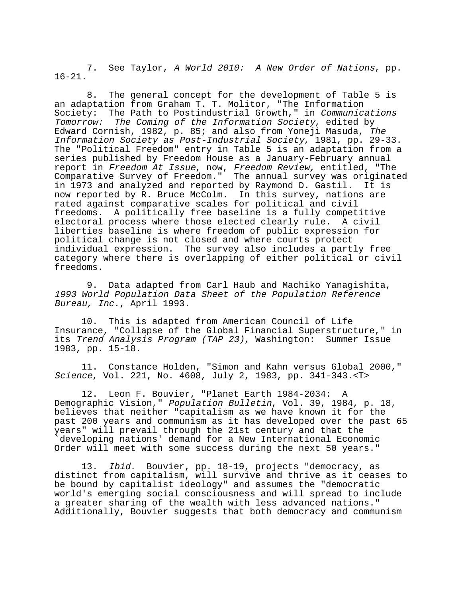7. See Taylor, A World 2010: A New Order of Nations, pp. 16-21.

 8. The general concept for the development of Table 5 is an adaptation from Graham T. T. Molitor, "The Information Society: The Path to Postindustrial Growth," in Communications Tomorrow: The Coming of the Information Society, edited by Edward Cornish, 1982, p. 85; and also from Yoneji Masuda, The Information Society as Post-Industrial Society, 1981, pp. 29-33. The "Political Freedom" entry in Table 5 is an adaptation from a series published by Freedom House as a January-February annual report in Freedom At Issue, now, Freedom Review, entitled, "The Comparative Survey of Freedom." The annual survey was originated in 1973 and analyzed and reported by Raymond D. Gastil. It is now reported by R. Bruce McColm. In this survey, nations are rated against comparative scales for political and civil freedoms. A politically free baseline is a fully competitive electoral process where those elected clearly rule. A civil liberties baseline is where freedom of public expression for political change is not closed and where courts protect individual expression. The survey also includes a partly free category where there is overlapping of either political or civil freedoms.

 9. Data adapted from Carl Haub and Machiko Yanagishita, 1993 World Population Data Sheet of the Population Reference Bureau, Inc., April 1993.

10. This is adapted from American Council of Life Insurance, "Collapse of the Global Financial Superstructure," in its Trend Analysis Program (TAP 23), Washington: Summer Issue 1983, pp. 15-18.

11. Constance Holden, "Simon and Kahn versus Global 2000," Science, Vol. 221, No. 4608, July 2, 1983, pp. 341-343.<T>

12. Leon F. Bouvier, "Planet Earth 1984-2034: A Demographic Vision," Population Bulletin, Vol. 39, 1984, p. 18, believes that neither "capitalism as we have known it for the past 200 years and communism as it has developed over the past 65 years" will prevail through the 21st century and that the `developing nations' demand for a New International Economic Order will meet with some success during the next 50 years."

13. Ibid. Bouvier, pp. 18-19, projects "democracy, as distinct from capitalism, will survive and thrive as it ceases to be bound by capitalist ideology" and assumes the "democratic world's emerging social consciousness and will spread to include a greater sharing of the wealth with less advanced nations." Additionally, Bouvier suggests that both democracy and communism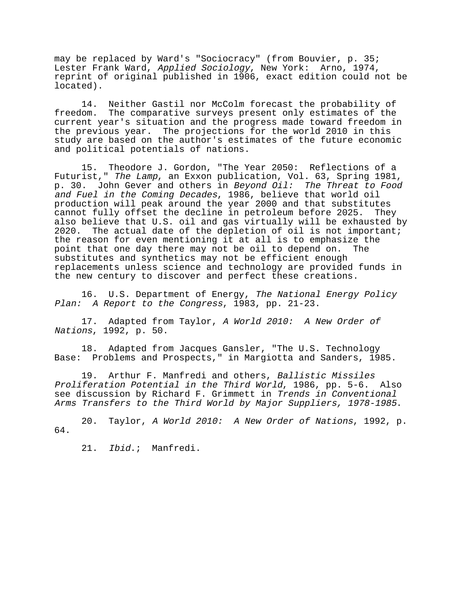may be replaced by Ward's "Sociocracy" (from Bouvier, p. 35; Lester Frank Ward, Applied Sociology, New York: Arno, 1974, reprint of original published in 1906, exact edition could not be located).

14. Neither Gastil nor McColm forecast the probability of freedom. The comparative surveys present only estimates of the current year's situation and the progress made toward freedom in the previous year. The projections for the world 2010 in this study are based on the author's estimates of the future economic and political potentials of nations.

15. Theodore J. Gordon, "The Year 2050: Reflections of a Futurist," The Lamp, an Exxon publication, Vol. 63, Spring 1981, p. 30. John Gever and others in Beyond Oil: The Threat to Food and Fuel in the Coming Decades, 1986, believe that world oil production will peak around the year 2000 and that substitutes cannot fully offset the decline in petroleum before 2025. They also believe that U.S. oil and gas virtually will be exhausted by 2020. The actual date of the depletion of oil is not important; the reason for even mentioning it at all is to emphasize the point that one day there may not be oil to depend on. The substitutes and synthetics may not be efficient enough replacements unless science and technology are provided funds in the new century to discover and perfect these creations.

16. U.S. Department of Energy, The National Energy Policy Plan: A Report to the Congress, 1983, pp. 21-23.

17. Adapted from Taylor, A World 2010: A New Order of Nations, 1992, p. 50.

18. Adapted from Jacques Gansler, "The U.S. Technology Base: Problems and Prospects," in Margiotta and Sanders, 1985.

19. Arthur F. Manfredi and others, Ballistic Missiles Proliferation Potential in the Third World, 1986, pp. 5-6. Also see discussion by Richard F. Grimmett in Trends in Conventional Arms Transfers to the Third World by Major Suppliers, 1978-1985.

20. Taylor, A World 2010: A New Order of Nations, 1992, p. 64.

21. Ibid.; Manfredi.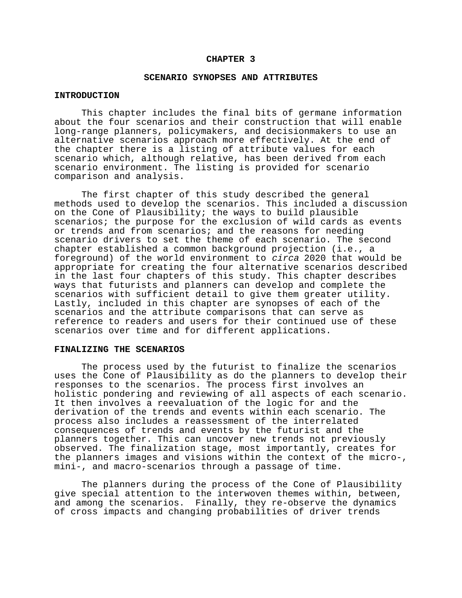#### **CHAPTER 3**

#### **SCENARIO SYNOPSES AND ATTRIBUTES**

#### **INTRODUCTION**

This chapter includes the final bits of germane information about the four scenarios and their construction that will enable long-range planners, policymakers, and decisionmakers to use an alternative scenarios approach more effectively. At the end of the chapter there is a listing of attribute values for each scenario which, although relative, has been derived from each scenario environment. The listing is provided for scenario comparison and analysis.

The first chapter of this study described the general methods used to develop the scenarios. This included a discussion on the Cone of Plausibility; the ways to build plausible scenarios; the purpose for the exclusion of wild cards as events or trends and from scenarios; and the reasons for needing scenario drivers to set the theme of each scenario. The second chapter established a common background projection (i.e., a foreground) of the world environment to circa 2020 that would be appropriate for creating the four alternative scenarios described in the last four chapters of this study. This chapter describes ways that futurists and planners can develop and complete the scenarios with sufficient detail to give them greater utility. Lastly, included in this chapter are synopses of each of the scenarios and the attribute comparisons that can serve as reference to readers and users for their continued use of these scenarios over time and for different applications.

# **FINALIZING THE SCENARIOS**

The process used by the futurist to finalize the scenarios uses the Cone of Plausibility as do the planners to develop their responses to the scenarios. The process first involves an holistic pondering and reviewing of all aspects of each scenario. It then involves a reevaluation of the logic for and the derivation of the trends and events within each scenario. The process also includes a reassessment of the interrelated consequences of trends and events by the futurist and the planners together. This can uncover new trends not previously observed. The finalization stage, most importantly, creates for the planners images and visions within the context of the micro-, mini-, and macro-scenarios through a passage of time.

The planners during the process of the Cone of Plausibility give special attention to the interwoven themes within, between, and among the scenarios. Finally, they re-observe the dynamics of cross impacts and changing probabilities of driver trends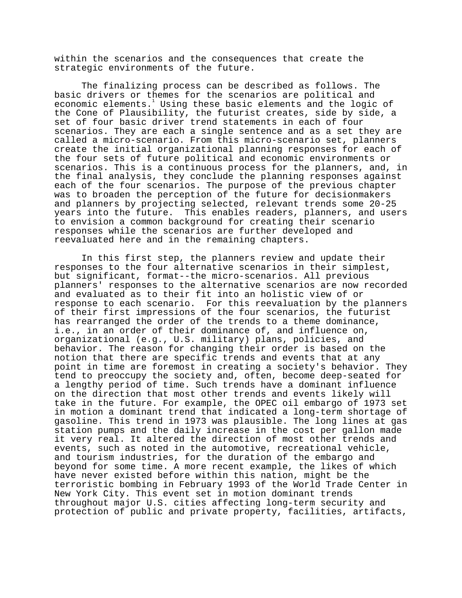within the scenarios and the consequences that create the strategic environments of the future.

The finalizing process can be described as follows. The basic drivers or themes for the scenarios are political and economic elements.<sup>1</sup> Using these basic elements and the logic of the Cone of Plausibility, the futurist creates, side by side, a set of four basic driver trend statements in each of four scenarios. They are each a single sentence and as a set they are called a micro-scenario. From this micro-scenario set, planners create the initial organizational planning responses for each of the four sets of future political and economic environments or scenarios. This is a continuous process for the planners, and, in the final analysis, they conclude the planning responses against each of the four scenarios. The purpose of the previous chapter was to broaden the perception of the future for decisionmakers and planners by projecting selected, relevant trends some 20-25 years into the future. This enables readers, planners, and users to envision a common background for creating their scenario responses while the scenarios are further developed and reevaluated here and in the remaining chapters.

In this first step, the planners review and update their responses to the four alternative scenarios in their simplest, but significant, format--the micro-scenarios. All previous planners' responses to the alternative scenarios are now recorded and evaluated as to their fit into an holistic view of or response to each scenario. For this reevaluation by the planners of their first impressions of the four scenarios, the futurist has rearranged the order of the trends to a theme dominance, i.e., in an order of their dominance of, and influence on, organizational (e.g., U.S. military) plans, policies, and behavior. The reason for changing their order is based on the notion that there are specific trends and events that at any point in time are foremost in creating a society's behavior. They tend to preoccupy the society and, often, become deep-seated for a lengthy period of time. Such trends have a dominant influence on the direction that most other trends and events likely will take in the future. For example, the OPEC oil embargo of 1973 set in motion a dominant trend that indicated a long-term shortage of gasoline. This trend in 1973 was plausible. The long lines at gas station pumps and the daily increase in the cost per gallon made it very real. It altered the direction of most other trends and events, such as noted in the automotive, recreational vehicle, and tourism industries, for the duration of the embargo and beyond for some time. A more recent example, the likes of which have never existed before within this nation, might be the terroristic bombing in February 1993 of the World Trade Center in New York City. This event set in motion dominant trends throughout major U.S. cities affecting long-term security and protection of public and private property, facilities, artifacts,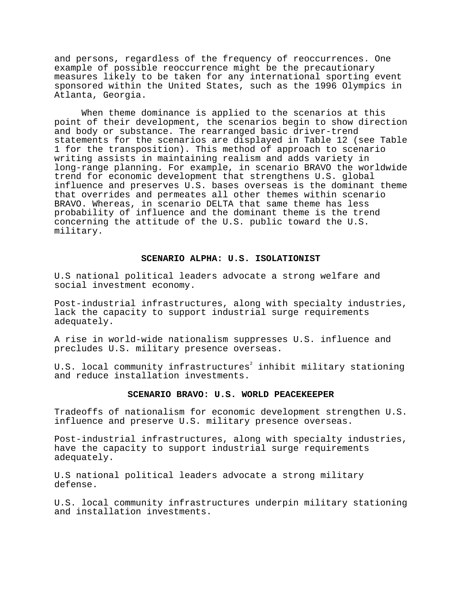and persons, regardless of the frequency of reoccurrences. One example of possible reoccurrence might be the precautionary measures likely to be taken for any international sporting event sponsored within the United States, such as the 1996 Olympics in Atlanta, Georgia.

When theme dominance is applied to the scenarios at this point of their development, the scenarios begin to show direction and body or substance. The rearranged basic driver-trend statements for the scenarios are displayed in Table 12 (see Table 1 for the transposition). This method of approach to scenario writing assists in maintaining realism and adds variety in long-range planning. For example, in scenario BRAVO the worldwide trend for economic development that strengthens U.S. global influence and preserves U.S. bases overseas is the dominant theme that overrides and permeates all other themes within scenario BRAVO. Whereas, in scenario DELTA that same theme has less probability of influence and the dominant theme is the trend concerning the attitude of the U.S. public toward the U.S. military.

# **SCENARIO ALPHA: U.S. ISOLATIONIST**

U.S national political leaders advocate a strong welfare and social investment economy.

Post-industrial infrastructures, along with specialty industries, lack the capacity to support industrial surge requirements adequately.

A rise in world-wide nationalism suppresses U.S. influence and precludes U.S. military presence overseas.

U.S. local community infrastructures $^{\rm 2}$  inhibit military stationing and reduce installation investments.

# **SCENARIO BRAVO: U.S. WORLD PEACEKEEPER**

Tradeoffs of nationalism for economic development strengthen U.S. influence and preserve U.S. military presence overseas.

Post-industrial infrastructures, along with specialty industries, have the capacity to support industrial surge requirements adequately.

U.S national political leaders advocate a strong military defense.

U.S. local community infrastructures underpin military stationing and installation investments.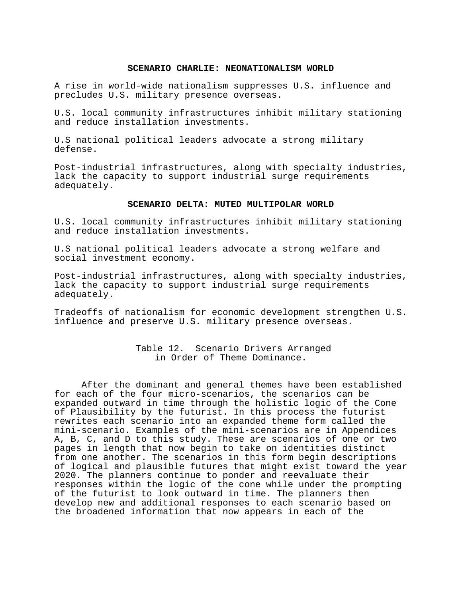#### **SCENARIO CHARLIE: NEONATIONALISM WORLD**

A rise in world-wide nationalism suppresses U.S. influence and precludes U.S. military presence overseas.

U.S. local community infrastructures inhibit military stationing and reduce installation investments.

U.S national political leaders advocate a strong military defense.

Post-industrial infrastructures, along with specialty industries, lack the capacity to support industrial surge requirements adequately.

## **SCENARIO DELTA: MUTED MULTIPOLAR WORLD**

U.S. local community infrastructures inhibit military stationing and reduce installation investments.

U.S national political leaders advocate a strong welfare and social investment economy.

Post-industrial infrastructures, along with specialty industries, lack the capacity to support industrial surge requirements adequately.

Tradeoffs of nationalism for economic development strengthen U.S. influence and preserve U.S. military presence overseas.

> Table 12. Scenario Drivers Arranged in Order of Theme Dominance.

After the dominant and general themes have been established for each of the four micro-scenarios, the scenarios can be expanded outward in time through the holistic logic of the Cone of Plausibility by the futurist. In this process the futurist rewrites each scenario into an expanded theme form called the mini-scenario. Examples of the mini-scenarios are in Appendices A, B, C, and D to this study. These are scenarios of one or two pages in length that now begin to take on identities distinct from one another. The scenarios in this form begin descriptions of logical and plausible futures that might exist toward the year 2020. The planners continue to ponder and reevaluate their responses within the logic of the cone while under the prompting of the futurist to look outward in time. The planners then develop new and additional responses to each scenario based on the broadened information that now appears in each of the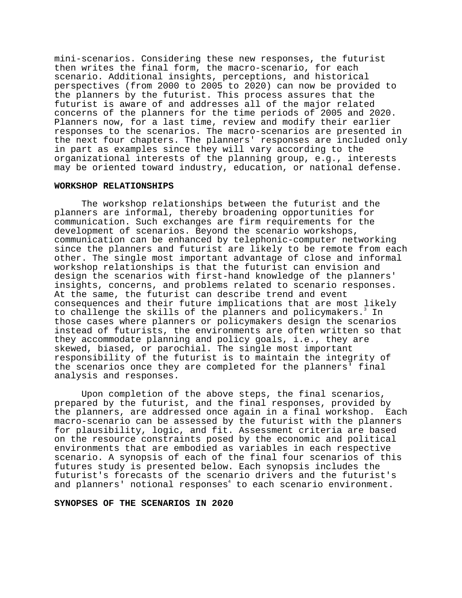mini-scenarios. Considering these new responses, the futurist then writes the final form, the macro-scenario, for each scenario. Additional insights, perceptions, and historical perspectives (from 2000 to 2005 to 2020) can now be provided to the planners by the futurist. This process assures that the futurist is aware of and addresses all of the major related concerns of the planners for the time periods of 2005 and 2020. Planners now, for a last time, review and modify their earlier responses to the scenarios. The macro-scenarios are presented in the next four chapters. The planners' responses are included only in part as examples since they will vary according to the organizational interests of the planning group, e.g., interests may be oriented toward industry, education, or national defense.

## **WORKSHOP RELATIONSHIPS**

The workshop relationships between the futurist and the planners are informal, thereby broadening opportunities for communication. Such exchanges are firm requirements for the development of scenarios. Beyond the scenario workshops, communication can be enhanced by telephonic-computer networking since the planners and futurist are likely to be remote from each other. The single most important advantage of close and informal workshop relationships is that the futurist can envision and design the scenarios with first-hand knowledge of the planners' insights, concerns, and problems related to scenario responses. At the same, the futurist can describe trend and event consequences and their future implications that are most likely to challenge the skills of the planners and policymakers.<sup>3</sup> In those cases where planners or policymakers design the scenarios instead of futurists, the environments are often written so that they accommodate planning and policy goals, i.e., they are skewed, biased, or parochial. The single most important responsibility of the futurist is to maintain the integrity of the scenarios once they are completed for the planners' final analysis and responses.

Upon completion of the above steps, the final scenarios, prepared by the futurist, and the final responses, provided by the planners, are addressed once again in a final workshop. Each macro-scenario can be assessed by the futurist with the planners for plausibility, logic, and fit. Assessment criteria are based on the resource constraints posed by the economic and political environments that are embodied as variables in each respective scenario. A synopsis of each of the final four scenarios of this futures study is presented below. Each synopsis includes the futurist's forecasts of the scenario drivers and the futurist's and planners' notional responses<sup>4</sup> to each scenario environment.

#### **SYNOPSES OF THE SCENARIOS IN 2020**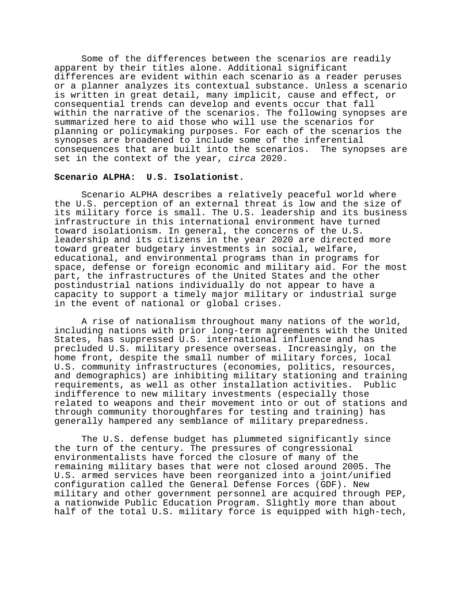Some of the differences between the scenarios are readily apparent by their titles alone. Additional significant differences are evident within each scenario as a reader peruses or a planner analyzes its contextual substance. Unless a scenario is written in great detail, many implicit, cause and effect, or consequential trends can develop and events occur that fall within the narrative of the scenarios. The following synopses are summarized here to aid those who will use the scenarios for planning or policymaking purposes. For each of the scenarios the synopses are broadened to include some of the inferential consequences that are built into the scenarios. The synopses are set in the context of the year, circa 2020.

#### **Scenario ALPHA: U.S. Isolationist.**

Scenario ALPHA describes a relatively peaceful world where the U.S. perception of an external threat is low and the size of its military force is small. The U.S. leadership and its business infrastructure in this international environment have turned toward isolationism. In general, the concerns of the U.S. leadership and its citizens in the year 2020 are directed more toward greater budgetary investments in social, welfare, educational, and environmental programs than in programs for space, defense or foreign economic and military aid. For the most part, the infrastructures of the United States and the other postindustrial nations individually do not appear to have a capacity to support a timely major military or industrial surge in the event of national or global crises.

A rise of nationalism throughout many nations of the world, including nations with prior long-term agreements with the United States, has suppressed U.S. international influence and has precluded U.S. military presence overseas. Increasingly, on the home front, despite the small number of military forces, local U.S. community infrastructures (economies, politics, resources, and demographics) are inhibiting military stationing and training requirements, as well as other installation activities. Public indifference to new military investments (especially those related to weapons and their movement into or out of stations and through community thoroughfares for testing and training) has generally hampered any semblance of military preparedness.

The U.S. defense budget has plummeted significantly since the turn of the century. The pressures of congressional environmentalists have forced the closure of many of the remaining military bases that were not closed around 2005. The U.S. armed services have been reorganized into a joint/unified configuration called the General Defense Forces (GDF). New military and other government personnel are acquired through PEP, a nationwide Public Education Program. Slightly more than about half of the total U.S. military force is equipped with high-tech,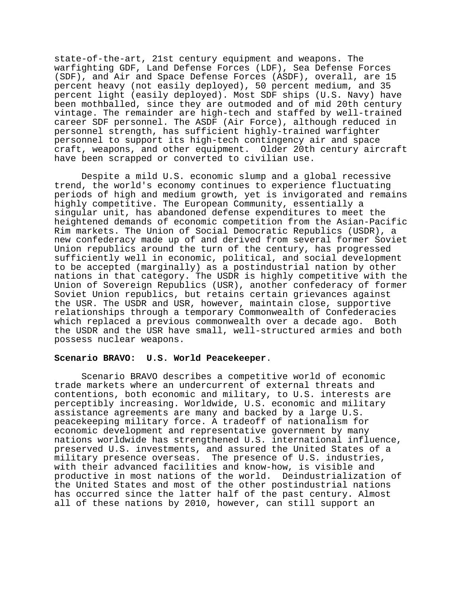state-of-the-art, 21st century equipment and weapons. The warfighting GDF, Land Defense Forces (LDF), Sea Defense Forces (SDF), and Air and Space Defense Forces (ASDF), overall, are 15 percent heavy (not easily deployed), 50 percent medium, and 35 percent light (easily deployed). Most SDF ships (U.S. Navy) have been mothballed, since they are outmoded and of mid 20th century vintage. The remainder are high-tech and staffed by well-trained career SDF personnel. The ASDF (Air Force), although reduced in personnel strength, has sufficient highly-trained warfighter personnel to support its high-tech contingency air and space craft, weapons, and other equipment. Older 20th century aircraft have been scrapped or converted to civilian use.

Despite a mild U.S. economic slump and a global recessive trend, the world's economy continues to experience fluctuating periods of high and medium growth, yet is invigorated and remains highly competitive. The European Community, essentially a singular unit, has abandoned defense expenditures to meet the heightened demands of economic competition from the Asian-Pacific Rim markets. The Union of Social Democratic Republics (USDR), a new confederacy made up of and derived from several former Soviet Union republics around the turn of the century, has progressed sufficiently well in economic, political, and social development to be accepted (marginally) as a postindustrial nation by other nations in that category. The USDR is highly competitive with the Union of Sovereign Republics (USR), another confederacy of former Soviet Union republics, but retains certain grievances against the USR. The USDR and USR, however, maintain close, supportive relationships through a temporary Commonwealth of Confederacies which replaced a previous commonwealth over a decade ago. Both the USDR and the USR have small, well-structured armies and both possess nuclear weapons.

#### **Scenario BRAVO: U.S. World Peacekeeper**.

Scenario BRAVO describes a competitive world of economic trade markets where an undercurrent of external threats and contentions, both economic and military, to U.S. interests are perceptibly increasing. Worldwide, U.S. economic and military assistance agreements are many and backed by a large U.S. peacekeeping military force. A tradeoff of nationalism for economic development and representative government by many nations worldwide has strengthened U.S. international influence, preserved U.S. investments, and assured the United States of a military presence overseas. The presence of U.S. industries, with their advanced facilities and know-how, is visible and productive in most nations of the world. Deindustrialization of the United States and most of the other postindustrial nations has occurred since the latter half of the past century. Almost all of these nations by 2010, however, can still support an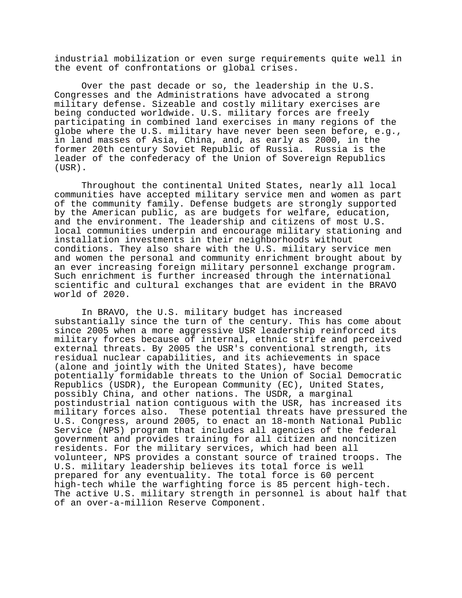industrial mobilization or even surge requirements quite well in the event of confrontations or global crises.

Over the past decade or so, the leadership in the U.S. Congresses and the Administrations have advocated a strong military defense. Sizeable and costly military exercises are being conducted worldwide. U.S. military forces are freely participating in combined land exercises in many regions of the globe where the U.S. military have never been seen before, e.g., in land masses of Asia, China, and, as early as 2000, in the former 20th century Soviet Republic of Russia. Russia is the leader of the confederacy of the Union of Sovereign Republics (USR).

Throughout the continental United States, nearly all local communities have accepted military service men and women as part of the community family. Defense budgets are strongly supported by the American public, as are budgets for welfare, education, and the environment. The leadership and citizens of most U.S. local communities underpin and encourage military stationing and installation investments in their neighborhoods without conditions. They also share with the U.S. military service men and women the personal and community enrichment brought about by an ever increasing foreign military personnel exchange program. Such enrichment is further increased through the international scientific and cultural exchanges that are evident in the BRAVO world of 2020.

In BRAVO, the U.S. military budget has increased substantially since the turn of the century. This has come about since 2005 when a more aggressive USR leadership reinforced its military forces because of internal, ethnic strife and perceived external threats. By 2005 the USR's conventional strength, its residual nuclear capabilities, and its achievements in space (alone and jointly with the United States), have become potentially formidable threats to the Union of Social Democratic Republics (USDR), the European Community (EC), United States, possibly China, and other nations. The USDR, a marginal postindustrial nation contiguous with the USR, has increased its military forces also. These potential threats have pressured the U.S. Congress, around 2005, to enact an 18-month National Public Service (NPS) program that includes all agencies of the federal government and provides training for all citizen and noncitizen residents. For the military services, which had been all volunteer, NPS provides a constant source of trained troops. The U.S. military leadership believes its total force is well prepared for any eventuality. The total force is 60 percent high-tech while the warfighting force is 85 percent high-tech. The active U.S. military strength in personnel is about half that of an over-a-million Reserve Component.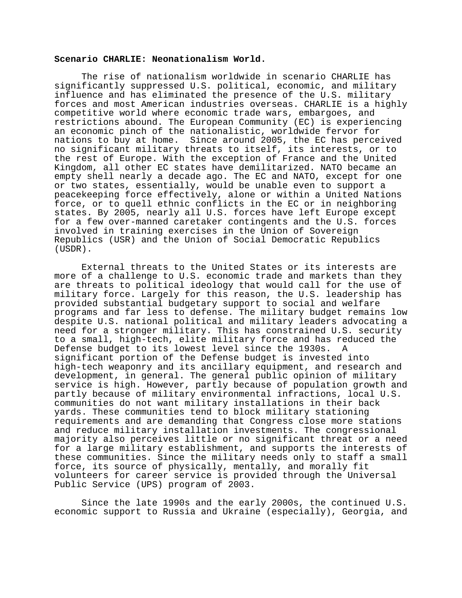#### **Scenario CHARLIE: Neonationalism World.**

The rise of nationalism worldwide in scenario CHARLIE has significantly suppressed U.S. political, economic, and military influence and has eliminated the presence of the U.S. military forces and most American industries overseas. CHARLIE is a highly competitive world where economic trade wars, embargoes, and restrictions abound. The European Community (EC) is experiencing an economic pinch of the nationalistic, worldwide fervor for nations to buy at home. Since around 2005, the EC has perceived no significant military threats to itself, its interests, or to the rest of Europe. With the exception of France and the United Kingdom, all other EC states have demilitarized. NATO became an empty shell nearly a decade ago. The EC and NATO, except for one or two states, essentially, would be unable even to support a peacekeeping force effectively, alone or within a United Nations force, or to quell ethnic conflicts in the EC or in neighboring states. By 2005, nearly all U.S. forces have left Europe except for a few over-manned caretaker contingents and the U.S. forces involved in training exercises in the Union of Sovereign Republics (USR) and the Union of Social Democratic Republics (USDR).

External threats to the United States or its interests are more of a challenge to U.S. economic trade and markets than they are threats to political ideology that would call for the use of military force. Largely for this reason, the U.S. leadership has provided substantial budgetary support to social and welfare programs and far less to defense. The military budget remains low despite U.S. national political and military leaders advocating a need for a stronger military. This has constrained U.S. security to a small, high-tech, elite military force and has reduced the Defense budget to its lowest level since the 1930s. A significant portion of the Defense budget is invested into high-tech weaponry and its ancillary equipment, and research and development, in general. The general public opinion of military service is high. However, partly because of population growth and partly because of military environmental infractions, local U.S. communities do not want military installations in their back yards. These communities tend to block military stationing requirements and are demanding that Congress close more stations and reduce military installation investments. The congressional majority also perceives little or no significant threat or a need for a large military establishment, and supports the interests of these communities. Since the military needs only to staff a small force, its source of physically, mentally, and morally fit volunteers for career service is provided through the Universal Public Service (UPS) program of 2003.

Since the late 1990s and the early 2000s, the continued U.S. economic support to Russia and Ukraine (especially), Georgia, and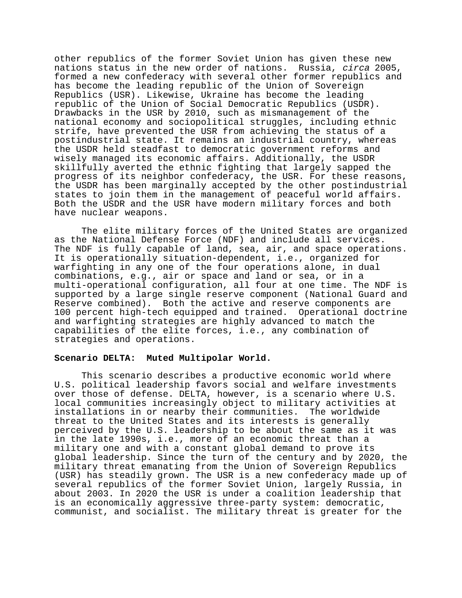other republics of the former Soviet Union has given these new nations status in the new order of nations. Russia, circa 2005, formed a new confederacy with several other former republics and has become the leading republic of the Union of Sovereign Republics (USR). Likewise, Ukraine has become the leading republic of the Union of Social Democratic Republics (USDR). Drawbacks in the USR by 2010, such as mismanagement of the national economy and sociopolitical struggles, including ethnic strife, have prevented the USR from achieving the status of a postindustrial state. It remains an industrial country, whereas the USDR held steadfast to democratic government reforms and wisely managed its economic affairs. Additionally, the USDR skillfully averted the ethnic fighting that largely sapped the progress of its neighbor confederacy, the USR. For these reasons, the USDR has been marginally accepted by the other postindustrial states to join them in the management of peaceful world affairs. Both the USDR and the USR have modern military forces and both have nuclear weapons.

The elite military forces of the United States are organized as the National Defense Force (NDF) and include all services. The NDF is fully capable of land, sea, air, and space operations. It is operationally situation-dependent, i.e., organized for warfighting in any one of the four operations alone, in dual combinations, e.g., air or space and land or sea, or in a multi-operational configuration, all four at one time. The NDF is supported by a large single reserve component (National Guard and Reserve combined). Both the active and reserve components are 100 percent high-tech equipped and trained. Operational doctrine and warfighting strategies are highly advanced to match the capabilities of the elite forces, i.e., any combination of strategies and operations.

#### **Scenario DELTA: Muted Multipolar World.**

This scenario describes a productive economic world where U.S. political leadership favors social and welfare investments over those of defense. DELTA, however, is a scenario where U.S. local communities increasingly object to military activities at installations in or nearby their communities. The worldwide threat to the United States and its interests is generally perceived by the U.S. leadership to be about the same as it was in the late 1990s, i.e., more of an economic threat than a military one and with a constant global demand to prove its global leadership. Since the turn of the century and by 2020, the military threat emanating from the Union of Sovereign Republics (USR) has steadily grown. The USR is a new confederacy made up of several republics of the former Soviet Union, largely Russia, in about 2003. In 2020 the USR is under a coalition leadership that is an economically aggressive three-party system: democratic, communist, and socialist. The military threat is greater for the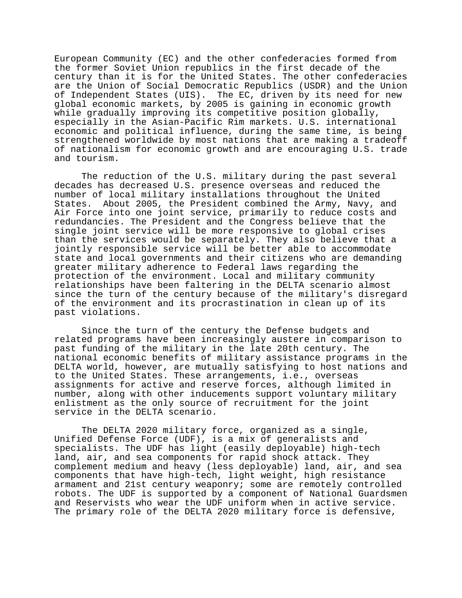European Community (EC) and the other confederacies formed from the former Soviet Union republics in the first decade of the century than it is for the United States. The other confederacies are the Union of Social Democratic Republics (USDR) and the Union of Independent States (UIS). The EC, driven by its need for new global economic markets, by 2005 is gaining in economic growth while gradually improving its competitive position globally, especially in the Asian-Pacific Rim markets. U.S. international economic and political influence, during the same time, is being strengthened worldwide by most nations that are making a tradeoff of nationalism for economic growth and are encouraging U.S. trade and tourism.

The reduction of the U.S. military during the past several decades has decreased U.S. presence overseas and reduced the number of local military installations throughout the United States. About 2005, the President combined the Army, Navy, and Air Force into one joint service, primarily to reduce costs and redundancies. The President and the Congress believe that the single joint service will be more responsive to global crises than the services would be separately. They also believe that a jointly responsible service will be better able to accommodate state and local governments and their citizens who are demanding greater military adherence to Federal laws regarding the protection of the environment. Local and military community relationships have been faltering in the DELTA scenario almost since the turn of the century because of the military's disregard of the environment and its procrastination in clean up of its past violations.

Since the turn of the century the Defense budgets and related programs have been increasingly austere in comparison to past funding of the military in the late 20th century. The national economic benefits of military assistance programs in the DELTA world, however, are mutually satisfying to host nations and to the United States. These arrangements, i.e., overseas assignments for active and reserve forces, although limited in number, along with other inducements support voluntary military enlistment as the only source of recruitment for the joint service in the DELTA scenario.

The DELTA 2020 military force, organized as a single, Unified Defense Force (UDF), is a mix of generalists and specialists. The UDF has light (easily deployable) high-tech land, air, and sea components for rapid shock attack. They complement medium and heavy (less deployable) land, air, and sea components that have high-tech, light weight, high resistance armament and 21st century weaponry; some are remotely controlled robots. The UDF is supported by a component of National Guardsmen and Reservists who wear the UDF uniform when in active service. The primary role of the DELTA 2020 military force is defensive,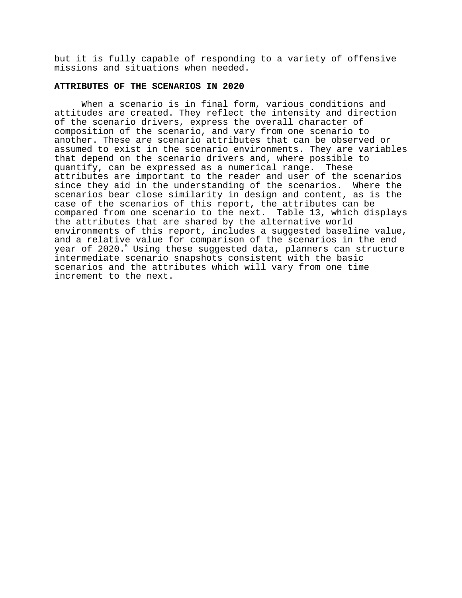but it is fully capable of responding to a variety of offensive missions and situations when needed.

# **ATTRIBUTES OF THE SCENARIOS IN 2020**

When a scenario is in final form, various conditions and attitudes are created. They reflect the intensity and direction of the scenario drivers, express the overall character of composition of the scenario, and vary from one scenario to another. These are scenario attributes that can be observed or assumed to exist in the scenario environments. They are variables that depend on the scenario drivers and, where possible to quantify, can be expressed as a numerical range. These attributes are important to the reader and user of the scenarios since they aid in the understanding of the scenarios. Where the scenarios bear close similarity in design and content, as is the case of the scenarios of this report, the attributes can be compared from one scenario to the next. Table 13, which displays the attributes that are shared by the alternative world environments of this report, includes a suggested baseline value, and a relative value for comparison of the scenarios in the end year of 2020.<sup>5</sup> Using these suggested data, planners can structure intermediate scenario snapshots consistent with the basic scenarios and the attributes which will vary from one time increment to the next.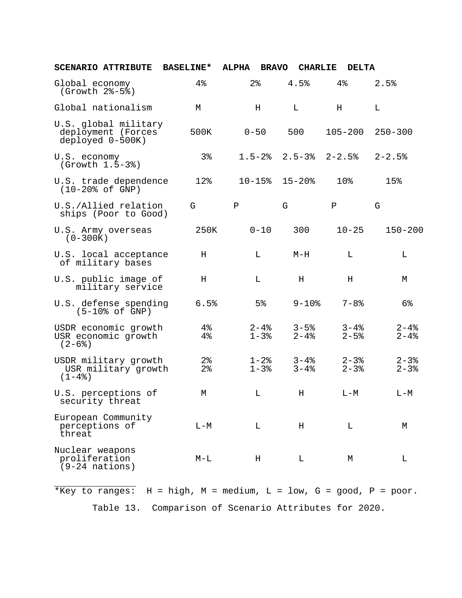| <b>SCENARIO ATTRIBUTE</b>                                      | <b>BASELINE*</b> | <b>ALPHA</b><br><b>BRAVO</b> | <b>CHARLIE</b>           | <b>DELTA</b>            |                        |
|----------------------------------------------------------------|------------------|------------------------------|--------------------------|-------------------------|------------------------|
| Global economy<br>(Growth 2%-5%)                               | 4%               | $2\,$                        | 4.5%                     | 4%                      | 2.5%                   |
| Global nationalism                                             | M                | H                            | L                        | Н                       | L                      |
| U.S. global military<br>deployment (Forces<br>deployed 0-500K) | 500K             | $0 - 50$                     | 500                      | $105 - 200$             | $250 - 300$            |
| U.S. economy<br>$( Growth 1.5-3%)$                             | $3\,$            | $1.5 - 2$ $8$                |                          | $2.5 - 3$ $2 - 2.5$ $3$ | $2 - 2.5%$             |
| U.S. trade dependence<br>$(10-20\% \text{ of GNP})$            | 12%              | $10 - 15$ %                  | $15 - 20$ %              | 10%                     | 15%                    |
| U.S./Allied relation<br>ships (Poor to Good)                   | G                | Ρ                            | G                        | Ρ                       | G                      |
| U.S. Army overseas<br>$(0-300K)$                               | 250K             | $0 - 10$                     | 300                      | $10 - 25$               | $150 - 200$            |
| U.S. local acceptance<br>of military bases                     | Н                | L                            | $M-H$                    | L                       | L                      |
| U.S. public image of<br>military service                       | H                | L                            | $\rm H$                  | H                       | М                      |
| U.S. defense spending<br>$(5-10o$ of GNP)                      | 6.5%             | 5 <sup>8</sup>               | $9 - 10$ %               | $7 - 8$ %               | 6%                     |
| USDR economic growth<br>USR economic growth<br>$(2-6)$         | $4\,$<br>4%      | $2 - 4$ %<br>$1 - 3$         | $3 - 5$ $%$<br>$2 - 4$ % | $3 - 4$ %<br>$2 - 5$ %  | $2 - 4$ %<br>$2 - 4$ % |
| USDR military growth<br>USR military growth<br>$(1-4$ $)$      | $2\,$<br>$2\,$   | $1 - 2$ %<br>$1 - 3$         | $3 - 4$ $8$<br>$3 - 4$ % | $2 - 3$<br>$2 - 3$      | $2 - 3$<br>$2 - 3$     |
| U.S. perceptions of<br>security threat                         | М                | L                            | н                        | $L - M$                 | $L - M$                |
| European Community<br>perceptions of<br>threat                 | $L-M$            | L                            | Η                        | L                       | М                      |
| Nuclear weapons<br>proliferation<br>$(9-24$ nations)           | $M-L$            | Η                            | L                        | М                       | L                      |

\_\_\_\_\_\_\_\_\_\_\_\_\_\_\_ \*Key to ranges:  $H = high$ ,  $M = medium$ ,  $L = low$ ,  $G = good$ ,  $P = poor$ . Table 13. Comparison of Scenario Attributes for 2020.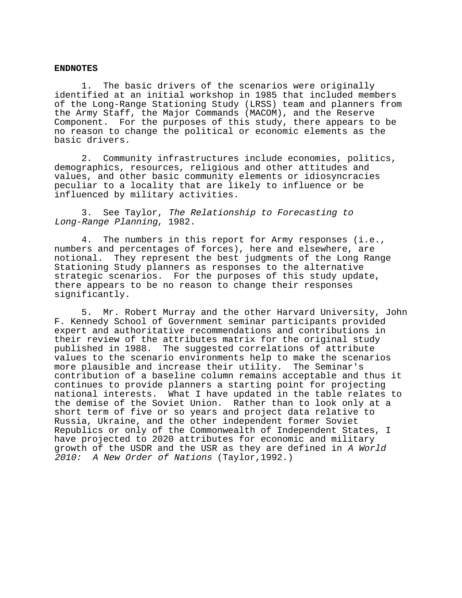### **ENDNOTES**

1. The basic drivers of the scenarios were originally identified at an initial workshop in 1985 that included members of the Long-Range Stationing Study (LRSS) team and planners from the Army Staff, the Major Commands (MACOM), and the Reserve Component. For the purposes of this study, there appears to be no reason to change the political or economic elements as the basic drivers.

2. Community infrastructures include economies, politics, demographics, resources, religious and other attitudes and values, and other basic community elements or idiosyncracies peculiar to a locality that are likely to influence or be influenced by military activities.

3. See Taylor, The Relationship to Forecasting to Long-Range Planning, 1982.

4. The numbers in this report for Army responses (i.e., numbers and percentages of forces), here and elsewhere, are notional. They represent the best judgments of the Long Range Stationing Study planners as responses to the alternative strategic scenarios. For the purposes of this study update, there appears to be no reason to change their responses significantly.

5. Mr. Robert Murray and the other Harvard University, John F. Kennedy School of Government seminar participants provided expert and authoritative recommendations and contributions in their review of the attributes matrix for the original study published in 1988. The suggested correlations of attribute values to the scenario environments help to make the scenarios more plausible and increase their utility. The Seminar's contribution of a baseline column remains acceptable and thus it continues to provide planners a starting point for projecting national interests. What I have updated in the table relates to the demise of the Soviet Union. Rather than to look only at a short term of five or so years and project data relative to Russia, Ukraine, and the other independent former Soviet Republics or only of the Commonwealth of Independent States, I have projected to 2020 attributes for economic and military growth of the USDR and the USR as they are defined in A World 2010: A New Order of Nations (Taylor, 1992.)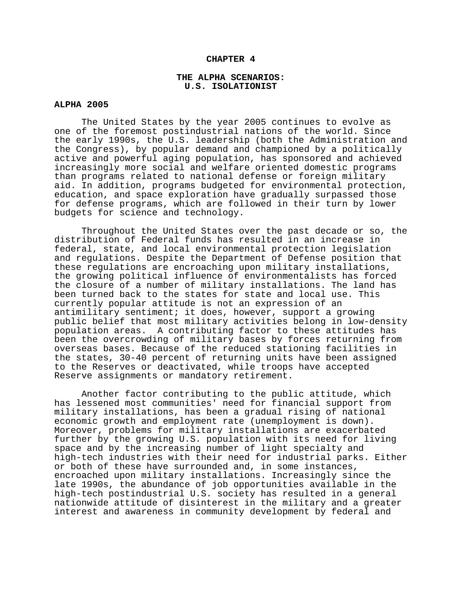#### **CHAPTER 4**

#### **THE ALPHA SCENARIOS: U.S. ISOLATIONIST**

### **ALPHA 2005**

The United States by the year 2005 continues to evolve as one of the foremost postindustrial nations of the world. Since the early 1990s, the U.S. leadership (both the Administration and the Congress), by popular demand and championed by a politically active and powerful aging population, has sponsored and achieved increasingly more social and welfare oriented domestic programs than programs related to national defense or foreign military aid. In addition, programs budgeted for environmental protection, education, and space exploration have gradually surpassed those for defense programs, which are followed in their turn by lower budgets for science and technology.

Throughout the United States over the past decade or so, the distribution of Federal funds has resulted in an increase in federal, state, and local environmental protection legislation and regulations. Despite the Department of Defense position that these regulations are encroaching upon military installations, the growing political influence of environmentalists has forced the closure of a number of military installations. The land has been turned back to the states for state and local use. This currently popular attitude is not an expression of an antimilitary sentiment; it does, however, support a growing public belief that most military activities belong in low-density population areas. A contributing factor to these attitudes has been the overcrowding of military bases by forces returning from overseas bases. Because of the reduced stationing facilities in the states, 30-40 percent of returning units have been assigned to the Reserves or deactivated, while troops have accepted Reserve assignments or mandatory retirement.

Another factor contributing to the public attitude, which has lessened most communities' need for financial support from military installations, has been a gradual rising of national economic growth and employment rate (unemployment is down). Moreover, problems for military installations are exacerbated further by the growing U.S. population with its need for living space and by the increasing number of light specialty and high-tech industries with their need for industrial parks. Either or both of these have surrounded and, in some instances, encroached upon military installations. Increasingly since the late 1990s, the abundance of job opportunities available in the high-tech postindustrial U.S. society has resulted in a general nationwide attitude of disinterest in the military and a greater interest and awareness in community development by federal and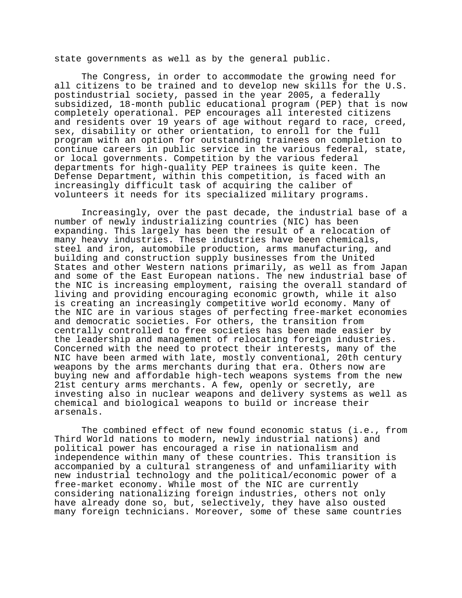state governments as well as by the general public.

The Congress, in order to accommodate the growing need for all citizens to be trained and to develop new skills for the U.S. postindustrial society, passed in the year 2005, a federally subsidized, 18-month public educational program (PEP) that is now completely operational. PEP encourages all interested citizens and residents over 19 years of age without regard to race, creed, sex, disability or other orientation, to enroll for the full program with an option for outstanding trainees on completion to continue careers in public service in the various federal, state, or local governments. Competition by the various federal departments for high-quality PEP trainees is quite keen. The Defense Department, within this competition, is faced with an increasingly difficult task of acquiring the caliber of volunteers it needs for its specialized military programs.

Increasingly, over the past decade, the industrial base of a number of newly industrializing countries (NIC) has been expanding. This largely has been the result of a relocation of many heavy industries. These industries have been chemicals, steel and iron, automobile production, arms manufacturing, and building and construction supply businesses from the United States and other Western nations primarily, as well as from Japan and some of the East European nations. The new industrial base of the NIC is increasing employment, raising the overall standard of living and providing encouraging economic growth, while it also is creating an increasingly competitive world economy. Many of the NIC are in various stages of perfecting free-market economies and democratic societies. For others, the transition from centrally controlled to free societies has been made easier by the leadership and management of relocating foreign industries. Concerned with the need to protect their interests, many of the NIC have been armed with late, mostly conventional, 20th century weapons by the arms merchants during that era. Others now are buying new and affordable high-tech weapons systems from the new 21st century arms merchants. A few, openly or secretly, are investing also in nuclear weapons and delivery systems as well as chemical and biological weapons to build or increase their arsenals.

The combined effect of new found economic status (i.e., from Third World nations to modern, newly industrial nations) and political power has encouraged a rise in nationalism and independence within many of these countries. This transition is accompanied by a cultural strangeness of and unfamiliarity with new industrial technology and the political/economic power of a free-market economy. While most of the NIC are currently considering nationalizing foreign industries, others not only have already done so, but, selectively, they have also ousted many foreign technicians. Moreover, some of these same countries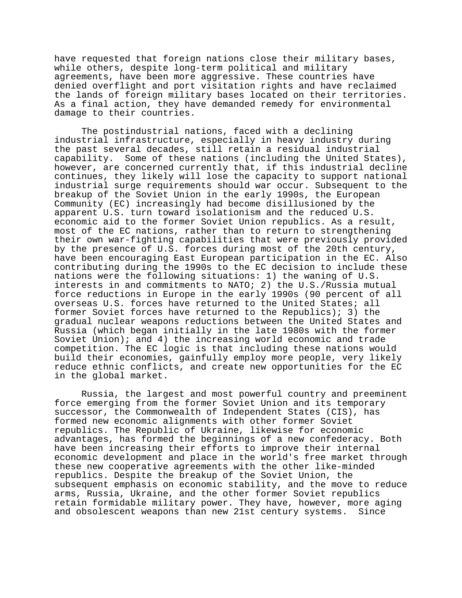have requested that foreign nations close their military bases, while others, despite long-term political and military agreements, have been more aggressive. These countries have denied overflight and port visitation rights and have reclaimed the lands of foreign military bases located on their territories. As a final action, they have demanded remedy for environmental damage to their countries.

The postindustrial nations, faced with a declining industrial infrastructure, especially in heavy industry during the past several decades, still retain a residual industrial capability. Some of these nations (including the United States), however, are concerned currently that, if this industrial decline continues, they likely will lose the capacity to support national industrial surge requirements should war occur. Subsequent to the breakup of the Soviet Union in the early 1990s, the European Community (EC) increasingly had become disillusioned by the apparent U.S. turn toward isolationism and the reduced U.S. economic aid to the former Soviet Union republics. As a result, most of the EC nations, rather than to return to strengthening their own war-fighting capabilities that were previously provided by the presence of U.S. forces during most of the 20th century, have been encouraging East European participation in the EC. Also contributing during the 1990s to the EC decision to include these nations were the following situations: 1) the waning of U.S. interests in and commitments to NATO; 2) the U.S./Russia mutual force reductions in Europe in the early 1990s (90 percent of all overseas U.S. forces have returned to the United States; all former Soviet forces have returned to the Republics); 3) the gradual nuclear weapons reductions between the United States and Russia (which began initially in the late 1980s with the former Soviet Union); and 4) the increasing world economic and trade competition. The EC logic is that including these nations would build their economies, gainfully employ more people, very likely reduce ethnic conflicts, and create new opportunities for the EC in the global market.

Russia, the largest and most powerful country and preeminent force emerging from the former Soviet Union and its temporary successor, the Commonwealth of Independent States (CIS), has formed new economic alignments with other former Soviet republics. The Republic of Ukraine, likewise for economic advantages, has formed the beginnings of a new confederacy. Both have been increasing their efforts to improve their internal economic development and place in the world's free market through these new cooperative agreements with the other like-minded republics. Despite the breakup of the Soviet Union, the subsequent emphasis on economic stability, and the move to reduce arms, Russia, Ukraine, and the other former Soviet republics retain formidable military power. They have, however, more aging and obsolescent weapons than new 21st century systems. Since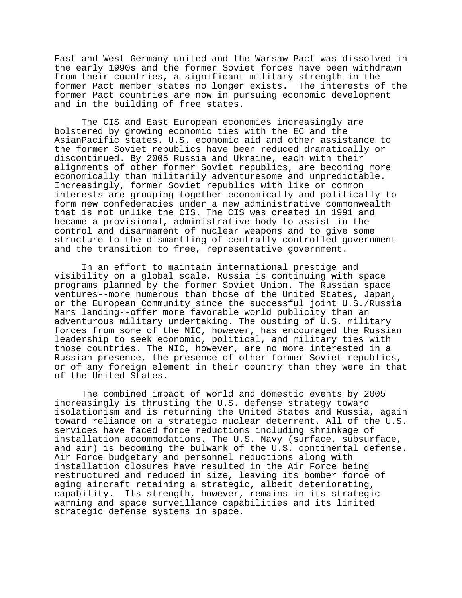East and West Germany united and the Warsaw Pact was dissolved in the early 1990s and the former Soviet forces have been withdrawn from their countries, a significant military strength in the former Pact member states no longer exists. The interests of the former Pact countries are now in pursuing economic development and in the building of free states.

The CIS and East European economies increasingly are bolstered by growing economic ties with the EC and the AsianPacific states. U.S. economic aid and other assistance to the former Soviet republics have been reduced dramatically or discontinued. By 2005 Russia and Ukraine, each with their alignments of other former Soviet republics, are becoming more economically than militarily adventuresome and unpredictable. Increasingly, former Soviet republics with like or common interests are grouping together economically and politically to form new confederacies under a new administrative commonwealth that is not unlike the CIS. The CIS was created in 1991 and became a provisional, administrative body to assist in the control and disarmament of nuclear weapons and to give some structure to the dismantling of centrally controlled government and the transition to free, representative government.

In an effort to maintain international prestige and visibility on a global scale, Russia is continuing with space programs planned by the former Soviet Union. The Russian space ventures--more numerous than those of the United States, Japan, or the European Community since the successful joint U.S./Russia Mars landing--offer more favorable world publicity than an adventurous military undertaking. The ousting of U.S. military forces from some of the NIC, however, has encouraged the Russian leadership to seek economic, political, and military ties with those countries. The NIC, however, are no more interested in a Russian presence, the presence of other former Soviet republics, or of any foreign element in their country than they were in that of the United States.

The combined impact of world and domestic events by 2005 increasingly is thrusting the U.S. defense strategy toward isolationism and is returning the United States and Russia, again toward reliance on a strategic nuclear deterrent. All of the U.S. services have faced force reductions including shrinkage of installation accommodations. The U.S. Navy (surface, subsurface, and air) is becoming the bulwark of the U.S. continental defense. Air Force budgetary and personnel reductions along with installation closures have resulted in the Air Force being restructured and reduced in size, leaving its bomber force of aging aircraft retaining a strategic, albeit deteriorating, capability. Its strength, however, remains in its strategic warning and space surveillance capabilities and its limited strategic defense systems in space.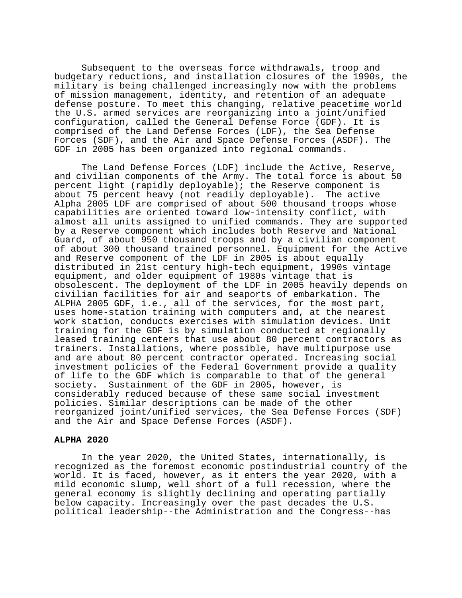Subsequent to the overseas force withdrawals, troop and budgetary reductions, and installation closures of the 1990s, the military is being challenged increasingly now with the problems of mission management, identity, and retention of an adequate defense posture. To meet this changing, relative peacetime world the U.S. armed services are reorganizing into a joint/unified configuration, called the General Defense Force (GDF). It is comprised of the Land Defense Forces (LDF), the Sea Defense Forces (SDF), and the Air and Space Defense Forces (ASDF). The GDF in 2005 has been organized into regional commands.

The Land Defense Forces (LDF) include the Active, Reserve, and civilian components of the Army. The total force is about 50 percent light (rapidly deployable); the Reserve component is about 75 percent heavy (not readily deployable). The active Alpha 2005 LDF are comprised of about 500 thousand troops whose capabilities are oriented toward low-intensity conflict, with almost all units assigned to unified commands. They are supported by a Reserve component which includes both Reserve and National Guard, of about 950 thousand troops and by a civilian component of about 300 thousand trained personnel. Equipment for the Active and Reserve component of the LDF in 2005 is about equally distributed in 21st century high-tech equipment, 1990s vintage equipment, and older equipment of 1980s vintage that is obsolescent. The deployment of the LDF in 2005 heavily depends on civilian facilities for air and seaports of embarkation. The ALPHA 2005 GDF, i.e., all of the services, for the most part, uses home-station training with computers and, at the nearest work station, conducts exercises with simulation devices. Unit training for the GDF is by simulation conducted at regionally leased training centers that use about 80 percent contractors as trainers. Installations, where possible, have multipurpose use and are about 80 percent contractor operated. Increasing social investment policies of the Federal Government provide a quality of life to the GDF which is comparable to that of the general society. Sustainment of the GDF in 2005, however, is considerably reduced because of these same social investment policies. Similar descriptions can be made of the other reorganized joint/unified services, the Sea Defense Forces (SDF) and the Air and Space Defense Forces (ASDF).

# **ALPHA 2020**

In the year 2020, the United States, internationally, is recognized as the foremost economic postindustrial country of the world. It is faced, however, as it enters the year 2020, with a mild economic slump, well short of a full recession, where the general economy is slightly declining and operating partially below capacity. Increasingly over the past decades the U.S. political leadership--the Administration and the Congress--has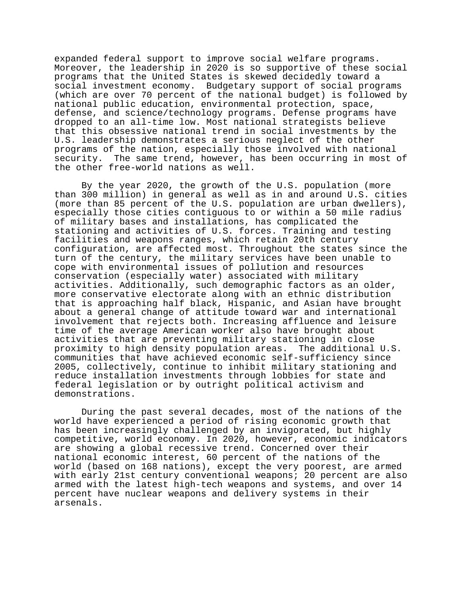expanded federal support to improve social welfare programs. Moreover, the leadership in 2020 is so supportive of these social programs that the United States is skewed decidedly toward a social investment economy. Budgetary support of social programs (which are over 70 percent of the national budget) is followed by national public education, environmental protection, space, defense, and science/technology programs. Defense programs have dropped to an all-time low. Most national strategists believe that this obsessive national trend in social investments by the U.S. leadership demonstrates a serious neglect of the other programs of the nation, especially those involved with national security. The same trend, however, has been occurring in most of the other free-world nations as well.

By the year 2020, the growth of the U.S. population (more than 300 million) in general as well as in and around U.S. cities (more than 85 percent of the U.S. population are urban dwellers), especially those cities contiguous to or within a 50 mile radius of military bases and installations, has complicated the stationing and activities of U.S. forces. Training and testing facilities and weapons ranges, which retain 20th century configuration, are affected most. Throughout the states since the turn of the century, the military services have been unable to cope with environmental issues of pollution and resources conservation (especially water) associated with military activities. Additionally, such demographic factors as an older, more conservative electorate along with an ethnic distribution that is approaching half black, Hispanic, and Asian have brought about a general change of attitude toward war and international involvement that rejects both. Increasing affluence and leisure time of the average American worker also have brought about activities that are preventing military stationing in close proximity to high density population areas. The additional U.S. communities that have achieved economic self-sufficiency since 2005, collectively, continue to inhibit military stationing and reduce installation investments through lobbies for state and federal legislation or by outright political activism and demonstrations.

During the past several decades, most of the nations of the world have experienced a period of rising economic growth that has been increasingly challenged by an invigorated, but highly competitive, world economy. In 2020, however, economic indicators are showing a global recessive trend. Concerned over their national economic interest, 60 percent of the nations of the world (based on 168 nations), except the very poorest, are armed with early 21st century conventional weapons; 20 percent are also armed with the latest high-tech weapons and systems, and over 14 percent have nuclear weapons and delivery systems in their arsenals.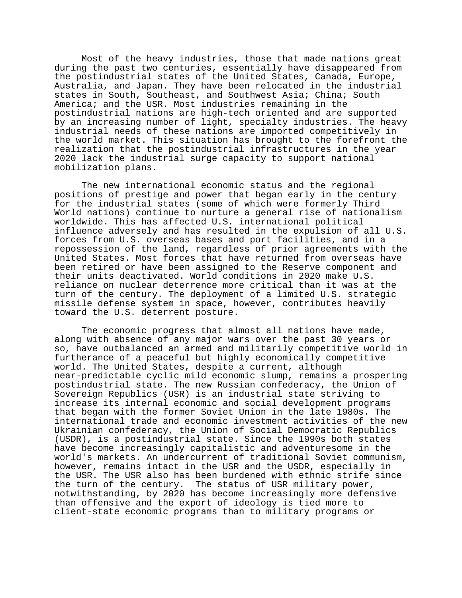Most of the heavy industries, those that made nations great during the past two centuries, essentially have disappeared from the postindustrial states of the United States, Canada, Europe, Australia, and Japan. They have been relocated in the industrial states in South, Southeast, and Southwest Asia; China; South America; and the USR. Most industries remaining in the postindustrial nations are high-tech oriented and are supported by an increasing number of light, specialty industries. The heavy industrial needs of these nations are imported competitively in the world market. This situation has brought to the forefront the realization that the postindustrial infrastructures in the year 2020 lack the industrial surge capacity to support national mobilization plans.

The new international economic status and the regional positions of prestige and power that began early in the century for the industrial states (some of which were formerly Third World nations) continue to nurture a general rise of nationalism worldwide. This has affected U.S. international political influence adversely and has resulted in the expulsion of all U.S. forces from U.S. overseas bases and port facilities, and in a repossession of the land, regardless of prior agreements with the United States. Most forces that have returned from overseas have been retired or have been assigned to the Reserve component and their units deactivated. World conditions in 2020 make U.S. reliance on nuclear deterrence more critical than it was at the turn of the century. The deployment of a limited U.S. strategic missile defense system in space, however, contributes heavily toward the U.S. deterrent posture.

The economic progress that almost all nations have made, along with absence of any major wars over the past 30 years or so, have outbalanced an armed and militarily competitive world in furtherance of a peaceful but highly economically competitive world. The United States, despite a current, although near-predictable cyclic mild economic slump, remains a prospering postindustrial state. The new Russian confederacy, the Union of Sovereign Republics (USR) is an industrial state striving to increase its internal economic and social development programs that began with the former Soviet Union in the late 1980s. The international trade and economic investment activities of the new Ukrainian confederacy, the Union of Social Democratic Republics (USDR), is a postindustrial state. Since the 1990s both states have become increasingly capitalistic and adventuresome in the world's markets. An undercurrent of traditional Soviet communism, however, remains intact in the USR and the USDR, especially in the USR. The USR also has been burdened with ethnic strife since the turn of the century. The status of USR military power, notwithstanding, by 2020 has become increasingly more defensive than offensive and the export of ideology is tied more to client-state economic programs than to military programs or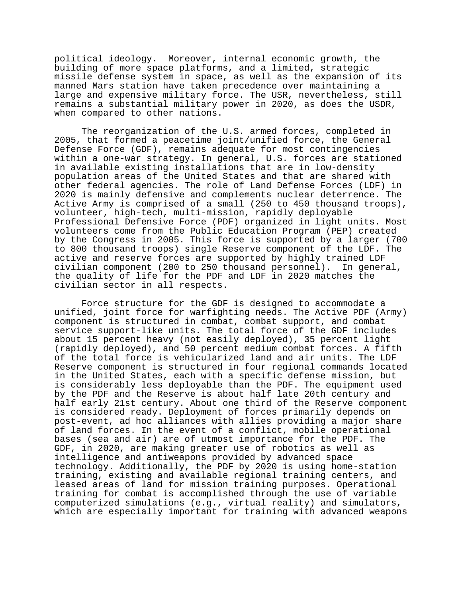political ideology. Moreover, internal economic growth, the building of more space platforms, and a limited, strategic missile defense system in space, as well as the expansion of its manned Mars station have taken precedence over maintaining a large and expensive military force. The USR, nevertheless, still remains a substantial military power in 2020, as does the USDR, when compared to other nations.

The reorganization of the U.S. armed forces, completed in 2005, that formed a peacetime joint/unified force, the General Defense Force (GDF), remains adequate for most contingencies within a one-war strategy. In general, U.S. forces are stationed in available existing installations that are in low-density population areas of the United States and that are shared with other federal agencies. The role of Land Defense Forces (LDF) in 2020 is mainly defensive and complements nuclear deterrence. The Active Army is comprised of a small (250 to 450 thousand troops), volunteer, high-tech, multi-mission, rapidly deployable Professional Defensive Force (PDF) organized in light units. Most volunteers come from the Public Education Program (PEP) created by the Congress in 2005. This force is supported by a larger (700 to 800 thousand troops) single Reserve component of the LDF. The active and reserve forces are supported by highly trained LDF civilian component (200 to 250 thousand personnel). In general, the quality of life for the PDF and LDF in 2020 matches the civilian sector in all respects.

Force structure for the GDF is designed to accommodate a unified, joint force for warfighting needs. The Active PDF (Army) component is structured in combat, combat support, and combat service support-like units. The total force of the GDF includes about 15 percent heavy (not easily deployed), 35 percent light (rapidly deployed), and 50 percent medium combat forces. A fifth of the total force is vehicularized land and air units. The LDF Reserve component is structured in four regional commands located in the United States, each with a specific defense mission, but is considerably less deployable than the PDF. The equipment used by the PDF and the Reserve is about half late 20th century and half early 21st century. About one third of the Reserve component is considered ready. Deployment of forces primarily depends on post-event, ad hoc alliances with allies providing a major share of land forces. In the event of a conflict, mobile operational bases (sea and air) are of utmost importance for the PDF. The GDF, in 2020, are making greater use of robotics as well as intelligence and antiweapons provided by advanced space technology. Additionally, the PDF by 2020 is using home-station training, existing and available regional training centers, and leased areas of land for mission training purposes. Operational training for combat is accomplished through the use of variable computerized simulations (e.g., virtual reality) and simulators, which are especially important for training with advanced weapons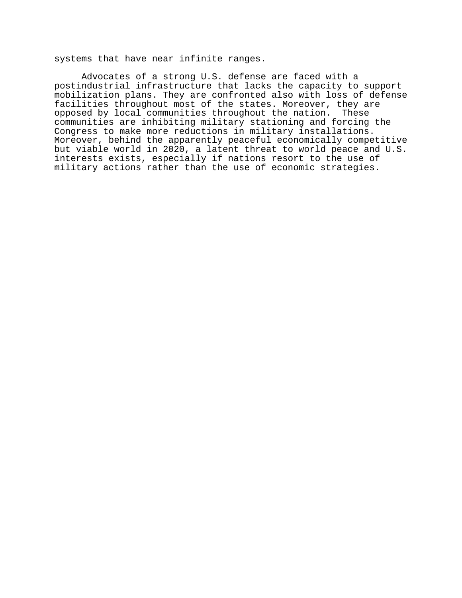systems that have near infinite ranges.

Advocates of a strong U.S. defense are faced with a postindustrial infrastructure that lacks the capacity to support mobilization plans. They are confronted also with loss of defense facilities throughout most of the states. Moreover, they are opposed by local communities throughout the nation. These communities are inhibiting military stationing and forcing the Congress to make more reductions in military installations. Moreover, behind the apparently peaceful economically competitive but viable world in 2020, a latent threat to world peace and U.S. interests exists, especially if nations resort to the use of military actions rather than the use of economic strategies.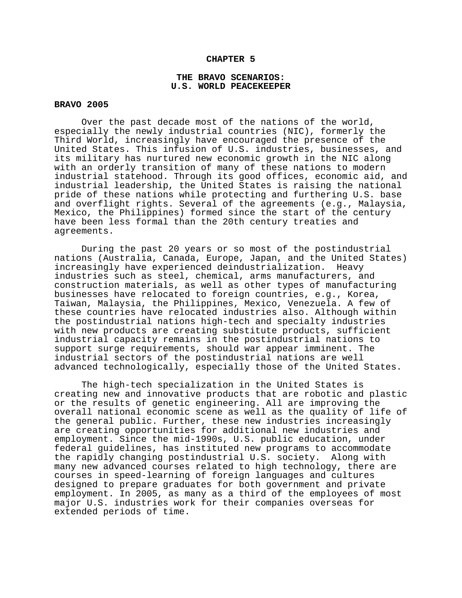### **CHAPTER 5**

## **THE BRAVO SCENARIOS: U.S. WORLD PEACEKEEPER**

## **BRAVO 2005**

Over the past decade most of the nations of the world, especially the newly industrial countries (NIC), formerly the Third World, increasingly have encouraged the presence of the United States. This infusion of U.S. industries, businesses, and its military has nurtured new economic growth in the NIC along with an orderly transition of many of these nations to modern industrial statehood. Through its good offices, economic aid, and industrial leadership, the United States is raising the national pride of these nations while protecting and furthering U.S. base and overflight rights. Several of the agreements (e.g., Malaysia, Mexico, the Philippines) formed since the start of the century have been less formal than the 20th century treaties and agreements.

During the past 20 years or so most of the postindustrial nations (Australia, Canada, Europe, Japan, and the United States) increasingly have experienced deindustrialization. Heavy industries such as steel, chemical, arms manufacturers, and construction materials, as well as other types of manufacturing businesses have relocated to foreign countries, e.g., Korea, Taiwan, Malaysia, the Philippines, Mexico, Venezuela. A few of these countries have relocated industries also. Although within the postindustrial nations high-tech and specialty industries with new products are creating substitute products, sufficient industrial capacity remains in the postindustrial nations to support surge requirements, should war appear imminent. The industrial sectors of the postindustrial nations are well advanced technologically, especially those of the United States.

The high-tech specialization in the United States is creating new and innovative products that are robotic and plastic or the results of genetic engineering. All are improving the overall national economic scene as well as the quality of life of the general public. Further, these new industries increasingly are creating opportunities for additional new industries and employment. Since the mid-1990s, U.S. public education, under federal guidelines, has instituted new programs to accommodate the rapidly changing postindustrial U.S. society. Along with many new advanced courses related to high technology, there are courses in speed-learning of foreign languages and cultures designed to prepare graduates for both government and private employment. In 2005, as many as a third of the employees of most major U.S. industries work for their companies overseas for extended periods of time.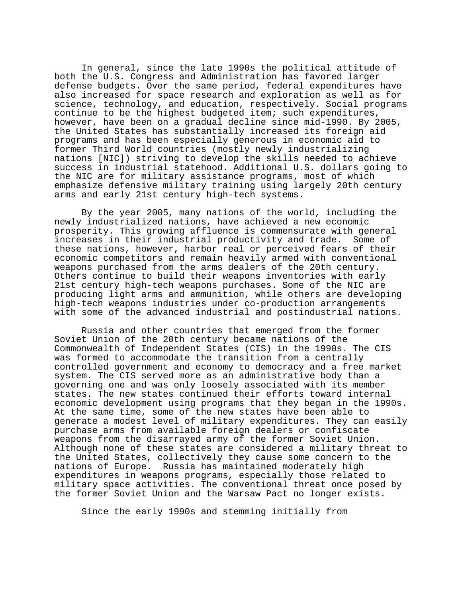In general, since the late 1990s the political attitude of both the U.S. Congress and Administration has favored larger defense budgets. Over the same period, federal expenditures have also increased for space research and exploration as well as for science, technology, and education, respectively. Social programs continue to be the highest budgeted item; such expenditures, however, have been on a gradual decline since mid-1990. By 2005, the United States has substantially increased its foreign aid programs and has been especially generous in economic aid to former Third World countries (mostly newly industrializing nations [NIC]) striving to develop the skills needed to achieve success in industrial statehood. Additional U.S. dollars going to the NIC are for military assistance programs, most of which emphasize defensive military training using largely 20th century arms and early 21st century high-tech systems.

By the year 2005, many nations of the world, including the newly industrialized nations, have achieved a new economic prosperity. This growing affluence is commensurate with general increases in their industrial productivity and trade. Some of these nations, however, harbor real or perceived fears of their economic competitors and remain heavily armed with conventional weapons purchased from the arms dealers of the 20th century. Others continue to build their weapons inventories with early 21st century high-tech weapons purchases. Some of the NIC are producing light arms and ammunition, while others are developing high-tech weapons industries under co-production arrangements with some of the advanced industrial and postindustrial nations.

Russia and other countries that emerged from the former Soviet Union of the 20th century became nations of the Commonwealth of Independent States (CIS) in the 1990s. The CIS was formed to accommodate the transition from a centrally controlled government and economy to democracy and a free market system. The CIS served more as an administrative body than a governing one and was only loosely associated with its member states. The new states continued their efforts toward internal economic development using programs that they began in the 1990s. At the same time, some of the new states have been able to generate a modest level of military expenditures. They can easily purchase arms from available foreign dealers or confiscate weapons from the disarrayed army of the former Soviet Union. Although none of these states are considered a military threat to the United States, collectively they cause some concern to the nations of Europe. Russia has maintained moderately high expenditures in weapons programs, especially those related to military space activities. The conventional threat once posed by the former Soviet Union and the Warsaw Pact no longer exists.

Since the early 1990s and stemming initially from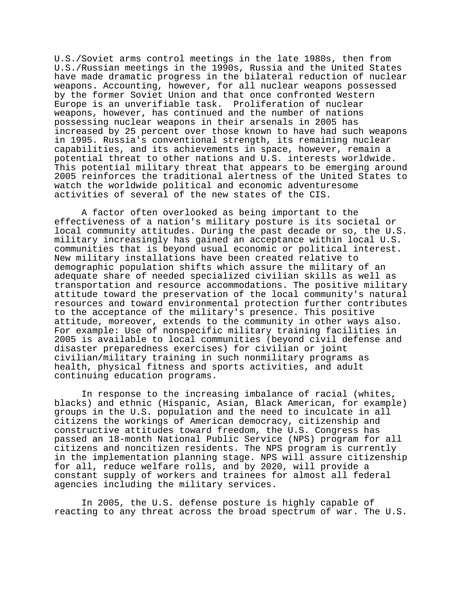U.S./Soviet arms control meetings in the late 1980s, then from U.S./Russian meetings in the 1990s, Russia and the United States have made dramatic progress in the bilateral reduction of nuclear weapons. Accounting, however, for all nuclear weapons possessed by the former Soviet Union and that once confronted Western Europe is an unverifiable task. Proliferation of nuclear weapons, however, has continued and the number of nations possessing nuclear weapons in their arsenals in 2005 has increased by 25 percent over those known to have had such weapons in 1995. Russia's conventional strength, its remaining nuclear capabilities, and its achievements in space, however, remain a potential threat to other nations and U.S. interests worldwide. This potential military threat that appears to be emerging around 2005 reinforces the traditional alertness of the United States to watch the worldwide political and economic adventuresome activities of several of the new states of the CIS.

A factor often overlooked as being important to the effectiveness of a nation's military posture is its societal or local community attitudes. During the past decade or so, the U.S. military increasingly has gained an acceptance within local U.S. communities that is beyond usual economic or political interest. New military installations have been created relative to demographic population shifts which assure the military of an adequate share of needed specialized civilian skills as well as transportation and resource accommodations. The positive military attitude toward the preservation of the local community's natural resources and toward environmental protection further contributes to the acceptance of the military's presence. This positive attitude, moreover, extends to the community in other ways also. For example: Use of nonspecific military training facilities in 2005 is available to local communities (beyond civil defense and disaster preparedness exercises) for civilian or joint civilian/military training in such nonmilitary programs as health, physical fitness and sports activities, and adult continuing education programs.

In response to the increasing imbalance of racial (whites, blacks) and ethnic (Hispanic, Asian, Black American, for example) groups in the U.S. population and the need to inculcate in all citizens the workings of American democracy, citizenship and constructive attitudes toward freedom, the U.S. Congress has passed an 18-month National Public Service (NPS) program for all citizens and noncitizen residents. The NPS program is currently in the implementation planning stage. NPS will assure citizenship for all, reduce welfare rolls, and by 2020, will provide a constant supply of workers and trainees for almost all federal agencies including the military services.

In 2005, the U.S. defense posture is highly capable of reacting to any threat across the broad spectrum of war. The U.S.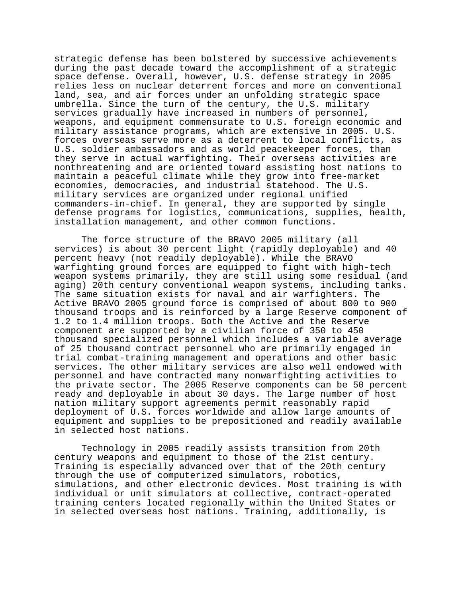strategic defense has been bolstered by successive achievements during the past decade toward the accomplishment of a strategic space defense. Overall, however, U.S. defense strategy in 2005 relies less on nuclear deterrent forces and more on conventional land, sea, and air forces under an unfolding strategic space umbrella. Since the turn of the century, the U.S. military services gradually have increased in numbers of personnel, weapons, and equipment commensurate to U.S. foreign economic and military assistance programs, which are extensive in 2005. U.S. forces overseas serve more as a deterrent to local conflicts, as U.S. soldier ambassadors and as world peacekeeper forces, than they serve in actual warfighting. Their overseas activities are nonthreatening and are oriented toward assisting host nations to maintain a peaceful climate while they grow into free-market economies, democracies, and industrial statehood. The U.S. military services are organized under regional unified commanders-in-chief. In general, they are supported by single defense programs for logistics, communications, supplies, health, installation management, and other common functions.

The force structure of the BRAVO 2005 military (all services) is about 30 percent light (rapidly deployable) and 40 percent heavy (not readily deployable). While the BRAVO warfighting ground forces are equipped to fight with high-tech weapon systems primarily, they are still using some residual (and aging) 20th century conventional weapon systems, including tanks. The same situation exists for naval and air warfighters. The Active BRAVO 2005 ground force is comprised of about 800 to 900 thousand troops and is reinforced by a large Reserve component of 1.2 to 1.4 million troops. Both the Active and the Reserve component are supported by a civilian force of 350 to 450 thousand specialized personnel which includes a variable average of 25 thousand contract personnel who are primarily engaged in trial combat-training management and operations and other basic services. The other military services are also well endowed with personnel and have contracted many nonwarfighting activities to the private sector. The 2005 Reserve components can be 50 percent ready and deployable in about 30 days. The large number of host nation military support agreements permit reasonably rapid deployment of U.S. forces worldwide and allow large amounts of equipment and supplies to be prepositioned and readily available in selected host nations.

Technology in 2005 readily assists transition from 20th century weapons and equipment to those of the 21st century. Training is especially advanced over that of the 20th century through the use of computerized simulators, robotics, simulations, and other electronic devices. Most training is with individual or unit simulators at collective, contract-operated training centers located regionally within the United States or in selected overseas host nations. Training, additionally, is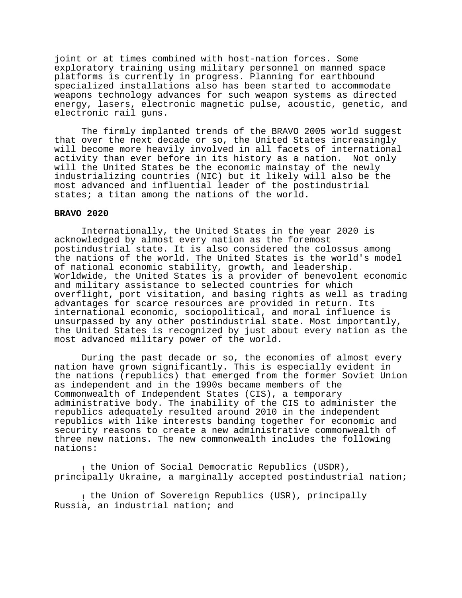joint or at times combined with host-nation forces. Some exploratory training using military personnel on manned space platforms is currently in progress. Planning for earthbound specialized installations also has been started to accommodate weapons technology advances for such weapon systems as directed energy, lasers, electronic magnetic pulse, acoustic, genetic, and electronic rail guns.

The firmly implanted trends of the BRAVO 2005 world suggest that over the next decade or so, the United States increasingly will become more heavily involved in all facets of international activity than ever before in its history as a nation. Not only will the United States be the economic mainstay of the newly industrializing countries (NIC) but it likely will also be the most advanced and influential leader of the postindustrial states; a titan among the nations of the world.

## **BRAVO 2020**

Internationally, the United States in the year 2020 is acknowledged by almost every nation as the foremost postindustrial state. It is also considered the colossus among the nations of the world. The United States is the world's model of national economic stability, growth, and leadership. Worldwide, the United States is a provider of benevolent economic and military assistance to selected countries for which overflight, port visitation, and basing rights as well as trading advantages for scarce resources are provided in return. Its international economic, sociopolitical, and moral influence is unsurpassed by any other postindustrial state. Most importantly, the United States is recognized by just about every nation as the most advanced military power of the world.

During the past decade or so, the economies of almost every nation have grown significantly. This is especially evident in the nations (republics) that emerged from the former Soviet Union as independent and in the 1990s became members of the Commonwealth of Independent States (CIS), a temporary administrative body. The inability of the CIS to administer the republics adequately resulted around 2010 in the independent republics with like interests banding together for economic and security reasons to create a new administrative commonwealth of three new nations. The new commonwealth includes the following nations:

, the Union of Social Democratic Republics (USDR), principally Ukraine, a marginally accepted postindustrial nation;

, the Union of Sovereign Republics (USR), principally Russia, an industrial nation; and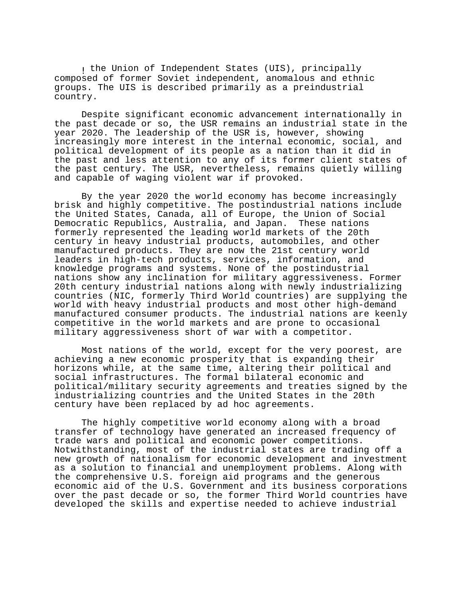, the Union of Independent States (UIS), principally composed of former Soviet independent, anomalous and ethnic groups. The UIS is described primarily as a preindustrial country.

Despite significant economic advancement internationally in the past decade or so, the USR remains an industrial state in the year 2020. The leadership of the USR is, however, showing increasingly more interest in the internal economic, social, and political development of its people as a nation than it did in the past and less attention to any of its former client states of the past century. The USR, nevertheless, remains quietly willing and capable of waging violent war if provoked.

By the year 2020 the world economy has become increasingly brisk and highly competitive. The postindustrial nations include the United States, Canada, all of Europe, the Union of Social Democratic Republics, Australia, and Japan. These nations formerly represented the leading world markets of the 20th century in heavy industrial products, automobiles, and other manufactured products. They are now the 21st century world leaders in high-tech products, services, information, and knowledge programs and systems. None of the postindustrial nations show any inclination for military aggressiveness. Former 20th century industrial nations along with newly industrializing countries (NIC, formerly Third World countries) are supplying the world with heavy industrial products and most other high-demand manufactured consumer products. The industrial nations are keenly competitive in the world markets and are prone to occasional military aggressiveness short of war with a competitor.

Most nations of the world, except for the very poorest, are achieving a new economic prosperity that is expanding their horizons while, at the same time, altering their political and social infrastructures. The formal bilateral economic and political/military security agreements and treaties signed by the industrializing countries and the United States in the 20th century have been replaced by ad hoc agreements.

The highly competitive world economy along with a broad transfer of technology have generated an increased frequency of trade wars and political and economic power competitions. Notwithstanding, most of the industrial states are trading off a new growth of nationalism for economic development and investment as a solution to financial and unemployment problems. Along with the comprehensive U.S. foreign aid programs and the generous economic aid of the U.S. Government and its business corporations over the past decade or so, the former Third World countries have developed the skills and expertise needed to achieve industrial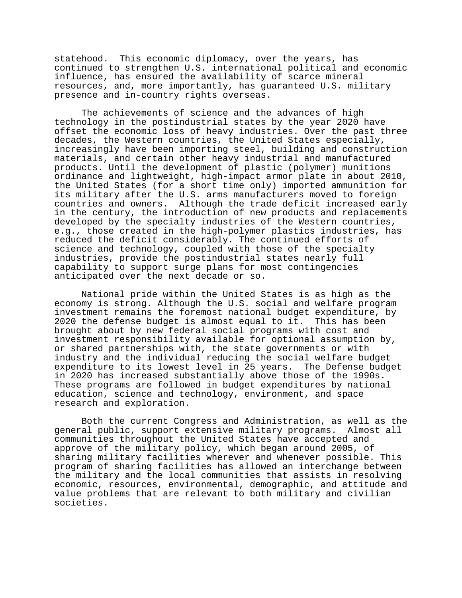statehood. This economic diplomacy, over the years, has continued to strengthen U.S. international political and economic influence, has ensured the availability of scarce mineral resources, and, more importantly, has guaranteed U.S. military presence and in-country rights overseas.

The achievements of science and the advances of high technology in the postindustrial states by the year 2020 have offset the economic loss of heavy industries. Over the past three decades, the Western countries, the United States especially, increasingly have been importing steel, building and construction materials, and certain other heavy industrial and manufactured products. Until the development of plastic (polymer) munitions ordinance and lightweight, high-impact armor plate in about 2010, the United States (for a short time only) imported ammunition for its military after the U.S. arms manufacturers moved to foreign countries and owners. Although the trade deficit increased early in the century, the introduction of new products and replacements developed by the specialty industries of the Western countries, e.g., those created in the high-polymer plastics industries, has reduced the deficit considerably. The continued efforts of science and technology, coupled with those of the specialty industries, provide the postindustrial states nearly full capability to support surge plans for most contingencies anticipated over the next decade or so.

National pride within the United States is as high as the economy is strong. Although the U.S. social and welfare program investment remains the foremost national budget expenditure, by 2020 the defense budget is almost equal to it. This has been brought about by new federal social programs with cost and investment responsibility available for optional assumption by, or shared partnerships with, the state governments or with industry and the individual reducing the social welfare budget expenditure to its lowest level in 25 years. The Defense budget in 2020 has increased substantially above those of the 1990s. These programs are followed in budget expenditures by national education, science and technology, environment, and space research and exploration.

Both the current Congress and Administration, as well as the general public, support extensive military programs. Almost all communities throughout the United States have accepted and approve of the military policy, which began around 2005, of sharing military facilities wherever and whenever possible. This program of sharing facilities has allowed an interchange between the military and the local communities that assists in resolving economic, resources, environmental, demographic, and attitude and value problems that are relevant to both military and civilian societies.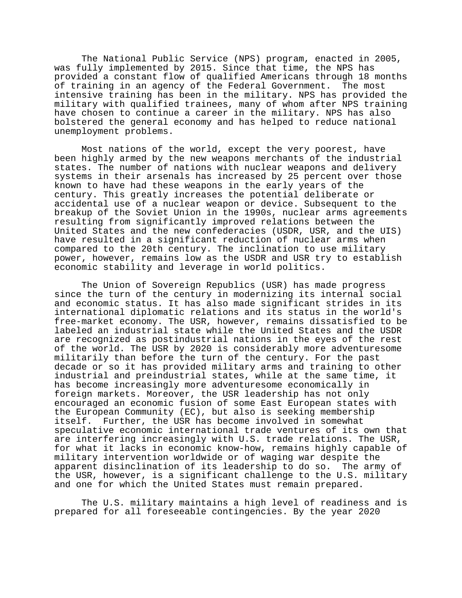The National Public Service (NPS) program, enacted in 2005, was fully implemented by 2015. Since that time, the NPS has provided a constant flow of qualified Americans through 18 months of training in an agency of the Federal Government. The most intensive training has been in the military. NPS has provided the military with qualified trainees, many of whom after NPS training have chosen to continue a career in the military. NPS has also bolstered the general economy and has helped to reduce national unemployment problems.

Most nations of the world, except the very poorest, have been highly armed by the new weapons merchants of the industrial states. The number of nations with nuclear weapons and delivery systems in their arsenals has increased by 25 percent over those known to have had these weapons in the early years of the century. This greatly increases the potential deliberate or accidental use of a nuclear weapon or device. Subsequent to the breakup of the Soviet Union in the 1990s, nuclear arms agreements resulting from significantly improved relations between the United States and the new confederacies (USDR, USR, and the UIS) have resulted in a significant reduction of nuclear arms when compared to the 20th century. The inclination to use military power, however, remains low as the USDR and USR try to establish economic stability and leverage in world politics.

The Union of Sovereign Republics (USR) has made progress since the turn of the century in modernizing its internal social and economic status. It has also made significant strides in its international diplomatic relations and its status in the world's free-market economy. The USR, however, remains dissatisfied to be labeled an industrial state while the United States and the USDR are recognized as postindustrial nations in the eyes of the rest of the world. The USR by 2020 is considerably more adventuresome militarily than before the turn of the century. For the past decade or so it has provided military arms and training to other industrial and preindustrial states, while at the same time, it has become increasingly more adventuresome economically in foreign markets. Moreover, the USR leadership has not only encouraged an economic fusion of some East European states with the European Community (EC), but also is seeking membership itself. Further, the USR has become involved in somewhat speculative economic international trade ventures of its own that are interfering increasingly with U.S. trade relations. The USR, for what it lacks in economic know-how, remains highly capable of military intervention worldwide or of waging war despite the apparent disinclination of its leadership to do so. The army of the USR, however, is a significant challenge to the U.S. military and one for which the United States must remain prepared.

The U.S. military maintains a high level of readiness and is prepared for all foreseeable contingencies. By the year 2020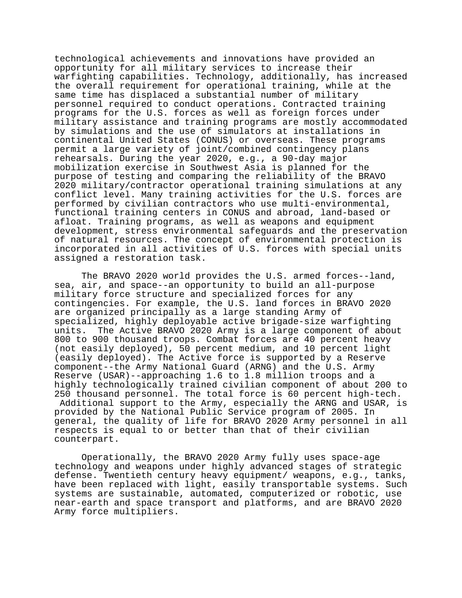technological achievements and innovations have provided an opportunity for all military services to increase their warfighting capabilities. Technology, additionally, has increased the overall requirement for operational training, while at the same time has displaced a substantial number of military personnel required to conduct operations. Contracted training programs for the U.S. forces as well as foreign forces under military assistance and training programs are mostly accommodated by simulations and the use of simulators at installations in continental United States (CONUS) or overseas. These programs permit a large variety of joint/combined contingency plans rehearsals. During the year 2020, e.g., a 90-day major mobilization exercise in Southwest Asia is planned for the purpose of testing and comparing the reliability of the BRAVO 2020 military/contractor operational training simulations at any conflict level. Many training activities for the U.S. forces are performed by civilian contractors who use multi-environmental, functional training centers in CONUS and abroad, land-based or afloat. Training programs, as well as weapons and equipment development, stress environmental safeguards and the preservation of natural resources. The concept of environmental protection is incorporated in all activities of U.S. forces with special units assigned a restoration task.

The BRAVO 2020 world provides the U.S. armed forces--land, sea, air, and space--an opportunity to build an all-purpose military force structure and specialized forces for any contingencies. For example, the U.S. land forces in BRAVO 2020 are organized principally as a large standing Army of specialized, highly deployable active brigade-size warfighting units. The Active BRAVO 2020 Army is a large component of about 800 to 900 thousand troops. Combat forces are 40 percent heavy (not easily deployed), 50 percent medium, and 10 percent light (easily deployed). The Active force is supported by a Reserve component--the Army National Guard (ARNG) and the U.S. Army Reserve (USAR)--approaching 1.6 to 1.8 million troops and a highly technologically trained civilian component of about 200 to 250 thousand personnel. The total force is 60 percent high-tech. Additional support to the Army, especially the ARNG and USAR, is provided by the National Public Service program of 2005. In general, the quality of life for BRAVO 2020 Army personnel in all respects is equal to or better than that of their civilian counterpart.

Operationally, the BRAVO 2020 Army fully uses space-age technology and weapons under highly advanced stages of strategic defense. Twentieth century heavy equipment/ weapons, e.g., tanks, have been replaced with light, easily transportable systems. Such systems are sustainable, automated, computerized or robotic, use near-earth and space transport and platforms, and are BRAVO 2020 Army force multipliers.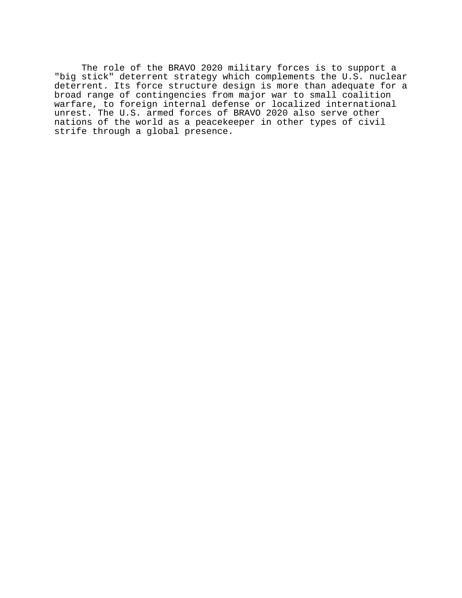The role of the BRAVO 2020 military forces is to support a "big stick" deterrent strategy which complements the U.S. nuclear deterrent. Its force structure design is more than adequate for a broad range of contingencies from major war to small coalition warfare, to foreign internal defense or localized international unrest. The U.S. armed forces of BRAVO 2020 also serve other nations of the world as a peacekeeper in other types of civil strife through a global presence.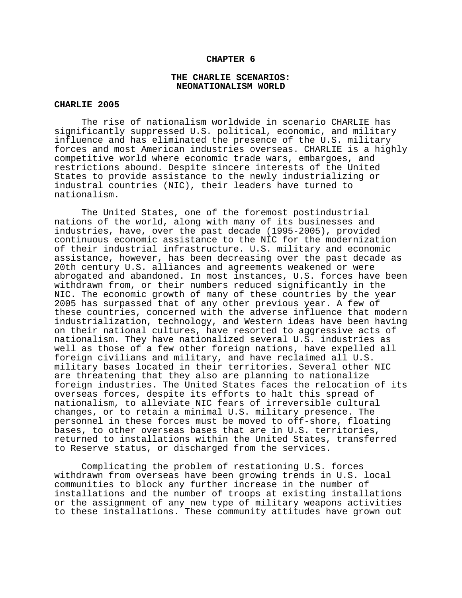#### **CHAPTER 6**

## **THE CHARLIE SCENARIOS: NEONATIONALISM WORLD**

## **CHARLIE 2005**

The rise of nationalism worldwide in scenario CHARLIE has significantly suppressed U.S. political, economic, and military influence and has eliminated the presence of the U.S. military forces and most American industries overseas. CHARLIE is a highly competitive world where economic trade wars, embargoes, and restrictions abound. Despite sincere interests of the United States to provide assistance to the newly industrializing or industral countries (NIC), their leaders have turned to nationalism.

The United States, one of the foremost postindustrial nations of the world, along with many of its businesses and industries, have, over the past decade (1995-2005), provided continuous economic assistance to the NIC for the modernization of their industrial infrastructure. U.S. military and economic assistance, however, has been decreasing over the past decade as 20th century U.S. alliances and agreements weakened or were abrogated and abandoned. In most instances, U.S. forces have been withdrawn from, or their numbers reduced significantly in the NIC. The economic growth of many of these countries by the year 2005 has surpassed that of any other previous year. A few of these countries, concerned with the adverse influence that modern industrialization, technology, and Western ideas have been having on their national cultures, have resorted to aggressive acts of nationalism. They have nationalized several U.S. industries as well as those of a few other foreign nations, have expelled all foreign civilians and military, and have reclaimed all U.S. military bases located in their territories. Several other NIC are threatening that they also are planning to nationalize foreign industries. The United States faces the relocation of its overseas forces, despite its efforts to halt this spread of nationalism, to alleviate NIC fears of irreversible cultural changes, or to retain a minimal U.S. military presence. The personnel in these forces must be moved to off-shore, floating bases, to other overseas bases that are in U.S. territories, returned to installations within the United States, transferred to Reserve status, or discharged from the services.

Complicating the problem of restationing U.S. forces withdrawn from overseas have been growing trends in U.S. local communities to block any further increase in the number of installations and the number of troops at existing installations or the assignment of any new type of military weapons activities to these installations. These community attitudes have grown out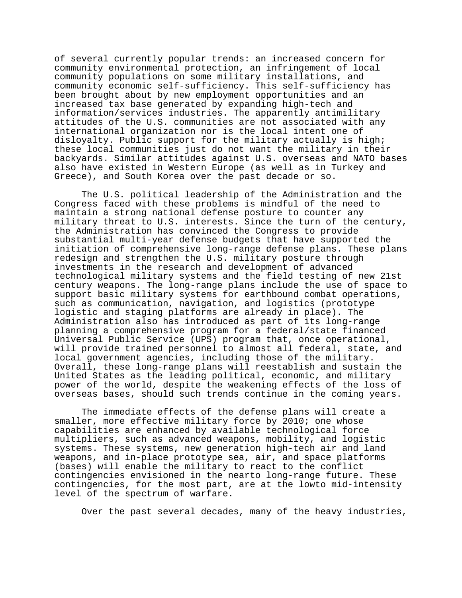of several currently popular trends: an increased concern for community environmental protection, an infringement of local community populations on some military installations, and community economic self-sufficiency. This self-sufficiency has been brought about by new employment opportunities and an increased tax base generated by expanding high-tech and information/services industries. The apparently antimilitary attitudes of the U.S. communities are not associated with any international organization nor is the local intent one of disloyalty. Public support for the military actually is high; these local communities just do not want the military in their backyards. Similar attitudes against U.S. overseas and NATO bases also have existed in Western Europe (as well as in Turkey and Greece), and South Korea over the past decade or so.

The U.S. political leadership of the Administration and the Congress faced with these problems is mindful of the need to maintain a strong national defense posture to counter any military threat to U.S. interests. Since the turn of the century, the Administration has convinced the Congress to provide substantial multi-year defense budgets that have supported the initiation of comprehensive long-range defense plans. These plans redesign and strengthen the U.S. military posture through investments in the research and development of advanced technological military systems and the field testing of new 21st century weapons. The long-range plans include the use of space to support basic military systems for earthbound combat operations, such as communication, navigation, and logistics (prototype logistic and staging platforms are already in place). The Administration also has introduced as part of its long-range planning a comprehensive program for a federal/state financed Universal Public Service (UPS) program that, once operational, will provide trained personnel to almost all federal, state, and local government agencies, including those of the military. Overall, these long-range plans will reestablish and sustain the United States as the leading political, economic, and military power of the world, despite the weakening effects of the loss of overseas bases, should such trends continue in the coming years.

The immediate effects of the defense plans will create a smaller, more effective military force by 2010; one whose capabilities are enhanced by available technological force multipliers, such as advanced weapons, mobility, and logistic systems. These systems, new generation high-tech air and land weapons, and in-place prototype sea, air, and space platforms (bases) will enable the military to react to the conflict contingencies envisioned in the nearto long-range future. These contingencies, for the most part, are at the lowto mid-intensity level of the spectrum of warfare.

Over the past several decades, many of the heavy industries,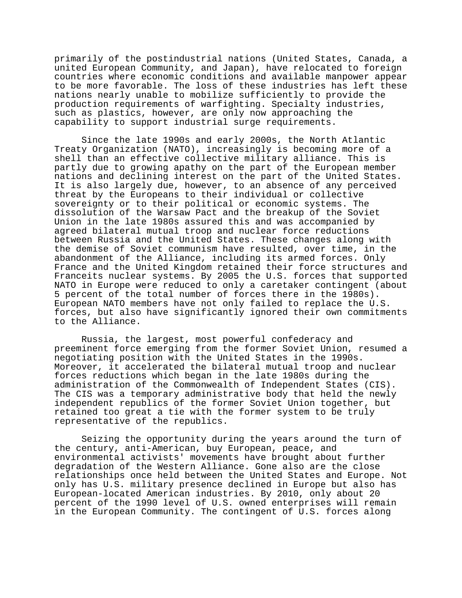primarily of the postindustrial nations (United States, Canada, a united European Community, and Japan), have relocated to foreign countries where economic conditions and available manpower appear to be more favorable. The loss of these industries has left these nations nearly unable to mobilize sufficiently to provide the production requirements of warfighting. Specialty industries, such as plastics, however, are only now approaching the capability to support industrial surge requirements.

Since the late 1990s and early 2000s, the North Atlantic Treaty Organization (NATO), increasingly is becoming more of a shell than an effective collective military alliance. This is partly due to growing apathy on the part of the European member nations and declining interest on the part of the United States. It is also largely due, however, to an absence of any perceived threat by the Europeans to their individual or collective sovereignty or to their political or economic systems. The dissolution of the Warsaw Pact and the breakup of the Soviet Union in the late 1980s assured this and was accompanied by agreed bilateral mutual troop and nuclear force reductions between Russia and the United States. These changes along with the demise of Soviet communism have resulted, over time, in the abandonment of the Alliance, including its armed forces. Only France and the United Kingdom retained their force structures and Franceits nuclear systems. By 2005 the U.S. forces that supported NATO in Europe were reduced to only a caretaker contingent (about 5 percent of the total number of forces there in the 1980s). European NATO members have not only failed to replace the U.S. forces, but also have significantly ignored their own commitments to the Alliance.

Russia, the largest, most powerful confederacy and preeminent force emerging from the former Soviet Union, resumed a negotiating position with the United States in the 1990s. Moreover, it accelerated the bilateral mutual troop and nuclear forces reductions which began in the late 1980s during the administration of the Commonwealth of Independent States (CIS). The CIS was a temporary administrative body that held the newly independent republics of the former Soviet Union together, but retained too great a tie with the former system to be truly representative of the republics.

Seizing the opportunity during the years around the turn of the century, anti-American, buy European, peace, and environmental activists' movements have brought about further degradation of the Western Alliance. Gone also are the close relationships once held between the United States and Europe. Not only has U.S. military presence declined in Europe but also has European-located American industries. By 2010, only about 20 percent of the 1990 level of U.S. owned enterprises will remain in the European Community. The contingent of U.S. forces along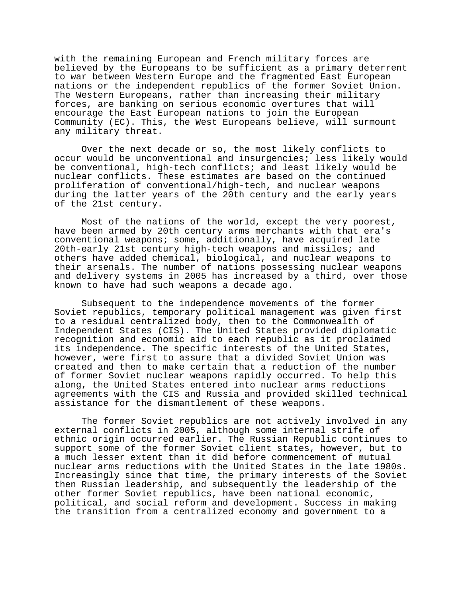with the remaining European and French military forces are believed by the Europeans to be sufficient as a primary deterrent to war between Western Europe and the fragmented East European nations or the independent republics of the former Soviet Union. The Western Europeans, rather than increasing their military forces, are banking on serious economic overtures that will encourage the East European nations to join the European Community (EC). This, the West Europeans believe, will surmount any military threat.

Over the next decade or so, the most likely conflicts to occur would be unconventional and insurgencies; less likely would be conventional, high-tech conflicts; and least likely would be nuclear conflicts. These estimates are based on the continued proliferation of conventional/high-tech, and nuclear weapons during the latter years of the 20th century and the early years of the 21st century.

Most of the nations of the world, except the very poorest, have been armed by 20th century arms merchants with that era's conventional weapons; some, additionally, have acquired late 20th-early 21st century high-tech weapons and missiles; and others have added chemical, biological, and nuclear weapons to their arsenals. The number of nations possessing nuclear weapons and delivery systems in 2005 has increased by a third, over those known to have had such weapons a decade ago.

Subsequent to the independence movements of the former Soviet republics, temporary political management was given first to a residual centralized body, then to the Commonwealth of Independent States (CIS). The United States provided diplomatic recognition and economic aid to each republic as it proclaimed its independence. The specific interests of the United States, however, were first to assure that a divided Soviet Union was created and then to make certain that a reduction of the number of former Soviet nuclear weapons rapidly occurred. To help this along, the United States entered into nuclear arms reductions agreements with the CIS and Russia and provided skilled technical assistance for the dismantlement of these weapons.

The former Soviet republics are not actively involved in any external conflicts in 2005, although some internal strife of ethnic origin occurred earlier. The Russian Republic continues to support some of the former Soviet client states, however, but to a much lesser extent than it did before commencement of mutual nuclear arms reductions with the United States in the late 1980s. Increasingly since that time, the primary interests of the Soviet then Russian leadership, and subsequently the leadership of the other former Soviet republics, have been national economic, political, and social reform and development. Success in making the transition from a centralized economy and government to a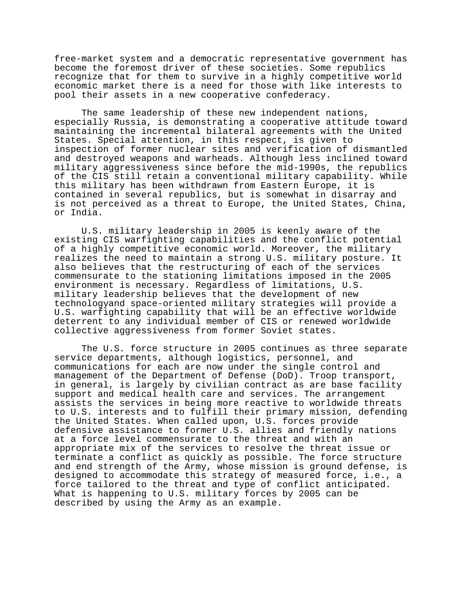free-market system and a democratic representative government has become the foremost driver of these societies. Some republics recognize that for them to survive in a highly competitive world economic market there is a need for those with like interests to pool their assets in a new cooperative confederacy.

The same leadership of these new independent nations, especially Russia, is demonstrating a cooperative attitude toward maintaining the incremental bilateral agreements with the United States. Special attention, in this respect, is given to inspection of former nuclear sites and verification of dismantled and destroyed weapons and warheads. Although less inclined toward military aggressiveness since before the mid-1990s, the republics of the CIS still retain a conventional military capability. While this military has been withdrawn from Eastern Europe, it is contained in several republics, but is somewhat in disarray and is not perceived as a threat to Europe, the United States, China, or India.

U.S. military leadership in 2005 is keenly aware of the existing CIS warfighting capabilities and the conflict potential of a highly competitive economic world. Moreover, the military realizes the need to maintain a strong U.S. military posture. It also believes that the restructuring of each of the services commensurate to the stationing limitations imposed in the 2005 environment is necessary. Regardless of limitations, U.S. military leadership believes that the development of new technologyand space-oriented military strategies will provide a U.S. warfighting capability that will be an effective worldwide deterrent to any individual member of CIS or renewed worldwide collective aggressiveness from former Soviet states.

The U.S. force structure in 2005 continues as three separate service departments, although logistics, personnel, and communications for each are now under the single control and management of the Department of Defense (DoD). Troop transport, in general, is largely by civilian contract as are base facility support and medical health care and services. The arrangement assists the services in being more reactive to worldwide threats to U.S. interests and to fulfill their primary mission, defending the United States. When called upon, U.S. forces provide defensive assistance to former U.S. allies and friendly nations at a force level commensurate to the threat and with an appropriate mix of the services to resolve the threat issue or terminate a conflict as quickly as possible. The force structure and end strength of the Army, whose mission is ground defense, is designed to accommodate this strategy of measured force, i.e., a force tailored to the threat and type of conflict anticipated. What is happening to U.S. military forces by 2005 can be described by using the Army as an example.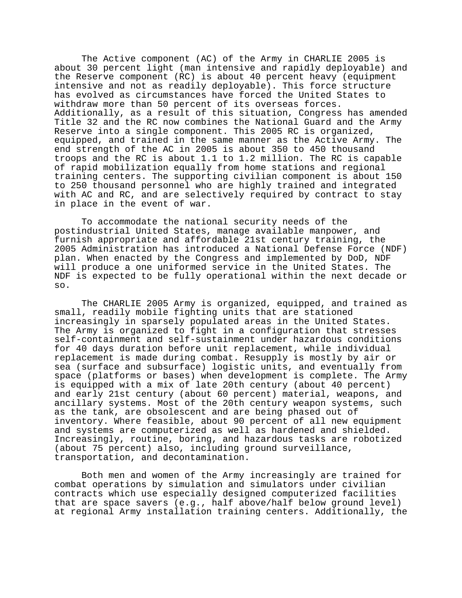The Active component (AC) of the Army in CHARLIE 2005 is about 30 percent light (man intensive and rapidly deployable) and the Reserve component (RC) is about 40 percent heavy (equipment intensive and not as readily deployable). This force structure has evolved as circumstances have forced the United States to withdraw more than 50 percent of its overseas forces. Additionally, as a result of this situation, Congress has amended Title 32 and the RC now combines the National Guard and the Army Reserve into a single component. This 2005 RC is organized, equipped, and trained in the same manner as the Active Army. The end strength of the AC in 2005 is about 350 to 450 thousand troops and the RC is about 1.1 to 1.2 million. The RC is capable of rapid mobilization equally from home stations and regional training centers. The supporting civilian component is about 150 to 250 thousand personnel who are highly trained and integrated with AC and RC, and are selectively required by contract to stay in place in the event of war.

To accommodate the national security needs of the postindustrial United States, manage available manpower, and furnish appropriate and affordable 21st century training, the 2005 Administration has introduced a National Defense Force (NDF) plan. When enacted by the Congress and implemented by DoD, NDF will produce a one uniformed service in the United States. The NDF is expected to be fully operational within the next decade or so.

The CHARLIE 2005 Army is organized, equipped, and trained as small, readily mobile fighting units that are stationed increasingly in sparsely populated areas in the United States. The Army is organized to fight in a configuration that stresses self-containment and self-sustainment under hazardous conditions for 40 days duration before unit replacement, while individual replacement is made during combat. Resupply is mostly by air or sea (surface and subsurface) logistic units, and eventually from space (platforms or bases) when development is complete. The Army is equipped with a mix of late 20th century (about 40 percent) and early 21st century (about 60 percent) material, weapons, and ancillary systems. Most of the 20th century weapon systems, such as the tank, are obsolescent and are being phased out of inventory. Where feasible, about 90 percent of all new equipment and systems are computerized as well as hardened and shielded. Increasingly, routine, boring, and hazardous tasks are robotized (about 75 percent) also, including ground surveillance, transportation, and decontamination.

Both men and women of the Army increasingly are trained for combat operations by simulation and simulators under civilian contracts which use especially designed computerized facilities that are space savers (e.g., half above/half below ground level) at regional Army installation training centers. Additionally, the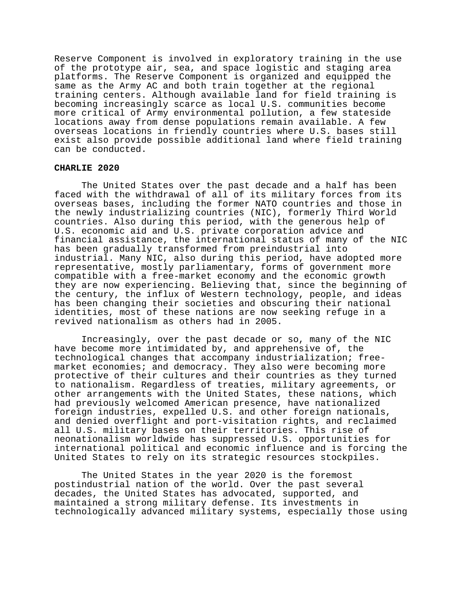Reserve Component is involved in exploratory training in the use of the prototype air, sea, and space logistic and staging area platforms. The Reserve Component is organized and equipped the same as the Army AC and both train together at the regional training centers. Although available land for field training is becoming increasingly scarce as local U.S. communities become more critical of Army environmental pollution, a few stateside locations away from dense populations remain available. A few overseas locations in friendly countries where U.S. bases still exist also provide possible additional land where field training can be conducted.

### **CHARLIE 2020**

The United States over the past decade and a half has been faced with the withdrawal of all of its military forces from its overseas bases, including the former NATO countries and those in the newly industrializing countries (NIC), formerly Third World countries. Also during this period, with the generous help of U.S. economic aid and U.S. private corporation advice and financial assistance, the international status of many of the NIC has been gradually transformed from preindustrial into industrial. Many NIC, also during this period, have adopted more representative, mostly parliamentary, forms of government more compatible with a free-market economy and the economic growth they are now experiencing. Believing that, since the beginning of the century, the influx of Western technology, people, and ideas has been changing their societies and obscuring their national identities, most of these nations are now seeking refuge in a revived nationalism as others had in 2005.

Increasingly, over the past decade or so, many of the NIC have become more intimidated by, and apprehensive of, the technological changes that accompany industrialization; freemarket economies; and democracy. They also were becoming more protective of their cultures and their countries as they turned to nationalism. Regardless of treaties, military agreements, or other arrangements with the United States, these nations, which had previously welcomed American presence, have nationalized foreign industries, expelled U.S. and other foreign nationals, and denied overflight and port-visitation rights, and reclaimed all U.S. military bases on their territories. This rise of neonationalism worldwide has suppressed U.S. opportunities for international political and economic influence and is forcing the United States to rely on its strategic resources stockpiles.

The United States in the year 2020 is the foremost postindustrial nation of the world. Over the past several decades, the United States has advocated, supported, and maintained a strong military defense. Its investments in technologically advanced military systems, especially those using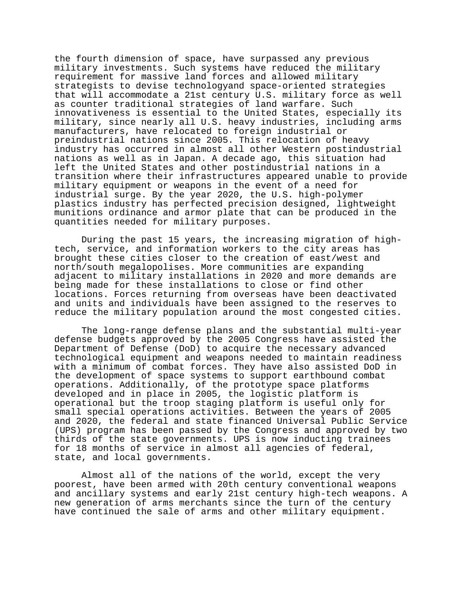the fourth dimension of space, have surpassed any previous military investments. Such systems have reduced the military requirement for massive land forces and allowed military strategists to devise technologyand space-oriented strategies that will accommodate a 21st century U.S. military force as well as counter traditional strategies of land warfare. Such innovativeness is essential to the United States, especially its military, since nearly all U.S. heavy industries, including arms manufacturers, have relocated to foreign industrial or preindustrial nations since 2005. This relocation of heavy industry has occurred in almost all other Western postindustrial nations as well as in Japan. A decade ago, this situation had left the United States and other postindustrial nations in a transition where their infrastructures appeared unable to provide military equipment or weapons in the event of a need for industrial surge. By the year 2020, the U.S. high-polymer plastics industry has perfected precision designed, lightweight munitions ordinance and armor plate that can be produced in the quantities needed for military purposes.

During the past 15 years, the increasing migration of hightech, service, and information workers to the city areas has brought these cities closer to the creation of east/west and north/south megalopolises. More communities are expanding adjacent to military installations in 2020 and more demands are being made for these installations to close or find other locations. Forces returning from overseas have been deactivated and units and individuals have been assigned to the reserves to reduce the military population around the most congested cities.

The long-range defense plans and the substantial multi-year defense budgets approved by the 2005 Congress have assisted the Department of Defense (DoD) to acquire the necessary advanced technological equipment and weapons needed to maintain readiness with a minimum of combat forces. They have also assisted DoD in the development of space systems to support earthbound combat operations. Additionally, of the prototype space platforms developed and in place in 2005, the logistic platform is operational but the troop staging platform is useful only for small special operations activities. Between the years of 2005 and 2020, the federal and state financed Universal Public Service (UPS) program has been passed by the Congress and approved by two thirds of the state governments. UPS is now inducting trainees for 18 months of service in almost all agencies of federal, state, and local governments.

Almost all of the nations of the world, except the very poorest, have been armed with 20th century conventional weapons and ancillary systems and early 21st century high-tech weapons. A new generation of arms merchants since the turn of the century have continued the sale of arms and other military equipment.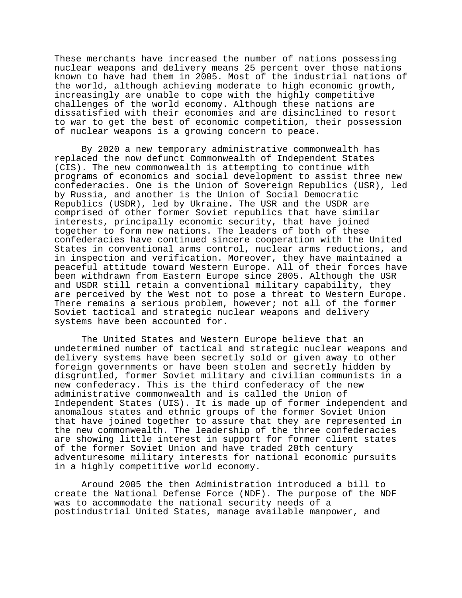These merchants have increased the number of nations possessing nuclear weapons and delivery means 25 percent over those nations known to have had them in 2005. Most of the industrial nations of the world, although achieving moderate to high economic growth, increasingly are unable to cope with the highly competitive challenges of the world economy. Although these nations are dissatisfied with their economies and are disinclined to resort to war to get the best of economic competition, their possession of nuclear weapons is a growing concern to peace.

By 2020 a new temporary administrative commonwealth has replaced the now defunct Commonwealth of Independent States (CIS). The new commonwealth is attempting to continue with programs of economics and social development to assist three new confederacies. One is the Union of Sovereign Republics (USR), led by Russia, and another is the Union of Social Democratic Republics (USDR), led by Ukraine. The USR and the USDR are comprised of other former Soviet republics that have similar interests, principally economic security, that have joined together to form new nations. The leaders of both of these confederacies have continued sincere cooperation with the United States in conventional arms control, nuclear arms reductions, and in inspection and verification. Moreover, they have maintained a peaceful attitude toward Western Europe. All of their forces have been withdrawn from Eastern Europe since 2005. Although the USR and USDR still retain a conventional military capability, they are perceived by the West not to pose a threat to Western Europe. There remains a serious problem, however; not all of the former Soviet tactical and strategic nuclear weapons and delivery systems have been accounted for.

The United States and Western Europe believe that an undetermined number of tactical and strategic nuclear weapons and delivery systems have been secretly sold or given away to other foreign governments or have been stolen and secretly hidden by disgruntled, former Soviet military and civilian communists in a new confederacy. This is the third confederacy of the new administrative commonwealth and is called the Union of Independent States (UIS). It is made up of former independent and anomalous states and ethnic groups of the former Soviet Union that have joined together to assure that they are represented in the new commonwealth. The leadership of the three confederacies are showing little interest in support for former client states of the former Soviet Union and have traded 20th century adventuresome military interests for national economic pursuits in a highly competitive world economy.

Around 2005 the then Administration introduced a bill to create the National Defense Force (NDF). The purpose of the NDF was to accommodate the national security needs of a postindustrial United States, manage available manpower, and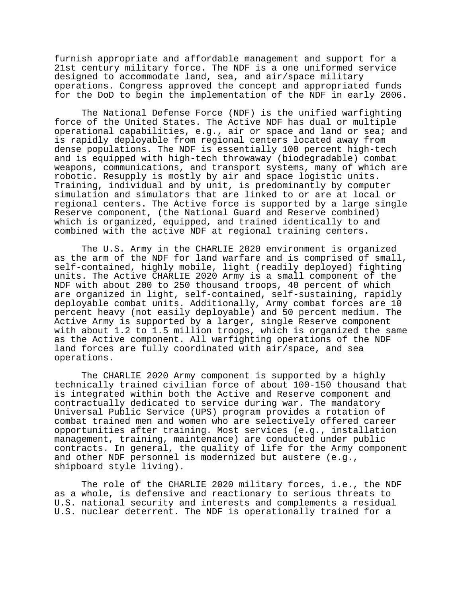furnish appropriate and affordable management and support for a 21st century military force. The NDF is a one uniformed service designed to accommodate land, sea, and air/space military operations. Congress approved the concept and appropriated funds for the DoD to begin the implementation of the NDF in early 2006.

The National Defense Force (NDF) is the unified warfighting force of the United States. The Active NDF has dual or multiple operational capabilities, e.g., air or space and land or sea; and is rapidly deployable from regional centers located away from dense populations. The NDF is essentially 100 percent high-tech and is equipped with high-tech throwaway (biodegradable) combat weapons, communications, and transport systems, many of which are robotic. Resupply is mostly by air and space logistic units. Training, individual and by unit, is predominantly by computer simulation and simulators that are linked to or are at local or regional centers. The Active force is supported by a large single Reserve component, (the National Guard and Reserve combined) which is organized, equipped, and trained identically to and combined with the active NDF at regional training centers.

The U.S. Army in the CHARLIE 2020 environment is organized as the arm of the NDF for land warfare and is comprised of small, self-contained, highly mobile, light (readily deployed) fighting units. The Active CHARLIE 2020 Army is a small component of the NDF with about 200 to 250 thousand troops, 40 percent of which are organized in light, self-contained, self-sustaining, rapidly deployable combat units. Additionally, Army combat forces are 10 percent heavy (not easily deployable) and 50 percent medium. The Active Army is supported by a larger, single Reserve component with about 1.2 to 1.5 million troops, which is organized the same as the Active component. All warfighting operations of the NDF land forces are fully coordinated with air/space, and sea operations.

The CHARLIE 2020 Army component is supported by a highly technically trained civilian force of about 100-150 thousand that is integrated within both the Active and Reserve component and contractually dedicated to service during war. The mandatory Universal Public Service (UPS) program provides a rotation of combat trained men and women who are selectively offered career opportunities after training. Most services (e.g., installation management, training, maintenance) are conducted under public contracts. In general, the quality of life for the Army component and other NDF personnel is modernized but austere (e.g., shipboard style living).

The role of the CHARLIE 2020 military forces, i.e., the NDF as a whole, is defensive and reactionary to serious threats to U.S. national security and interests and complements a residual U.S. nuclear deterrent. The NDF is operationally trained for a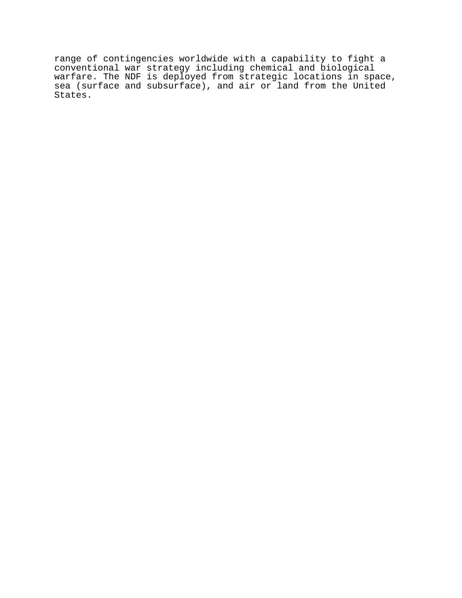range of contingencies worldwide with a capability to fight a conventional war strategy including chemical and biological warfare. The NDF is deployed from strategic locations in space, sea (surface and subsurface), and air or land from the United States.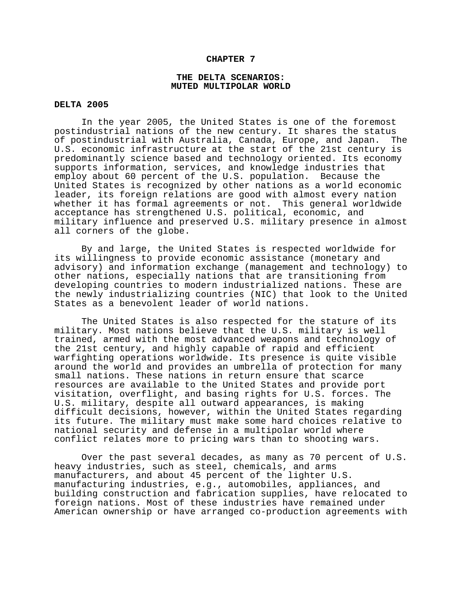### **CHAPTER 7**

## **THE DELTA SCENARIOS: MUTED MULTIPOLAR WORLD**

## **DELTA 2005**

In the year 2005, the United States is one of the foremost postindustrial nations of the new century. It shares the status of postindustrial with Australia, Canada, Europe, and Japan. The U.S. economic infrastructure at the start of the 21st century is predominantly science based and technology oriented. Its economy supports information, services, and knowledge industries that employ about 60 percent of the U.S. population. Because the United States is recognized by other nations as a world economic leader, its foreign relations are good with almost every nation whether it has formal agreements or not. This general worldwide acceptance has strengthened U.S. political, economic, and military influence and preserved U.S. military presence in almost all corners of the globe.

By and large, the United States is respected worldwide for its willingness to provide economic assistance (monetary and advisory) and information exchange (management and technology) to other nations, especially nations that are transitioning from developing countries to modern industrialized nations. These are the newly industrializing countries (NIC) that look to the United States as a benevolent leader of world nations.

The United States is also respected for the stature of its military. Most nations believe that the U.S. military is well trained, armed with the most advanced weapons and technology of the 21st century, and highly capable of rapid and efficient warfighting operations worldwide. Its presence is quite visible around the world and provides an umbrella of protection for many small nations. These nations in return ensure that scarce resources are available to the United States and provide port visitation, overflight, and basing rights for U.S. forces. The U.S. military, despite all outward appearances, is making difficult decisions, however, within the United States regarding its future. The military must make some hard choices relative to national security and defense in a multipolar world where conflict relates more to pricing wars than to shooting wars.

Over the past several decades, as many as 70 percent of U.S. heavy industries, such as steel, chemicals, and arms manufacturers, and about 45 percent of the lighter U.S. manufacturing industries, e.g., automobiles, appliances, and building construction and fabrication supplies, have relocated to foreign nations. Most of these industries have remained under American ownership or have arranged co-production agreements with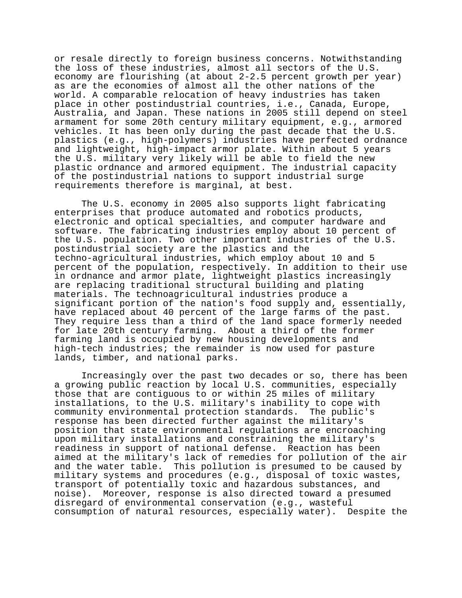or resale directly to foreign business concerns. Notwithstanding the loss of these industries, almost all sectors of the U.S. economy are flourishing (at about 2-2.5 percent growth per year) as are the economies of almost all the other nations of the world. A comparable relocation of heavy industries has taken place in other postindustrial countries, i.e., Canada, Europe, Australia, and Japan. These nations in 2005 still depend on steel armament for some 20th century military equipment, e.g., armored vehicles. It has been only during the past decade that the U.S. plastics (e.g., high-polymers) industries have perfected ordnance and lightweight, high-impact armor plate. Within about 5 years the U.S. military very likely will be able to field the new plastic ordnance and armored equipment. The industrial capacity of the postindustrial nations to support industrial surge requirements therefore is marginal, at best.

The U.S. economy in 2005 also supports light fabricating enterprises that produce automated and robotics products, electronic and optical specialties, and computer hardware and software. The fabricating industries employ about 10 percent of the U.S. population. Two other important industries of the U.S. postindustrial society are the plastics and the techno-agricultural industries, which employ about 10 and 5 percent of the population, respectively. In addition to their use in ordnance and armor plate, lightweight plastics increasingly are replacing traditional structural building and plating materials. The technoagricultural industries produce a significant portion of the nation's food supply and, essentially, have replaced about 40 percent of the large farms of the past. They require less than a third of the land space formerly needed for late 20th century farming. About a third of the former farming land is occupied by new housing developments and high-tech industries; the remainder is now used for pasture lands, timber, and national parks.

Increasingly over the past two decades or so, there has been a growing public reaction by local U.S. communities, especially those that are contiguous to or within 25 miles of military installations, to the U.S. military's inability to cope with community environmental protection standards. The public's response has been directed further against the military's position that state environmental regulations are encroaching upon military installations and constraining the military's readiness in support of national defense. Reaction has been aimed at the military's lack of remedies for pollution of the air and the water table. This pollution is presumed to be caused by military systems and procedures (e.g., disposal of toxic wastes, transport of potentially toxic and hazardous substances, and noise). Moreover, response is also directed toward a presumed disregard of environmental conservation (e.g., wasteful consumption of natural resources, especially water). Despite the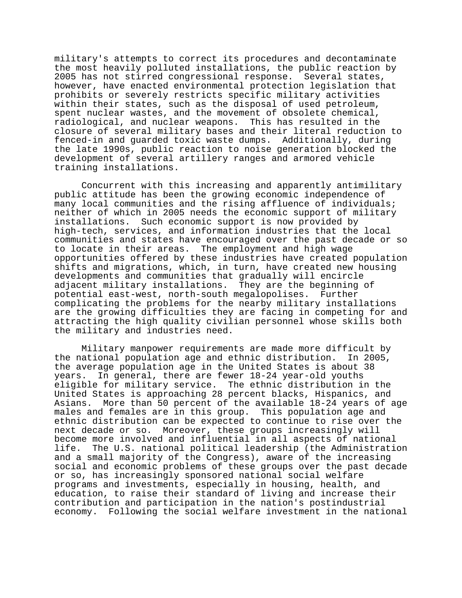military's attempts to correct its procedures and decontaminate the most heavily polluted installations, the public reaction by 2005 has not stirred congressional response. Several states, however, have enacted environmental protection legislation that prohibits or severely restricts specific military activities within their states, such as the disposal of used petroleum, spent nuclear wastes, and the movement of obsolete chemical, radiological, and nuclear weapons. This has resulted in the closure of several military bases and their literal reduction to fenced-in and guarded toxic waste dumps. Additionally, during the late 1990s, public reaction to noise generation blocked the development of several artillery ranges and armored vehicle training installations.

Concurrent with this increasing and apparently antimilitary public attitude has been the growing economic independence of many local communities and the rising affluence of individuals; neither of which in 2005 needs the economic support of military installations. Such economic support is now provided by high-tech, services, and information industries that the local communities and states have encouraged over the past decade or so to locate in their areas. The employment and high wage opportunities offered by these industries have created population shifts and migrations, which, in turn, have created new housing developments and communities that gradually will encircle adjacent military installations. They are the beginning of potential east-west, north-south megalopolises. Further complicating the problems for the nearby military installations are the growing difficulties they are facing in competing for and attracting the high quality civilian personnel whose skills both the military and industries need.

Military manpower requirements are made more difficult by the national population age and ethnic distribution. In 2005, the average population age in the United States is about 38 years. In general, there are fewer 18-24 year-old youths eligible for military service. The ethnic distribution in the United States is approaching 28 percent blacks, Hispanics, and Asians. More than 50 percent of the available 18-24 years of age males and females are in this group. This population age and ethnic distribution can be expected to continue to rise over the next decade or so. Moreover, these groups increasingly will become more involved and influential in all aspects of national life. The U.S. national political leadership (the Administration and a small majority of the Congress), aware of the increasing social and economic problems of these groups over the past decade or so, has increasingly sponsored national social welfare programs and investments, especially in housing, health, and education, to raise their standard of living and increase their contribution and participation in the nation's postindustrial economy. Following the social welfare investment in the national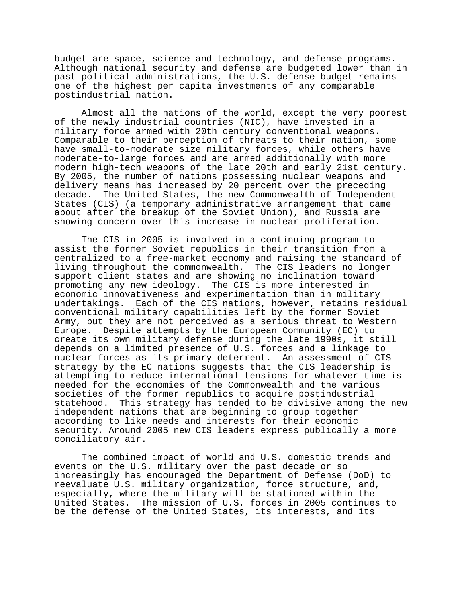budget are space, science and technology, and defense programs. Although national security and defense are budgeted lower than in past political administrations, the U.S. defense budget remains one of the highest per capita investments of any comparable postindustrial nation.

Almost all the nations of the world, except the very poorest of the newly industrial countries (NIC), have invested in a military force armed with 20th century conventional weapons. Comparable to their perception of threats to their nation, some have small-to-moderate size military forces, while others have moderate-to-large forces and are armed additionally with more modern high-tech weapons of the late 20th and early 21st century. By 2005, the number of nations possessing nuclear weapons and delivery means has increased by 20 percent over the preceding decade. The United States, the new Commonwealth of Independent States (CIS) (a temporary administrative arrangement that came about after the breakup of the Soviet Union), and Russia are showing concern over this increase in nuclear proliferation.

The CIS in 2005 is involved in a continuing program to assist the former Soviet republics in their transition from a centralized to a free-market economy and raising the standard of living throughout the commonwealth. The CIS leaders no longer support client states and are showing no inclination toward promoting any new ideology. The CIS is more interested in economic innovativeness and experimentation than in military undertakings. Each of the CIS nations, however, retains residual conventional military capabilities left by the former Soviet Army, but they are not perceived as a serious threat to Western Europe. Despite attempts by the European Community (EC) to create its own military defense during the late 1990s, it still depends on a limited presence of U.S. forces and a linkage to nuclear forces as its primary deterrent. An assessment of CIS strategy by the EC nations suggests that the CIS leadership is attempting to reduce international tensions for whatever time is needed for the economies of the Commonwealth and the various societies of the former republics to acquire postindustrial statehood. This strategy has tended to be divisive among the new independent nations that are beginning to group together according to like needs and interests for their economic security. Around 2005 new CIS leaders express publically a more conciliatory air.

The combined impact of world and U.S. domestic trends and events on the U.S. military over the past decade or so increasingly has encouraged the Department of Defense (DoD) to reevaluate U.S. military organization, force structure, and, especially, where the military will be stationed within the United States. The mission of U.S. forces in 2005 continues to be the defense of the United States, its interests, and its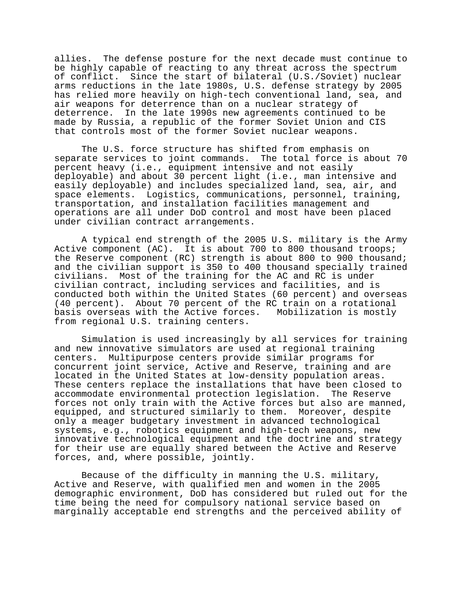allies. The defense posture for the next decade must continue to be highly capable of reacting to any threat across the spectrum of conflict. Since the start of bilateral (U.S./Soviet) nuclear arms reductions in the late 1980s, U.S. defense strategy by 2005 has relied more heavily on high-tech conventional land, sea, and air weapons for deterrence than on a nuclear strategy of deterrence. In the late 1990s new agreements continued to be made by Russia, a republic of the former Soviet Union and CIS that controls most of the former Soviet nuclear weapons.

The U.S. force structure has shifted from emphasis on separate services to joint commands. The total force is about 70 percent heavy (i.e., equipment intensive and not easily deployable) and about 30 percent light (i.e., man intensive and easily deployable) and includes specialized land, sea, air, and space elements. Logistics, communications, personnel, training, transportation, and installation facilities management and operations are all under DoD control and most have been placed under civilian contract arrangements.

A typical end strength of the 2005 U.S. military is the Army Active component (AC). It is about 700 to 800 thousand troops; the Reserve component (RC) strength is about 800 to 900 thousand; and the civilian support is 350 to 400 thousand specially trained civilians. Most of the training for the AC and RC is under civilian contract, including services and facilities, and is conducted both within the United States (60 percent) and overseas (40 percent). About 70 percent of the RC train on a rotational basis overseas with the Active forces. Mobilization is mostly from regional U.S. training centers.

Simulation is used increasingly by all services for training and new innovative simulators are used at regional training centers. Multipurpose centers provide similar programs for concurrent joint service, Active and Reserve, training and are located in the United States at low-density population areas. These centers replace the installations that have been closed to accommodate environmental protection legislation. The Reserve forces not only train with the Active forces but also are manned, equipped, and structured similarly to them. Moreover, despite only a meager budgetary investment in advanced technological systems, e.g., robotics equipment and high-tech weapons, new innovative technological equipment and the doctrine and strategy for their use are equally shared between the Active and Reserve forces, and, where possible, jointly.

Because of the difficulty in manning the U.S. military, Active and Reserve, with qualified men and women in the 2005 demographic environment, DoD has considered but ruled out for the time being the need for compulsory national service based on marginally acceptable end strengths and the perceived ability of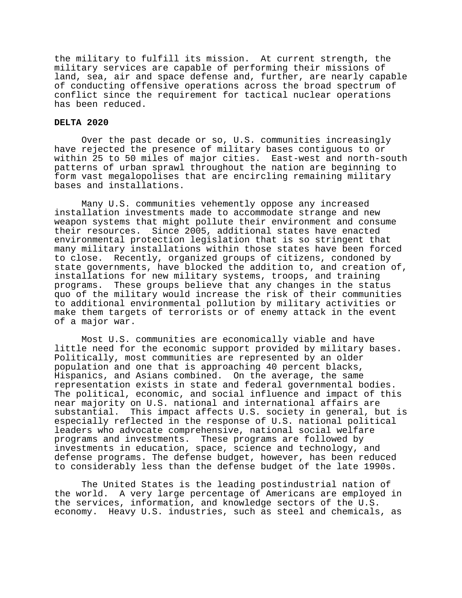the military to fulfill its mission. At current strength, the military services are capable of performing their missions of land, sea, air and space defense and, further, are nearly capable of conducting offensive operations across the broad spectrum of conflict since the requirement for tactical nuclear operations has been reduced.

## **DELTA 2020**

Over the past decade or so, U.S. communities increasingly have rejected the presence of military bases contiguous to or within 25 to 50 miles of major cities. East-west and north-south patterns of urban sprawl throughout the nation are beginning to form vast megalopolises that are encircling remaining military bases and installations.

Many U.S. communities vehemently oppose any increased installation investments made to accommodate strange and new weapon systems that might pollute their environment and consume their resources. Since 2005, additional states have enacted environmental protection legislation that is so stringent that many military installations within those states have been forced to close. Recently, organized groups of citizens, condoned by state governments, have blocked the addition to, and creation of, installations for new military systems, troops, and training programs. These groups believe that any changes in the status quo of the military would increase the risk of their communities to additional environmental pollution by military activities or make them targets of terrorists or of enemy attack in the event of a major war.

Most U.S. communities are economically viable and have little need for the economic support provided by military bases. Politically, most communities are represented by an older population and one that is approaching 40 percent blacks, Hispanics, and Asians combined. On the average, the same representation exists in state and federal governmental bodies. The political, economic, and social influence and impact of this near majority on U.S. national and international affairs are substantial. This impact affects U.S. society in general, but is especially reflected in the response of U.S. national political leaders who advocate comprehensive, national social welfare programs and investments. These programs are followed by investments in education, space, science and technology, and defense programs. The defense budget, however, has been reduced to considerably less than the defense budget of the late 1990s.

The United States is the leading postindustrial nation of the world. A very large percentage of Americans are employed in the services, information, and knowledge sectors of the U.S. economy. Heavy U.S. industries, such as steel and chemicals, as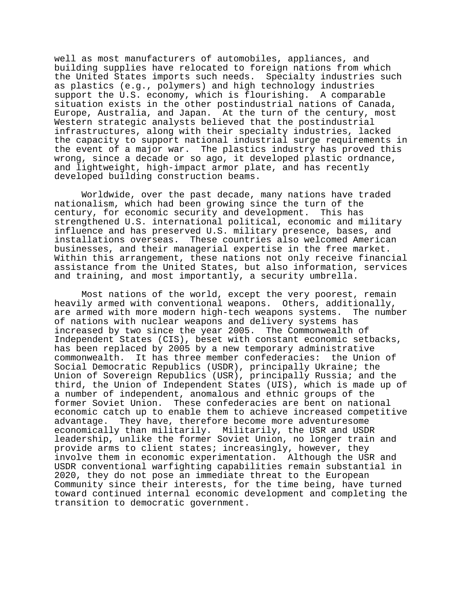well as most manufacturers of automobiles, appliances, and building supplies have relocated to foreign nations from which the United States imports such needs. Specialty industries such as plastics (e.g., polymers) and high technology industries support the U.S. economy, which is flourishing. A comparable situation exists in the other postindustrial nations of Canada, Europe, Australia, and Japan. At the turn of the century, most Western strategic analysts believed that the postindustrial infrastructures, along with their specialty industries, lacked the capacity to support national industrial surge requirements in the event of a major war. The plastics industry has proved this wrong, since a decade or so ago, it developed plastic ordnance, and lightweight, high-impact armor plate, and has recently developed building construction beams.

Worldwide, over the past decade, many nations have traded nationalism, which had been growing since the turn of the century, for economic security and development. This has strengthened U.S. international political, economic and military influence and has preserved U.S. military presence, bases, and installations overseas. These countries also welcomed American businesses, and their managerial expertise in the free market. Within this arrangement, these nations not only receive financial assistance from the United States, but also information, services and training, and most importantly, a security umbrella.

Most nations of the world, except the very poorest, remain heavily armed with conventional weapons. Others, additionally, are armed with more modern high-tech weapons systems. The number of nations with nuclear weapons and delivery systems has increased by two since the year 2005. The Commonwealth of Independent States (CIS), beset with constant economic setbacks, has been replaced by 2005 by a new temporary administrative commonwealth. It has three member confederacies: the Union of Social Democratic Republics (USDR), principally Ukraine; the Union of Sovereign Republics (USR), principally Russia; and the third, the Union of Independent States (UIS), which is made up of a number of independent, anomalous and ethnic groups of the former Soviet Union. These confederacies are bent on national economic catch up to enable them to achieve increased competitive advantage. They have, therefore become more adventuresome economically than militarily. Militarily, the USR and USDR leadership, unlike the former Soviet Union, no longer train and provide arms to client states; increasingly, however, they involve them in economic experimentation. Although the USR and USDR conventional warfighting capabilities remain substantial in 2020, they do not pose an immediate threat to the European Community since their interests, for the time being, have turned toward continued internal economic development and completing the transition to democratic government.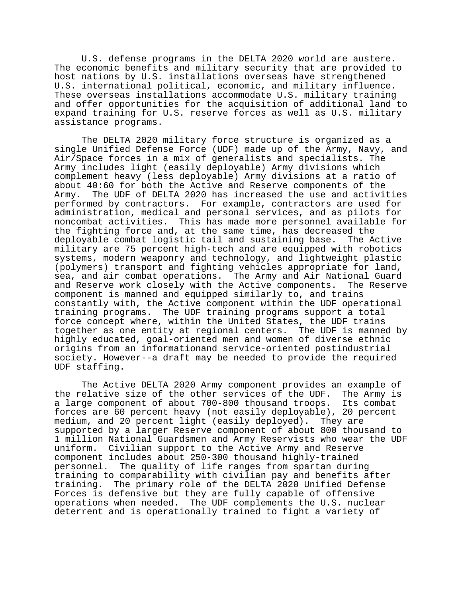U.S. defense programs in the DELTA 2020 world are austere. The economic benefits and military security that are provided to host nations by U.S. installations overseas have strengthened U.S. international political, economic, and military influence. These overseas installations accommodate U.S. military training and offer opportunities for the acquisition of additional land to expand training for U.S. reserve forces as well as U.S. military assistance programs.

The DELTA 2020 military force structure is organized as a single Unified Defense Force (UDF) made up of the Army, Navy, and Air/Space forces in a mix of generalists and specialists. The Army includes light (easily deployable) Army divisions which complement heavy (less deployable) Army divisions at a ratio of about 40:60 for both the Active and Reserve components of the Army. The UDF of DELTA 2020 has increased the use and activities performed by contractors. For example, contractors are used for administration, medical and personal services, and as pilots for noncombat activities. This has made more personnel available for the fighting force and, at the same time, has decreased the deployable combat logistic tail and sustaining base. The Active military are 75 percent high-tech and are equipped with robotics systems, modern weaponry and technology, and lightweight plastic (polymers) transport and fighting vehicles appropriate for land, sea, and air combat operations. The Army and Air National Guard and Reserve work closely with the Active components. The Reserve component is manned and equipped similarly to, and trains constantly with, the Active component within the UDF operational training programs. The UDF training programs support a total force concept where, within the United States, the UDF trains together as one entity at regional centers. The UDF is manned by highly educated, goal-oriented men and women of diverse ethnic origins from an informationand service-oriented postindustrial society. However--a draft may be needed to provide the required UDF staffing.

The Active DELTA 2020 Army component provides an example of the relative size of the other services of the UDF. The Army is a large component of about 700-800 thousand troops. Its combat forces are 60 percent heavy (not easily deployable), 20 percent medium, and 20 percent light (easily deployed). They are supported by a larger Reserve component of about 800 thousand to 1 million National Guardsmen and Army Reservists who wear the UDF uniform. Civilian support to the Active Army and Reserve component includes about 250-300 thousand highly-trained personnel. The quality of life ranges from spartan during training to comparability with civilian pay and benefits after training. The primary role of the DELTA 2020 Unified Defense Forces is defensive but they are fully capable of offensive operations when needed. The UDF complements the U.S. nuclear deterrent and is operationally trained to fight a variety of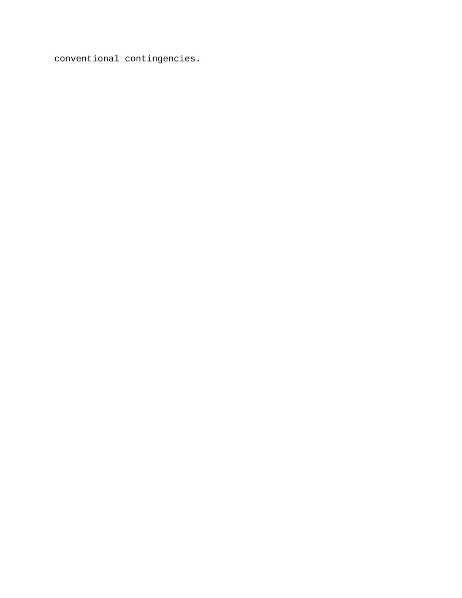conventional contingencies.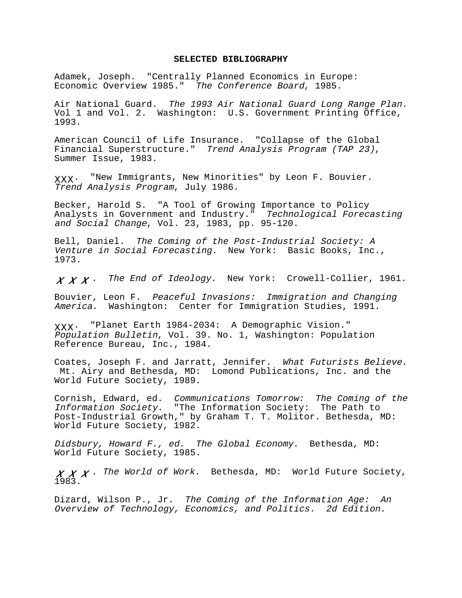#### **SELECTED BIBLIOGRAPHY**

Adamek, Joseph. "Centrally Planned Economics in Europe: Economic Overview 1985." The Conference Board, 1985.

Air National Guard. The 1993 Air National Guard Long Range Plan. Vol 1 and Vol. 2. Washington: U.S. Government Printing Office, 1993.

American Council of Life Insurance. "Collapse of the Global Financial Superstructure." Trend Analysis Program (TAP 23), Summer Issue, 1983.

ΧΧΧ. "New Immigrants, New Minorities" by Leon F. Bouvier. Trend Analysis Program, July 1986.

Becker, Harold S. "A Tool of Growing Importance to Policy Analysts in Government and Industry." Technological Forecasting and Social Change, Vol. 23, 1983, pp. 95-120.

Bell, Daniel. The Coming of the Post-Industrial Society: A Venture in Social Forecasting. New York: Basic Books, Inc., 1973.

 $X X X$ . The End of Ideology. New York: Crowell-Collier, 1961.

Bouvier, Leon F. Peaceful Invasions: Immigration and Changing America. Washington: Center for Immigration Studies, 1991.

ΧΧΧ. "Planet Earth 1984-2034: A Demographic Vision." Population Bulletin, Vol. 39. No. 1, Washington: Population Reference Bureau, Inc., 1984.

Coates, Joseph F. and Jarratt, Jennifer. What Futurists Believe. Mt. Airy and Bethesda, MD: Lomond Publications, Inc. and the World Future Society, 1989.

Cornish, Edward, ed. Communications Tomorrow: The Coming of the Information Society. "The Information Society: The Path to Post-Industrial Growth," by Graham T. T. Molitor. Bethesda, MD: World Future Society, 1982.

Didsbury, Howard F., ed. The Global Economy. Bethesda, MD: World Future Society, 1985.

 $X \, X \cdot$  The World of Work. Bethesda, MD: World Future Society, 1983.

Dizard, Wilson P., Jr. The Coming of the Information Age: An Overview of Technology, Economics, and Politics. 2d Edition.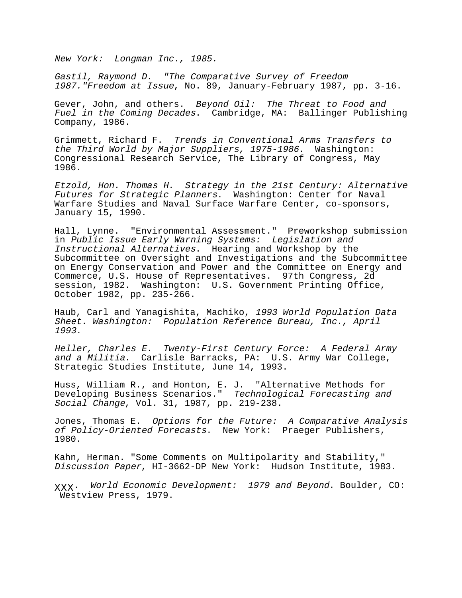New York: Longman Inc., 1985.

Gastil, Raymond D. "The Comparative Survey of Freedom 1987."Freedom at Issue, No. 89, January-February 1987, pp. 3-16.

Gever, John, and others. Beyond Oil: The Threat to Food and Fuel in the Coming Decades. Cambridge, MA: Ballinger Publishing Company, 1986.

Grimmett, Richard F. Trends in Conventional Arms Transfers to the Third World by Major Suppliers, 1975-1986. Washington: Congressional Research Service, The Library of Congress, May 1986.

Etzold, Hon. Thomas H. Strategy in the 21st Century: Alternative Futures for Strategic Planners. Washington: Center for Naval Warfare Studies and Naval Surface Warfare Center, co-sponsors, January 15, 1990.

Hall, Lynne. "Environmental Assessment." Preworkshop submission in Public Issue Early Warning Systems: Legislation and Instructional Alternatives. Hearing and Workshop by the Subcommittee on Oversight and Investigations and the Subcommittee on Energy Conservation and Power and the Committee on Energy and Commerce, U.S. House of Representatives. 97th Congress, 2d session, 1982. Washington: U.S. Government Printing Office, October 1982, pp. 235-266.

Haub, Carl and Yanagishita, Machiko, 1993 World Population Data Sheet. Washington: Population Reference Bureau, Inc., April 1993.

Heller, Charles E. Twenty-First Century Force: A Federal Army and a Militia. Carlisle Barracks, PA: U.S. Army War College, Strategic Studies Institute, June 14, 1993.

Huss, William R., and Honton, E. J. "Alternative Methods for Developing Business Scenarios." Technological Forecasting and Social Change, Vol. 31, 1987, pp. 219-238.

Jones, Thomas E. Options for the Future: A Comparative Analysis of Policy-Oriented Forecasts. New York: Praeger Publishers, 1980.

Kahn, Herman. "Some Comments on Multipolarity and Stability," Discussion Paper, HI-3662-DP New York: Hudson Institute, 1983.

ΧΧΧ. World Economic Development: 1979 and Beyond. Boulder, CO: Westview Press, 1979.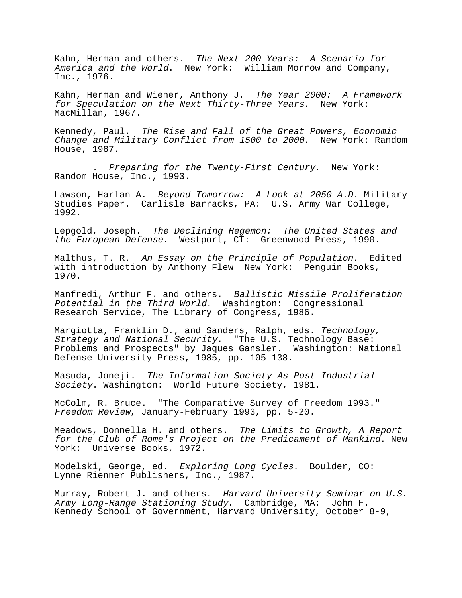Kahn, Herman and others. The Next 200 Years: A Scenario for America and the World. New York: William Morrow and Company, Inc., 1976.

Kahn, Herman and Wiener, Anthony J. The Year 2000: A Framework for Speculation on the Next Thirty-Three Years. New York: MacMillan, 1967.

Kennedy, Paul. The Rise and Fall of the Great Powers, Economic Change and Military Conflict from 1500 to 2000. New York: Random House, 1987.

\_\_\_\_\_\_\_. Preparing for the Twenty-First Century. New York: Random House, Inc., 1993.

Lawson, Harlan A. Beyond Tomorrow: A Look at 2050 A.D. Military Studies Paper. Carlisle Barracks, PA: U.S. Army War College, 1992.

Lepgold, Joseph. The Declining Hegemon: The United States and the European Defense. Westport, CT: Greenwood Press, 1990.

Malthus, T. R. An Essay on the Principle of Population. Edited with introduction by Anthony Flew New York: Penguin Books, 1970.

Manfredi, Arthur F. and others. Ballistic Missile Proliferation Potential in the Third World. Washington: Congressional Research Service, The Library of Congress, 1986.

Margiotta, Franklin D., and Sanders, Ralph, eds. Technology, Strategy and National Security. "The U.S. Technology Base: Problems and Prospects" by Jaques Gansler. Washington: National Defense University Press, 1985, pp. 105-138.

Masuda, Joneji. The Information Society As Post-Industrial Society. Washington: World Future Society, 1981.

McColm, R. Bruce. "The Comparative Survey of Freedom 1993." Freedom Review, January-February 1993, pp. 5-20.

Meadows, Donnella H. and others. The Limits to Growth, A Report for the Club of Rome's Project on the Predicament of Mankind. New York: Universe Books, 1972.

Modelski, George, ed. Exploring Long Cycles. Boulder, CO: Lynne Rienner Publishers, Inc., 1987.

Murray, Robert J. and others. Harvard University Seminar on U.S. Army Long-Range Stationing Study. Cambridge, MA: John F. Kennedy School of Government, Harvard University, October 8-9,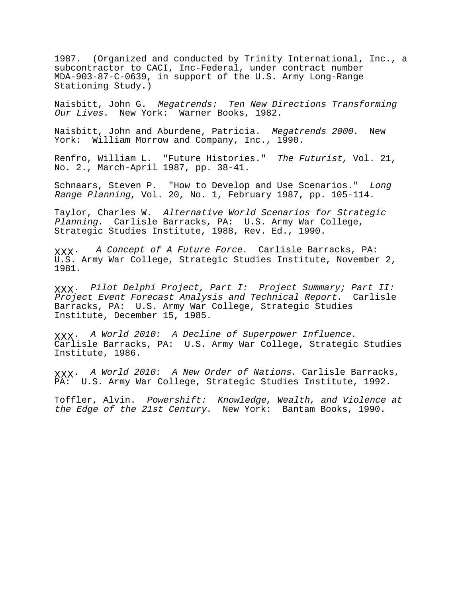1987. (Organized and conducted by Trinity International, Inc., a subcontractor to CACI, Inc-Federal, under contract number MDA-903-87-C-0639, in support of the U.S. Army Long-Range Stationing Study.)

Naisbitt, John G. Megatrends: Ten New Directions Transforming Our Lives. New York: Warner Books, 1982.

Naisbitt, John and Aburdene, Patricia. Megatrends 2000. New York: William Morrow and Company, Inc., 1990.

Renfro, William L. "Future Histories." The Futurist, Vol. 21, No. 2., March-April 1987, pp. 38-41.

Schnaars, Steven P. "How to Develop and Use Scenarios." Long Range Planning, Vol. 20, No. 1, February 1987, pp. 105-114.

Taylor, Charles W. Alternative World Scenarios for Strategic Planning. Carlisle Barracks, PA: U.S. Army War College, Strategic Studies Institute, 1988, Rev. Ed., 1990.

ΧΧΧ. A Concept of A Future Force. Carlisle Barracks, PA: U.S. Army War College, Strategic Studies Institute, November 2, 1981.

ΧΧΧ. Pilot Delphi Project, Part I: Project Summary; Part II: Project Event Forecast Analysis and Technical Report. Carlisle Barracks, PA: U.S. Army War College, Strategic Studies Institute, December 15, 1985.

ΧΧΧ. A World 2010: A Decline of Superpower Influence. Carlisle Barracks, PA: U.S. Army War College, Strategic Studies Institute, 1986.

ΧΧΧ. A World 2010: A New Order of Nations. Carlisle Barracks, PA: U.S. Army War College, Strategic Studies Institute, 1992.

Toffler, Alvin. Powershift: Knowledge, Wealth, and Violence at the Edge of the 21st Century. New York: Bantam Books, 1990.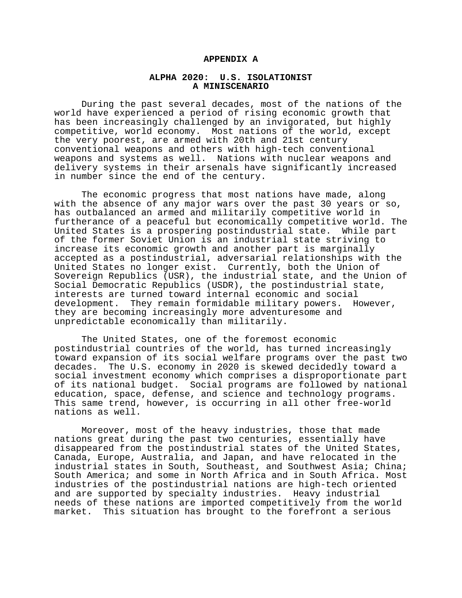### **APPENDIX A**

## **ALPHA 2020: U.S. ISOLATIONIST A MINISCENARIO**

During the past several decades, most of the nations of the world have experienced a period of rising economic growth that has been increasingly challenged by an invigorated, but highly competitive, world economy. Most nations of the world, except the very poorest, are armed with 20th and 21st century conventional weapons and others with high-tech conventional weapons and systems as well. Nations with nuclear weapons and delivery systems in their arsenals have significantly increased in number since the end of the century.

The economic progress that most nations have made, along with the absence of any major wars over the past 30 years or so, has outbalanced an armed and militarily competitive world in furtherance of a peaceful but economically competitive world. The United States is a prospering postindustrial state. While part of the former Soviet Union is an industrial state striving to increase its economic growth and another part is marginally accepted as a postindustrial, adversarial relationships with the United States no longer exist. Currently, both the Union of Sovereign Republics (USR), the industrial state, and the Union of Social Democratic Republics (USDR), the postindustrial state, interests are turned toward internal economic and social development. They remain formidable military powers. However, they are becoming increasingly more adventuresome and unpredictable economically than militarily.

The United States, one of the foremost economic postindustrial countries of the world, has turned increasingly toward expansion of its social welfare programs over the past two decades. The U.S. economy in 2020 is skewed decidedly toward a social investment economy which comprises a disproportionate part of its national budget. Social programs are followed by national education, space, defense, and science and technology programs. This same trend, however, is occurring in all other free-world nations as well.

Moreover, most of the heavy industries, those that made nations great during the past two centuries, essentially have disappeared from the postindustrial states of the United States, Canada, Europe, Australia, and Japan, and have relocated in the industrial states in South, Southeast, and Southwest Asia; China; South America; and some in North Africa and in South Africa. Most industries of the postindustrial nations are high-tech oriented and are supported by specialty industries. Heavy industrial needs of these nations are imported competitively from the world market. This situation has brought to the forefront a serious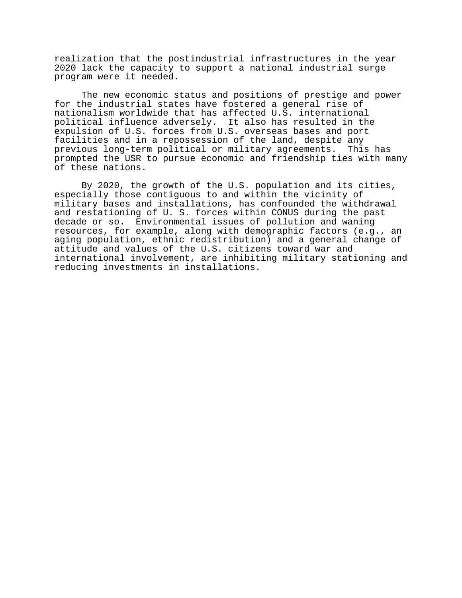realization that the postindustrial infrastructures in the year 2020 lack the capacity to support a national industrial surge program were it needed.

The new economic status and positions of prestige and power for the industrial states have fostered a general rise of nationalism worldwide that has affected U.S. international political influence adversely. It also has resulted in the expulsion of U.S. forces from U.S. overseas bases and port facilities and in a repossession of the land, despite any previous long-term political or military agreements. This has prompted the USR to pursue economic and friendship ties with many of these nations.

By 2020, the growth of the U.S. population and its cities, especially those contiguous to and within the vicinity of military bases and installations, has confounded the withdrawal and restationing of U. S. forces within CONUS during the past decade or so. Environmental issues of pollution and waning resources, for example, along with demographic factors (e.g., an aging population, ethnic redistribution) and a general change of attitude and values of the U.S. citizens toward war and international involvement, are inhibiting military stationing and reducing investments in installations.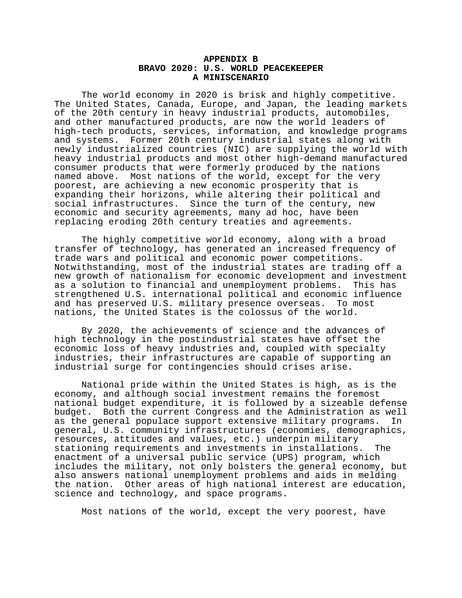## **APPENDIX B BRAVO 2020: U.S. WORLD PEACEKEEPER A MINISCENARIO**

The world economy in 2020 is brisk and highly competitive. The United States, Canada, Europe, and Japan, the leading markets of the 20th century in heavy industrial products, automobiles, and other manufactured products, are now the world leaders of high-tech products, services, information, and knowledge programs and systems. Former 20th century industrial states along with newly industrialized countries (NIC) are supplying the world with heavy industrial products and most other high-demand manufactured consumer products that were formerly produced by the nations named above. Most nations of the world, except for the very poorest, are achieving a new economic prosperity that is expanding their horizons, while altering their political and social infrastructures. Since the turn of the century, new economic and security agreements, many ad hoc, have been replacing eroding 20th century treaties and agreements.

The highly competitive world economy, along with a broad transfer of technology, has generated an increased frequency of trade wars and political and economic power competitions. Notwithstanding, most of the industrial states are trading off a new growth of nationalism for economic development and investment as a solution to financial and unemployment problems. This has strengthened U.S. international political and economic influence and has preserved U.S. military presence overseas. To most nations, the United States is the colossus of the world.

By 2020, the achievements of science and the advances of high technology in the postindustrial states have offset the economic loss of heavy industries and, coupled with specialty industries, their infrastructures are capable of supporting an industrial surge for contingencies should crises arise.

National pride within the United States is high, as is the economy, and although social investment remains the foremost national budget expenditure, it is followed by a sizeable defense budget. Both the current Congress and the Administration as well as the general populace support extensive military programs. In general, U.S. community infrastructures (economies, demographics, resources, attitudes and values, etc.) underpin military stationing requirements and investments in installations. The enactment of a universal public service (UPS) program, which includes the military, not only bolsters the general economy, but also answers national unemployment problems and aids in melding the nation. Other areas of high national interest are education, science and technology, and space programs.

Most nations of the world, except the very poorest, have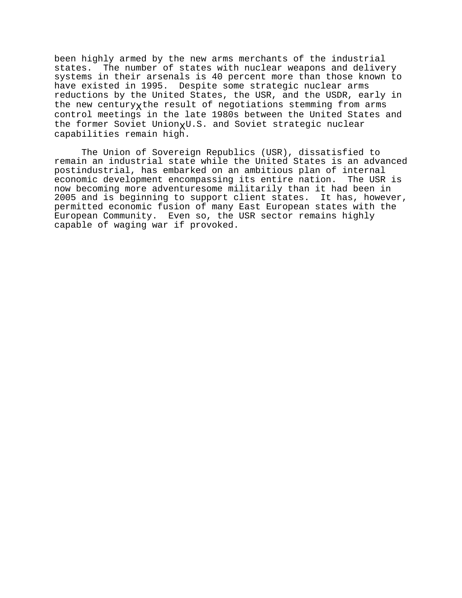been highly armed by the new arms merchants of the industrial states. The number of states with nuclear weapons and delivery systems in their arsenals is 40 percent more than those known to have existed in 1995. Despite some strategic nuclear arms reductions by the United States, the USR, and the USDR, early in the new centuryxthe result of negotiations stemming from arms control meetings in the late 1980s between the United States and the former Soviet UnionxU.S. and Soviet strategic nuclear capabilities remain high.

The Union of Sovereign Republics (USR), dissatisfied to remain an industrial state while the United States is an advanced postindustrial, has embarked on an ambitious plan of internal economic development encompassing its entire nation. The USR is now becoming more adventuresome militarily than it had been in 2005 and is beginning to support client states. It has, however, permitted economic fusion of many East European states with the European Community. Even so, the USR sector remains highly capable of waging war if provoked.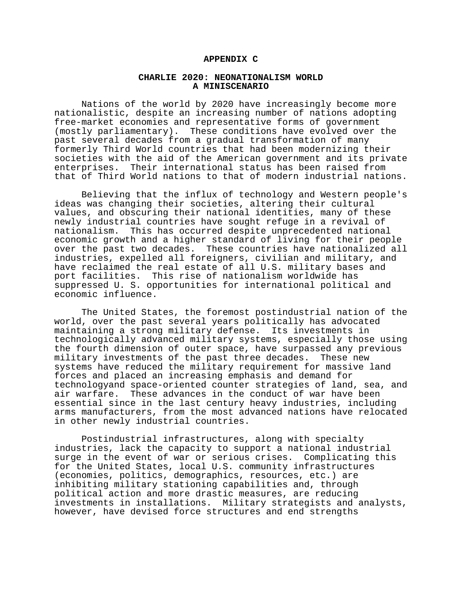### **APPENDIX C**

## **CHARLIE 2020: NEONATIONALISM WORLD A MINISCENARIO**

Nations of the world by 2020 have increasingly become more nationalistic, despite an increasing number of nations adopting free-market economies and representative forms of government (mostly parliamentary). These conditions have evolved over the past several decades from a gradual transformation of many formerly Third World countries that had been modernizing their societies with the aid of the American government and its private enterprises. Their international status has been raised from that of Third World nations to that of modern industrial nations.

Believing that the influx of technology and Western people's ideas was changing their societies, altering their cultural values, and obscuring their national identities, many of these newly industrial countries have sought refuge in a revival of nationalism. This has occurred despite unprecedented national economic growth and a higher standard of living for their people over the past two decades. These countries have nationalized all industries, expelled all foreigners, civilian and military, and have reclaimed the real estate of all U.S. military bases and port facilities. This rise of nationalism worldwide has suppressed U. S. opportunities for international political and economic influence.

The United States, the foremost postindustrial nation of the world, over the past several years politically has advocated maintaining a strong military defense. Its investments in technologically advanced military systems, especially those using the fourth dimension of outer space, have surpassed any previous military investments of the past three decades. These new systems have reduced the military requirement for massive land forces and placed an increasing emphasis and demand for technologyand space-oriented counter strategies of land, sea, and air warfare. These advances in the conduct of war have been essential since in the last century heavy industries, including arms manufacturers, from the most advanced nations have relocated in other newly industrial countries.

Postindustrial infrastructures, along with specialty industries, lack the capacity to support a national industrial surge in the event of war or serious crises. Complicating this for the United States, local U.S. community infrastructures (economies, politics, demographics, resources, etc.) are inhibiting military stationing capabilities and, through political action and more drastic measures, are reducing investments in installations. Military strategists and analysts, however, have devised force structures and end strengths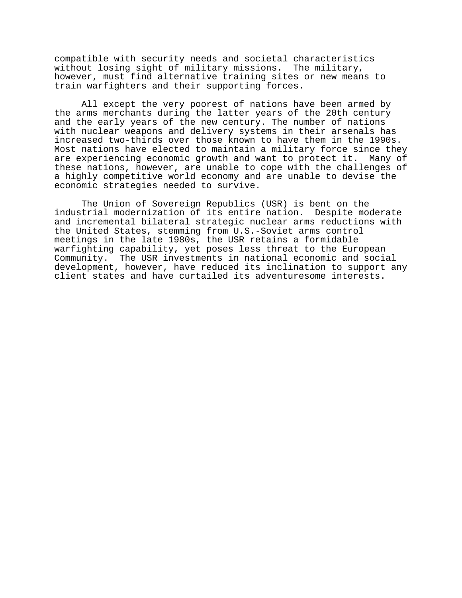compatible with security needs and societal characteristics without losing sight of military missions. The military, however, must find alternative training sites or new means to train warfighters and their supporting forces.

All except the very poorest of nations have been armed by the arms merchants during the latter years of the 20th century and the early years of the new century. The number of nations with nuclear weapons and delivery systems in their arsenals has increased two-thirds over those known to have them in the 1990s. Most nations have elected to maintain a military force since they are experiencing economic growth and want to protect it. Many of these nations, however, are unable to cope with the challenges of a highly competitive world economy and are unable to devise the economic strategies needed to survive.

The Union of Sovereign Republics (USR) is bent on the industrial modernization of its entire nation. Despite moderate and incremental bilateral strategic nuclear arms reductions with the United States, stemming from U.S.-Soviet arms control meetings in the late 1980s, the USR retains a formidable warfighting capability, yet poses less threat to the European Community. The USR investments in national economic and social development, however, have reduced its inclination to support any client states and have curtailed its adventuresome interests.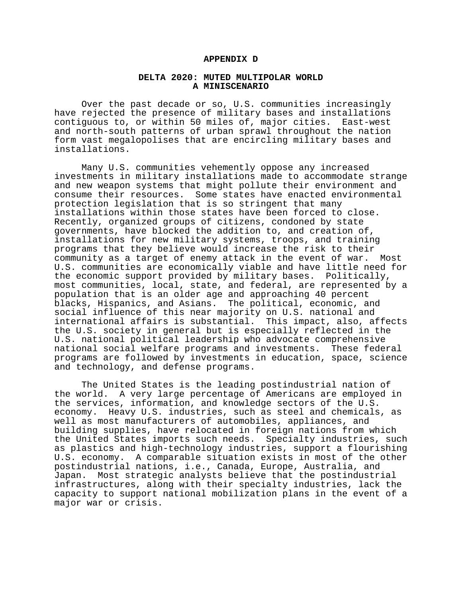#### **APPENDIX D**

## **DELTA 2020: MUTED MULTIPOLAR WORLD A MINISCENARIO**

Over the past decade or so, U.S. communities increasingly have rejected the presence of military bases and installations contiguous to, or within 50 miles of, major cities. East-west and north-south patterns of urban sprawl throughout the nation form vast megalopolises that are encircling military bases and installations.

Many U.S. communities vehemently oppose any increased investments in military installations made to accommodate strange and new weapon systems that might pollute their environment and consume their resources. Some states have enacted environmental protection legislation that is so stringent that many installations within those states have been forced to close. Recently, organized groups of citizens, condoned by state governments, have blocked the addition to, and creation of, installations for new military systems, troops, and training programs that they believe would increase the risk to their community as a target of enemy attack in the event of war. Most U.S. communities are economically viable and have little need for the economic support provided by military bases. Politically, most communities, local, state, and federal, are represented by a population that is an older age and approaching 40 percent blacks, Hispanics, and Asians. The political, economic, and social influence of this near majority on U.S. national and international affairs is substantial. This impact, also, affects the U.S. society in general but is especially reflected in the U.S. national political leadership who advocate comprehensive national social welfare programs and investments. These federal programs are followed by investments in education, space, science and technology, and defense programs.

The United States is the leading postindustrial nation of the world. A very large percentage of Americans are employed in the services, information, and knowledge sectors of the U.S. economy. Heavy U.S. industries, such as steel and chemicals, as well as most manufacturers of automobiles, appliances, and building supplies, have relocated in foreign nations from which the United States imports such needs. Specialty industries, such as plastics and high-technology industries, support a flourishing U.S. economy. A comparable situation exists in most of the other postindustrial nations, i.e., Canada, Europe, Australia, and Japan. Most strategic analysts believe that the postindustrial infrastructures, along with their specialty industries, lack the capacity to support national mobilization plans in the event of a major war or crisis.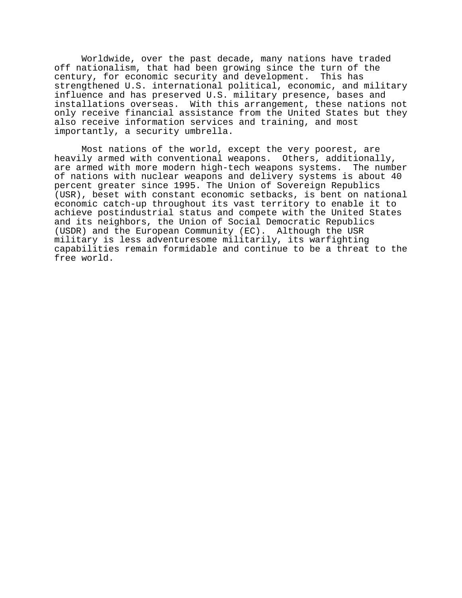Worldwide, over the past decade, many nations have traded off nationalism, that had been growing since the turn of the century, for economic security and development. This has strengthened U.S. international political, economic, and military influence and has preserved U.S. military presence, bases and installations overseas. With this arrangement, these nations not only receive financial assistance from the United States but they also receive information services and training, and most importantly, a security umbrella.

Most nations of the world, except the very poorest, are heavily armed with conventional weapons. Others, additionally, are armed with more modern high-tech weapons systems. The number of nations with nuclear weapons and delivery systems is about 40 percent greater since 1995. The Union of Sovereign Republics (USR), beset with constant economic setbacks, is bent on national economic catch-up throughout its vast territory to enable it to achieve postindustrial status and compete with the United States and its neighbors, the Union of Social Democratic Republics (USDR) and the European Community (EC). Although the USR military is less adventuresome militarily, its warfighting capabilities remain formidable and continue to be a threat to the free world.